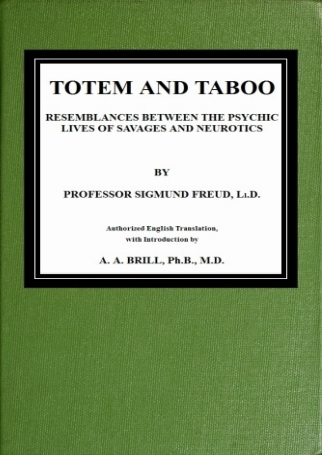# **TOTEM AND TABOO**

# RESEMBLANCES BETWEEN THE PSYCHIC **LIVES OF SAVAGES AND NEUROTICS**

# **BY**

# PROFESSOR SIGMUND FREUD, Lt.D.

**Authorized English Translation,** with Introduction by

A. A. BRILL, Ph.B., M.D.

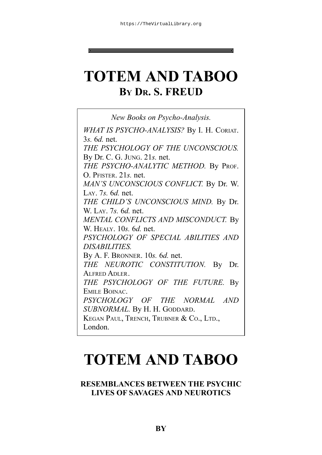# **TOTEM AND TABOO BY DR. S. FREUD**

*New Books on Psycho-Analysis. WHAT IS PSYCHO-ANALYSIS?* By I. H. CORIAT. 3*s.* 6*d.* net. *THE PSYCHOLOGY OF THE UNCONSCIOUS.* By Dr. C. G. JUNG. 21*s.* net. *THE PSYCHO-ANALYTIC METHOD.* By PROF. O. PFISTER. 21*s.* net. *MAN'S UNCONSCIOUS CONFLICT.* By Dr. W. LAY. 7*s.* 6*d.* net. *THE CHILD'S UNCONSCIOUS MIND.* By Dr. W. LAY. 7*s.* 6*d.* net. *MENTAL CONFLICTS AND MISCONDUCT.* By W. HEALY. 10*s.* 6*d.* net. *PSYCHOLOGY OF SPECIAL ABILITIES AND DISABILITIES.* By A. F. BRONNER. 10*s.* 6*d.* net. *THE NEUROTIC CONSTITUTION.* By Dr. ALFRED ADLER. *THE PSYCHOLOGY OF THE FUTURE.* By EMILE BOINAC. *PSYCHOLOGY OF THE NORMAL AND SUBNORMAL.* By H. H. GODDARD. KEGAN PAUL, TRENCH, TRUBNER & CO., LTD., London.

# **TOTEM AND TABOO**

## **RESEMBLANCES BETWEEN THE PSYCHIC LIVES OF SAVAGES AND NEUROTICS**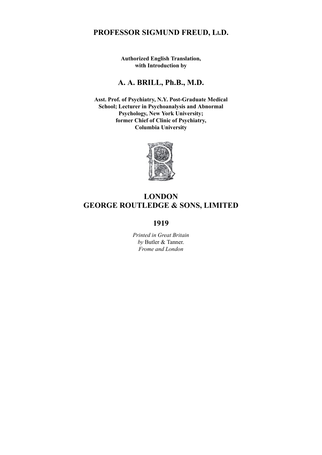# **PROFESSOR SIGMUND FREUD, Ll.D.**

**Authorized English Translation, with Introduction by**

### **A. A. BRILL, Ph.B., M.D.**

**Asst. Prof. of Psychiatry, N.Y. Post-Graduate Medical School; Lecturer in Psychoanalysis and Abnormal Psychology, New York University; former Chief of Clinic of Psychiatry, Columbia University**



### **LONDON GEORGE ROUTLEDGE & SONS, LIMITED**

### **1919**

*Printed in Great Britain by* Butler & Tanner. *Frome and London*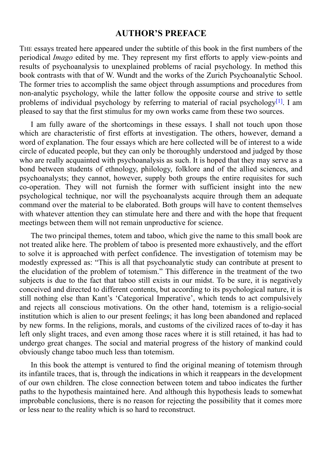## **AUTHOR'S PREFACE**

THE essays treated here appeared under the subtitle of this book in the first numbers of the periodical *Imago* edited by me. They represent my first efforts to apply view-points and results of psychoanalysis to unexplained problems of racial psychology. In method this book contrasts with that of W. Wundt and the works of the Zurich Psychoanalytic School. The former tries to accomplish the same object through assumptions and procedures from non-analytic psychology, while the latter follow the opposite course and strive to settle problems of individual psychology by referring to material of racial psychology<sup>[1]</sup>. I am pleased to say that the first stimulus for my own works came from these two sources.

I am fully aware of the shortcomings in these essays. I shall not touch up[on](#page-104-0) those which are characteristic of first efforts at investigation. The others, however, demand a word of explanation. The four essays which are here collected will be of interest to a wide circle of educated people, but they can only be thoroughly understood and judged by those who are really acquainted with psychoanalysis as such. It is hoped that they may serve as a bond between students of ethnology, philology, folklore and of the allied sciences, and psychoanalysts; they cannot, however, supply both groups the entire requisites for such co-operation. They will not furnish the former with sufficient insight into the new psychological technique, nor will the psychoanalysts acquire through them an adequate command over the material to be elaborated. Both groups will have to content themselves with whatever attention they can stimulate here and there and with the hope that frequent meetings between them will not remain unproductive for science.

The two principal themes, totem and taboo, which give the name to this small book are not treated alike here. The problem of taboo is presented more exhaustively, and the effort to solve it is approached with perfect confidence. The investigation of totemism may be modestly expressed as: "This is all that psychoanalytic study can contribute at present to the elucidation of the problem of totemism." This difference in the treatment of the two subjects is due to the fact that taboo still exists in our midst. To be sure, it is negatively conceived and directed to different contents, but according to its psychological nature, it is still nothing else than Kant's 'Categorical Imperative', which tends to act compulsively and rejects all conscious motivations. On the other hand, totemism is a religio-social institution which is alien to our present feelings; it has long been abandoned and replaced by new forms. In the religions, morals, and customs of the civilized races of to-day it has left only slight traces, and even among those races where it is still retained, it has had to undergo great changes. The social and material progress of the history of mankind could obviously change taboo much less than totemism.

In this book the attempt is ventured to find the original meaning of totemism through its infantile traces, that is, through the indications in which it reappears in the development of our own children. The close connection between totem and taboo indicates the further paths to the hypothesis maintained here. And although this hypothesis leads to somewhat improbable conclusions, there is no reason for rejecting the possibility that it comes more or less near to the reality which is so hard to reconstruct.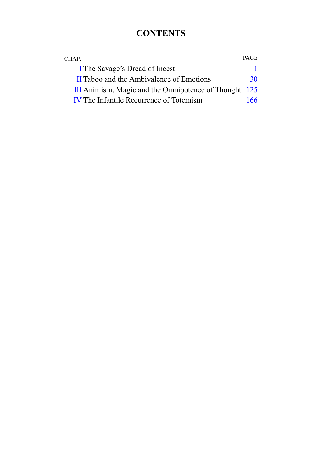# **CONTENTS**

| CHAP.                                                 | <b>PAGE</b> |
|-------------------------------------------------------|-------------|
| I The Savage's Dread of Incest                        |             |
| II Taboo and the Ambivalence of Emotions              | 30          |
| III Animism, Magic and the Omnipotence of Thought 125 |             |
| <b>IV</b> The Infantile Recurrence of Totemism        | 166.        |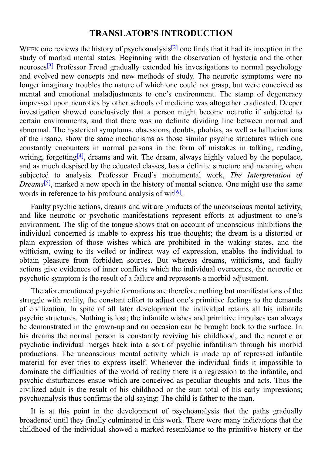## **TRANSLATOR'S INTRODUCTION**

WHEN one reviews the history of psychoanalysis<sup>[2]</sup> one finds that it had its inception in the study of morbid mental states. Beginning with the observation of hysteria and the other neuroses<sup>[3]</sup> Professor Freud gradually extended his investigations to normal psychology and evolved new concepts and new methods [of](#page-104-1) study. The neurotic symptoms were no longer imaginary troubles the nature of which one could not grasp, but were conceived as mental [and](#page-104-2) emotional maladjustments to one's environment. The stamp of degeneracy impressed upon neurotics by other schools of medicine was altogether eradicated. Deeper investigation showed conclusively that a person might become neurotic if subjected to certain environments, and that there was no definite dividing line between normal and abnormal. The hysterical symptoms, obsessions, doubts, phobias, as well as hallucinations of the insane, show the same mechanisms as those similar psychic structures which one constantly encounters in normal persons in the form of mistakes in talking, reading, writing, forgetting<sup>[4]</sup>, dreams and wit. The dream, always highly valued by the populace, and as much despised by the educated classes, has a definite structure and meaning when subjected to analysis. Professor Freud's monumental work, *The Interpretation of Dre[a](#page-104-3)ms*<sup>[5]</sup>, marked a new epoch in the history of mental science. One might use the same words in reference to his profound analysis of wit<sup>[6]</sup>.

Fau[lty](#page-104-4) psychic actions, dreams and wit are products of the unconscious mental activity, and like neurotic or psychotic manifestations [rep](#page-104-5)resent efforts at adjustment to one's environment. The slip of the tongue shows that on account of unconscious inhibitions the individual concerned is unable to express his true thoughts; the dream is a distorted or plain expression of those wishes which are prohibited in the waking states, and the witticism, owing to its veiled or indirect way of expression, enables the individual to obtain pleasure from forbidden sources. But whereas dreams, witticisms, and faulty actions give evidences of inner conflicts which the individual overcomes, the neurotic or psychotic symptom is the result of a failure and represents a morbid adjustment.

The aforementioned psychic formations are therefore nothing but manifestations of the struggle with reality, the constant effort to adjust one's primitive feelings to the demands of civilization. In spite of all later development the individual retains all his infantile psychic structures. Nothing is lost; the infantile wishes and primitive impulses can always be demonstrated in the grown-up and on occasion can be brought back to the surface. In his dreams the normal person is constantly reviving his childhood, and the neurotic or psychotic individual merges back into a sort of psychic infantilism through his morbid productions. The unconscious mental activity which is made up of repressed infantile material for ever tries to express itself. Whenever the individual finds it impossible to dominate the difficulties of the world of reality there is a regression to the infantile, and psychic disturbances ensue which are conceived as peculiar thoughts and acts. Thus the civilized adult is the result of his childhood or the sum total of his early impressions; psychoanalysis thus confirms the old saying: The child is father to the man.

It is at this point in the development of psychoanalysis that the paths gradually broadened until they finally culminated in this work. There were many indications that the childhood of the individual showed a marked resemblance to the primitive history or the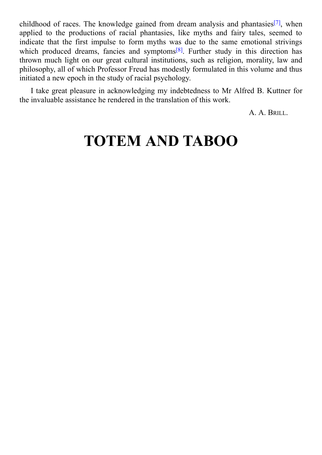childhood of races. The knowledge gained from dream analysis and phantasies  $\lambda$ applied to the productions of racial phantasies, like myths and fairy tales, seemed to indicate that the first impulse to form myths was due to the same emotional strivings which produced dreams, fancies and symptoms<sup>[8]</sup>. Further study in this dire[ctio](#page-104-6)n has thrown much light on our great cultural institutions, such as religion, morality, law and philosophy, all of which Professor Freud has modestly formulated in this volume and thus initiated a new epoch in the study of racial psycho[log](#page-104-7)y.

<span id="page-6-0"></span>I take great pleasure in acknowledging my indebtedness to Mr Alfred B. Kuttner for the invaluable assistance he rendered in the translation of this work.

A. A. BRILL.

# **TOTEM AND TABOO**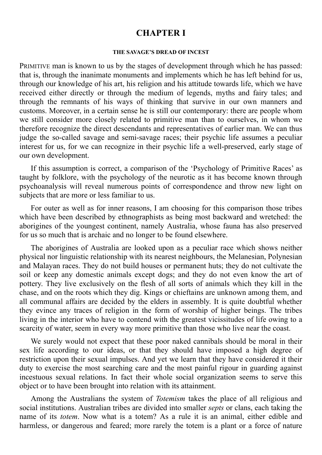## **CHAPTER I**

#### **THE SAVAGE'S DREAD OF INCEST**

<span id="page-8-0"></span>PRIMITIVE man is known to us by the stages of development through which he has passed: that is, through the inanimate monuments and implements which he has left behind for us, through our knowledge of his art, his religion and his attitude towards life, which we have received either directly or through the medium of legends, myths and fairy tales; and through the remnants of his ways of thinking that survive in our own manners and customs. Moreover, in a certain sense he is still our contemporary: there are people whom we still consider more closely related to primitive man than to ourselves, in whom we therefore recognize the direct descendants and representatives of earlier man. We can thus judge the so-called savage and semi-savage races; their psychic life assumes a peculiar interest for us, for we can recognize in their psychic life a well-preserved, early stage of our own development.

If this assumption is correct, a comparison of the 'Psychology of Primitive Races' as taught by folklore, with the psychology of the neurotic as it has become known through psychoanalysis will reveal numerous points of correspondence and throw new light on subjects that are more or less familiar to us.

For outer as well as for inner reasons, I am choosing for this comparison those tribes which have been described by ethnographists as being most backward and wretched: the aborigines of the youngest continent, namely Australia, whose fauna has also preserved for us so much that is archaic and no longer to be found elsewhere.

The aborigines of Australia are looked upon as a peculiar race which shows neither physical nor linguistic relationship with its nearest neighbours, the Melanesian, Polynesian and Malayan races. They do not build houses or permanent huts; they do not cultivate the soil or keep any domestic animals except dogs; and they do not even know the art of pottery. They live exclusively on the flesh of all sorts of animals which they kill in the chase, and on the roots which they dig. Kings or chieftains are unknown among them, and all communal affairs are decided by the elders in assembly. It is quite doubtful whether they evince any traces of religion in the form of worship of higher beings. The tribes living in the interior who have to contend with the greatest vicissitudes of life owing to a scarcity of water, seem in every way more primitive than those who live near the coast.

We surely would not expect that these poor naked cannibals should be moral in their sex life according to our ideas, or that they should have imposed a high degree of restriction upon their sexual impulses. And yet we learn that they have considered it their duty to exercise the most searching care and the most painful rigour in guarding against incestuous sexual relations. In fact their whole social organization seems to serve this object or to have been brought into relation with its attainment.

Among the Australians the system of *Totemism* takes the place of all religious and social institutions. Australian tribes are divided into smaller *septs* or clans, each taking the name of its *totem*. Now what is a totem? As a rule it is an animal, either edible and harmless, or dangerous and feared; more rarely the totem is a plant or a force of nature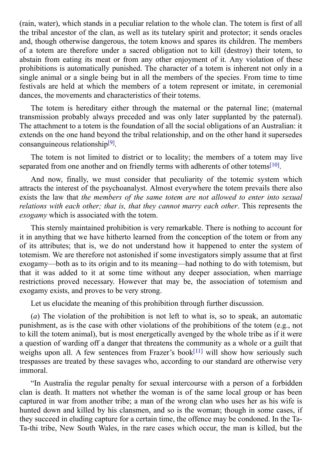(ration, which stands in a peculiar relation to the whole clans in a periodic clan. The totem is first of all  $\alpha$ the tribal ancestor of the clan, as well as its tutelary spirit and protector; it sends oracles and, though otherwise dangerous, the totem knows and spares its children. The members of a totem are therefore under a sacred obligation not to kill (destroy) their totem, to abstain from eating its meat or from any other enjoyment of it. Any violation of these prohibitions is automatically punished. The character of a totem is inherent not only in a single animal or a single being but in all the members of the species. From time to time festivals are held at which the members of a totem represent or imitate, in ceremonial dances, the movements and characteristics of their totems.

The totem is hereditary either through the maternal or the paternal line; (maternal transmission probably always preceded and was only later supplanted by the paternal). The attachment to a totem is the foundation of all the social obligations of an Australian: it extends on the one hand beyond the tribal relationship, and on the other hand it supersedes consanguineous relationship<sup>[9]</sup>.

The totem is not limited to district or to locality; the members of a totem may live separated from one another [and](#page-104-8) on friendly terms with adherents of other totems<sup>[10]</sup>.

And now, finally, we must consider that peculiarity of the totemic system which attracts the interest of the psychoanalyst. Almost everywhere the totem prevails [the](#page-104-9)re also exists the law that *the members of the same totem are not allowed to enter into sexual relations with each other; that is, that they cannot marry each other*. This represents the *exogamy* which is associated with the totem.

This sternly maintained prohibition is very remarkable. There is nothing to account for it in anything that we have hitherto learned from the conception of the totem or from any of its attributes; that is, we do not understand how it happened to enter the system of totemism. We are therefore not astonished if some investigators simply assume that at first exogamy—both as to its origin and to its meaning—had nothing to do with totemism, but that it was added to it at some time without any deeper association, when marriage restrictions proved necessary. However that may be, the association of totemism and exogamy exists, and proves to be very strong.

Let us elucidate the meaning of this prohibition through further discussion.

(*a*) The violation of the prohibition is not left to what is, so to speak, an automatic punishment, as is the case with other violations of the prohibitions of the totem (e.g., not to kill the totem animal), but is most energetically avenged by the whole tribe as if it were a question of warding off a danger that threatens the community as a whole or a guilt that weighs upon all. A few sentences from Frazer's book<sup>[11]</sup> will show how seriously such trespasses are treated by these savages who, according to our standard are otherwise very immoral.

"In Australia the regular penalty for sexual interc[ours](#page-104-10)e with a person of a forbidden clan is death. It matters not whether the woman is of the same local group or has been captured in war from another tribe; a man of the wrong clan who uses her as his wife is hunted down and killed by his clansmen, and so is the woman; though in some cases, if they succeed in eluding capture for a certain time, the offence may be condoned. In the Ta-Ta-thi tribe, New South Wales, in the rare cases which occur, the man is killed, but the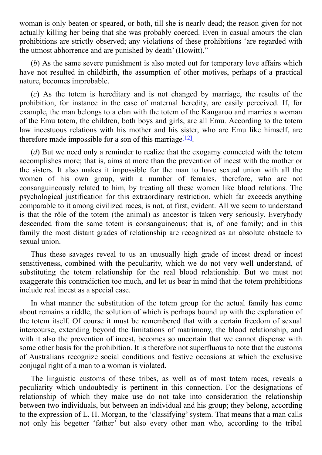woman is only beaten or both, till she is nearly dead; the reason given for nearly dead; the reason given for n actually killing her being that she was probably coerced. Even in casual amours the clan prohibitions are strictly observed; any violations of these prohibitions 'are regarded with the utmost abhorrence and are punished by death' (Howitt)."

(*b*) As the same severe punishment is also meted out for temporary love affairs which have not resulted in childbirth, the assumption of other motives, perhaps of a practical nature, becomes improbable.

(*c*) As the totem is hereditary and is not changed by marriage, the results of the prohibition, for instance in the case of maternal heredity, are easily perceived. If, for example, the man belongs to a clan with the totem of the Kangaroo and marries a woman of the Emu totem, the children, both boys and girls, are all Emu. According to the totem law incestuous relations with his mother and his sister, who are Emu like himself, are therefore made impossible for a son of this marriage<sup>[12]</sup>.

(*d*) But we need only a reminder to realize that the exogamy connected with the totem accomplishes more; that is, aims at more than the [prev](#page-104-11)ention of incest with the mother or the sisters. It also makes it impossible for the man to have sexual union with all the women of his own group, with a number of females, therefore, who are not consanguineously related to him, by treating all these women like blood relations. The psychological justification for this extraordinary restriction, which far exceeds anything comparable to it among civilized races, is not, at first, evident. All we seem to understand is that the rôle of the totem (the animal) as ancestor is taken very seriously. Everybody descended from the same totem is consanguineous; that is, of one family; and in this family the most distant grades of relationship are recognized as an absolute obstacle to sexual union.

Thus these savages reveal to us an unusually high grade of incest dread or incest sensitiveness, combined with the peculiarity, which we do not very well understand, of substituting the totem relationship for the real blood relationship. But we must not exaggerate this contradiction too much, and let us bear in mind that the totem prohibitions include real incest as a special case.

In what manner the substitution of the totem group for the actual family has come about remains a riddle, the solution of which is perhaps bound up with the explanation of the totem itself. Of course it must be remembered that with a certain freedom of sexual intercourse, extending beyond the limitations of matrimony, the blood relationship, and with it also the prevention of incest, becomes so uncertain that we cannot dispense with some other basis for the prohibition. It is therefore not superfluous to note that the customs of Australians recognize social conditions and festive occasions at which the exclusive conjugal right of a man to a woman is violated.

The linguistic customs of these tribes, as well as of most totem races, reveals a peculiarity which undoubtedly is pertinent in this connection. For the designations of relationship of which they make use do not take into consideration the relationship between two individuals, but between an individual and his group; they belong, according to the expression of L. H. Morgan, to the 'classifying'system. That means that a man calls not only his begetter 'father' but also every other man who, according to the tribal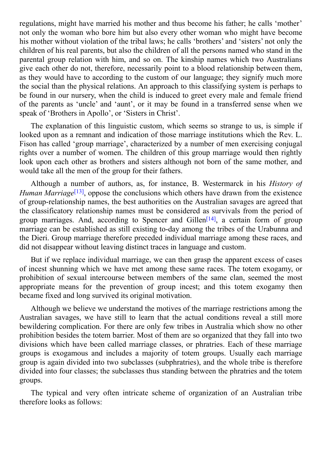regulations, might have married his mother and thus become his father; he calls 'mother' not only the woman who bore him but also every other woman who might have become his mother without violation of the tribal laws; he calls 'brothers' and 'sisters' not only the children of his real parents, but also the children of all the persons named who stand in the parental group relation with him, and so on. The kinship names which two Australians give each other do not, therefore, necessarily point to a blood relationship between them, as they would have to according to the custom of our language; they signify much more the social than the physical relations. An approach to this classifying system is perhaps to be found in our nursery, when the child is induced to greet every male and female friend of the parents as 'uncle' and 'aunt', or it may be found in a transferred sense when we speak of 'Brothers in Apollo', or 'Sisters in Christ'.

The explanation of this linguistic custom, which seems so strange to us, is simple if looked upon as a remnant and indication of those marriage institutions which the Rev. L. Fison has called 'group marriage', characterized by a number of men exercising conjugal rights over a number of women. The children of this group marriage would then rightly look upon each other as brothers and sisters although not born of the same mother, and would take all the men of the group for their fathers.

Although a number of authors, as, for instance, B. Westermarck in his *History of* Human *Marriage*<sup>[13]</sup>, oppose the conclusions which others have drawn from the existence of group-relationship names, the best authorities on the Australian savages are agreed that the classificatory relationship names must be considered as survivals from the period of group marriages. [A](#page-104-12)nd, according to Spencer and Gillen<sup>[14]</sup>, a certain form of group marriage can be established as still existing to-day among the tribes of the Urabunna and the Dieri. Group marriage therefore preceded individual marriage among these races, and did not disappear without leaving distinct traces in language [an](#page-104-13)d custom.

But if we replace individual marriage, we can then grasp the apparent excess of cases of incest shunning which we have met among these same races. The totem exogamy, or prohibition of sexual intercourse between members of the same clan, seemed the most appropriate means for the prevention of group incest; and this totem exogamy then became fixed and long survived its original motivation.

Although we believe we understand the motives of the marriage restrictions among the Australian savages, we have still to learn that the actual conditions reveal a still more bewildering complication. For there are only few tribes in Australia which show no other prohibition besides the totem barrier. Most of them are so organized that they fall into two divisions which have been called marriage classes, or phratries. Each of these marriage groups is exogamous and includes a majority of totem groups. Usually each marriage group is again divided into two subclasses (subphratries), and the whole tribe is therefore divided into four classes; the subclasses thus standing between the phratries and the totem groups.

The typical and very often intricate scheme of organization of an Australian tribe therefore looks as follows: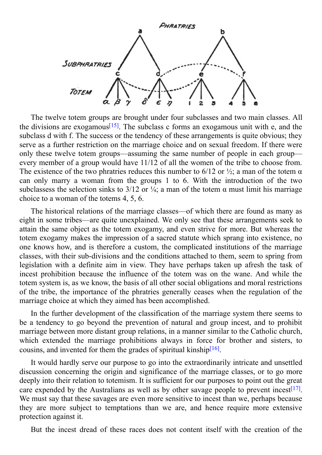

The twelve totem groups are brought under four subclasses and two main classes. All the divisions are exogamous<sup>[15]</sup>. The subclass c forms an exogamous unit with e, and the subclass d with f. The success or the tendency of these arrangements is quite obvious; they serve as a further restriction on the marriage choice and on sexual freedom. If there were only these twelve totem gro[ups](#page-105-0)—assuming the same number of people in each group every member of a group would have 11/12 of all the women of the tribe to choose from. The existence of the two phratries reduces this number to 6/12 or  $\frac{1}{2}$ ; a man of the totem  $\alpha$ can only marry a woman from the groups 1 to 6. With the introduction of the two subclassess the selection sinks to 3/12 or  $\frac{1}{4}$ ; a man of the totem  $\alpha$  must limit his marriage choice to a woman of the totems 4, 5, 6.

The historical relations of the marriage classes—of which there are found as many as eight in some tribes—are quite unexplained. We only see that these arrangements seek to attain the same object as the totem exogamy, and even strive for more. But whereas the totem exogamy makes the impression of a sacred statute which sprang into existence, no one knows how, and is therefore a custom, the complicated institutions of the marriage classes, with their sub-divisions and the conditions attached to them, seem to spring from legislation with a definite aim in view. They have perhaps taken up afresh the task of incest prohibition because the influence of the totem was on the wane. And while the totem system is, as we know, the basis of all other social obligations and moral restrictions of the tribe, the importance of the phratries generally ceases when the regulation of the marriage choice at which they aimed has been accomplished.

In the further development of the classification of the marriage system there seems to be a tendency to go beyond the prevention of natural and group incest, and to prohibit marriage between more distant group relations, in a manner similar to the Catholic church, which extended the marriage prohibitions always in force for brother and sisters, to cousins, and invented for them the grades of spiritual kinship $[16]$ .

It would hardly serve our purpose to go into the extraordinarily intricate and unsettled discussion concerning the origin and significance of the m[arria](#page-105-1)ge classes, or to go more deeply into their relation to totemism. It is sufficient for our purposes to point out the great care expended by the Australians as well as by other savage people to prevent incest<sup>[17]</sup>. We must say that these savages are even more sensitive to incest than we, perhaps because they are more subject to temptations than we are, and hence require more exten[sive](#page-105-2) protection against it.

But the incest dread of these races does not content itself with the creation of the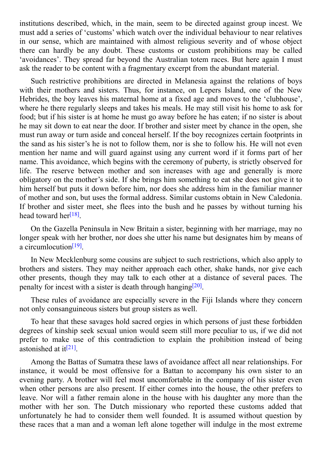institutions described, which, in the main, seem to be directed against group incest. We must add a series of 'customs' which watch over the individual behaviour to near relatives in our sense, which are maintained with almost religious severity and of whose object there can hardly be any doubt. These customs or custom prohibitions may be called 'avoidances'. They spread far beyond the Australian totem races. But here again I must ask the reader to be content with a fragmentary excerpt from the abundant material.

Such restrictive prohibitions are directed in Melanesia against the relations of boys with their mothers and sisters. Thus, for instance, on Lepers Island, one of the New Hebrides, the boy leaves his maternal home at a fixed age and moves to the 'clubhouse', where he there regularly sleeps and takes his meals. He may still visit his home to ask for food; but if his sister is at home he must go away before he has eaten; if no sister is about he may sit down to eat near the door. If brother and sister meet by chance in the open, she must run away or turn aside and conceal herself. If the boy recognizes certain footprints in the sand as his sister's he is not to follow them, nor is she to follow his. He will not even mention her name and will guard against using any current word if it forms part of her name. This avoidance, which begins with the ceremony of puberty, is strictly observed for life. The reserve between mother and son increases with age and generally is more obligatory on the mother's side. If she brings him something to eat she does not give it to him herself but puts it down before him, nor does she address him in the familiar manner of mother and son, but uses the formal address. Similar customs obtain in New Caledonia. If brother and sister meet, she flees into the bush and he passes by without turning his head toward her<sup>[18]</sup>.

On the Gazella Peninsula in New Britain a sister, beginning with her marriage, may no longer speak wi[th](#page-105-3) her brother, nor does she utter his name but designates him by means of a circumlocution<sup>[19]</sup>.

In New Mecklenburg some cousins are subject to such restrictions, which also apply to brothers and sis[ters.](#page-105-4) They may neither approach each other, shake hands, nor give each other presents, though they may talk to each other at a distance of several paces. The penalty for incest with a sister is death through hanging<sup>[20]</sup>.

These rules of avoidance are especially severe in the Fiji Islands where they concern not only consanguineous sisters but group sisters as we[ll.](#page-105-5)

To hear that these savages hold sacred orgies in which persons of just these forbidden degrees of kinship seek sexual union would seem still more peculiar to us, if we did not prefer to make use of this contradiction to explain the prohibition instead of being astonished at it<sup>[21]</sup>.

Among the Battas of Sumatra these laws of avoidance affect all near relationships. For instance, it w[ould](#page-105-6) be most offensive for a Battan to accompany his own sister to an evening party. A brother will feel most uncomfortable in the company of his sister even when other persons are also present. If either comes into the house, the other prefers to leave. Nor will a father remain alone in the house with his daughter any more than the mother with her son. The Dutch missionary who reported these customs added that unfortunately he had to consider them well founded. It is assumed without question by these races that a man and a woman left alone together will indulge in the most extreme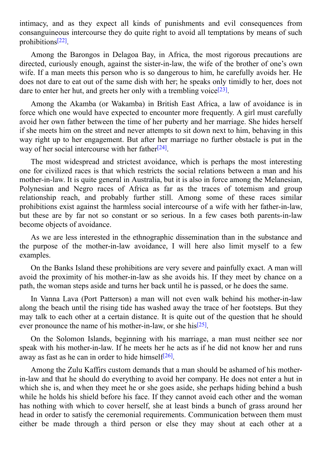intimacy, and as they expect all kinds of punishments and evil consequences from  $\mathbf{1}$ consanguineous intercourse they do quite right to avoid all temptations by means of such prohibitions [22] .

Among the Barongos in Delagoa Bay, in Africa, the most rigorous precautions are directed, cu[riou](#page-105-7)sly enough, against the sister-in-law, the wife of the brother of one's own wife. If a man meets this person who is so dangerous to him, he carefully avoids her. He does not dare to eat out of the same dish with her; he speaks only timidly to her, does not dare to enter her hut, and greets her only with a trembling voice<sup>[23]</sup>.

Among the Akamba (or Wakamba) in British East Africa, a law of avoidance is in force which one would have expected to encounter more freq[uentl](#page-105-8)y. A girl must carefully avoid her own father between the time of her puberty and her marriage. She hides herself if she meets him on the street and never attempts to sit down next to him, behaving in this way right up to her engagement. But after her marriage no further obstacle is put in the way of her social intercourse with her father<sup>[24]</sup>.

The most widespread and strictest avoidance, which is perhaps the most interesting one for civilized races is that which restric[ts](#page-105-9) the social relations between a man and his mother-in-law. It is quite general in Australia, but it is also in force among the Melanesian, Polynesian and Negro races of Africa as far as the traces of totemism and group relationship reach, and probably further still. Among some of these races similar prohibitions exist against the harmless social intercourse of a wife with her father-in-law, but these are by far not so constant or so serious. In a few cases both parents-in-law become objects of avoidance.

As we are less interested in the ethnographic dissemination than in the substance and the purpose of the mother-in-law avoidance, I will here also limit myself to a few examples.

On the Banks Island these prohibitions are very severe and painfully exact. A man will avoid the proximity of his mother-in-law as she avoids his. If they meet by chance on a path, the woman steps aside and turns her back until he is passed, or he does the same.

In Vanna Lava (Port Patterson) a man will not even walk behind his mother-in-law along the beach until the rising tide has washed away the trace of her footsteps. But they may talk to each other at a certain distance. It is quite out of the question that he should ever pronounce the name of his mother-in-law, or she his<sup>[25]</sup>.

On the Solomon Islands, beginning with his marriage, a man must neither see nor speak with his mother-in-law. If he meets her he acts as [if](#page-105-10) he did not know her and runs away as fast as he can in order to hide himself $[26]$ .

Among the Zulu Kaffirs custom demands that a man should be ashamed of his motherin-law and that he should do everything to a[void](#page-105-11) her company. He does not enter a hut in which she is, and when they meet he or she goes aside, she perhaps hiding behind a bush while he holds his shield before his face. If they cannot avoid each other and the woman has nothing with which to cover herself, she at least binds a bunch of grass around her head in order to satisfy the ceremonial requirements. Communication between them must either be made through a third person or else they may shout at each other at a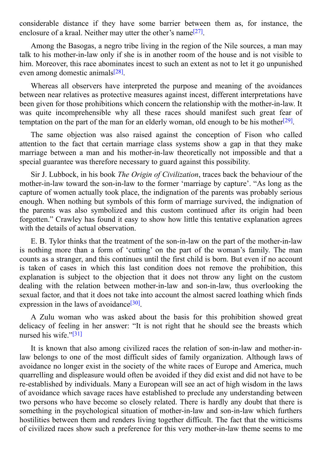considerable distance if they have some barrier between them as, for instance, the enclosure of a kraal. Neither may utter the other's name<sup>[27]</sup>.

Among the Basogas, a negro tribe living in the region of the Nile sources, a man may talk to his mother-in-law only if she is in another room [of](#page-105-12) the house and is not visible to him. Moreover, this race abominates incest to such an extent as not to let it go unpunished even among domestic animals<sup>[28]</sup>.

Whereas all observers have interpreted the purpose and meaning of the avoidances between near relatives as prot[ecti](#page-105-13)ve measures against incest, different interpretations have been given for those prohibitions which concern the relationship with the mother-in-law. It was quite incomprehensible why all these races should manifest such great fear of temptation on the part of the man for an elderly woman, old enough to be his mother<sup>[29]</sup>.

The same objection was also raised against the conception of Fison who called attention to the fact that certain marriage class systems show a gap in that they [ma](#page-105-14)ke marriage between a man and his mother-in-law theoretically not impossible and that a special guarantee was therefore necessary to guard against this possibility.

Sir J. Lubbock, in his book *The Origin of Civilization*, traces back the behaviour of the mother-in-law toward the son-in-law to the former 'marriage by capture'. "As long as the capture of women actually took place, the indignation of the parents was probably serious enough. When nothing but symbols of this form of marriage survived, the indignation of the parents was also symbolized and this custom continued after its origin had been forgotten." Crawley has found it easy to show how little this tentative explanation agrees with the details of actual observation.

E. B. Tylor thinks that the treatment of the son-in-law on the part of the mother-in-law is nothing more than a form of 'cutting' on the part of the woman's family. The man counts as a stranger, and this continues until the first child is born. But even if no account is taken of cases in which this last condition does not remove the prohibition, this explanation is subject to the objection that it does not throw any light on the custom dealing with the relation between mother-in-law and son-in-law, thus overlooking the sexual factor, and that it does not take into account the almost sacred loathing which finds expression in the laws of avoidance<sup>[30]</sup>.

A Zulu woman who was asked about the basis for this prohibition showed great delicacy of feeling in her answer: ["It](#page-105-15) is not right that he should see the breasts which nursed his wife."<sup>[31]</sup>

It is known that also among civilized races the relation of son-in-law and mother-inlaw belongs to [one](#page-105-16) of the most difficult sides of family organization. Although laws of avoidance no longer exist in the society of the white races of Europe and America, much quarrelling and displeasure would often be avoided if they did exist and did not have to be re-established by individuals. Many a European will see an act of high wisdom in the laws of avoidance which savage races have established to preclude any understanding between two persons who have become so closely related. There is hardly any doubt that there is something in the psychological situation of mother-in-law and son-in-law which furthers hostilities between them and renders living together difficult. The fact that the witticisms of civilized races show such a preference for this very mother-in-law theme seems to me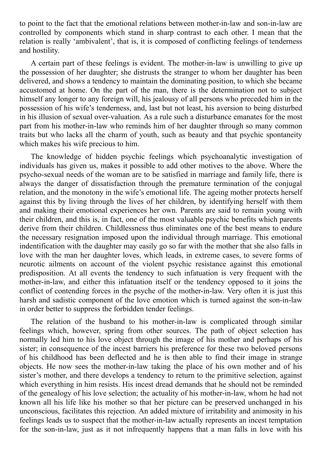to point to the fact that the emotional relations between mother-in-law and son-in-law are controlled by components which stand in sharp contrast to each other. I mean that the relation is really 'ambivalent', that is, it is composed of conflicting feelings of tenderness and hostility.

A certain part of these feelings is evident. The mother-in-law is unwilling to give up the possession of her daughter; she distrusts the stranger to whom her daughter has been delivered, and shows a tendency to maintain the dominating position, to which she became accustomed at home. On the part of the man, there is the determination not to subject himself any longer to any foreign will, his jealousy of all persons who preceded him in the possession of his wife's tenderness, and, last but not least, his aversion to being disturbed in his illusion of sexual over-valuation. As a rule such a disturbance emanates for the most part from his mother-in-law who reminds him of her daughter through so many common traits but who lacks all the charm of youth, such as beauty and that psychic spontaneity which makes his wife precious to him.

The knowledge of hidden psychic feelings which psychoanalytic investigation of individuals has given us, makes it possible to add other motives to the above. Where the psycho-sexual needs of the woman are to be satisfied in marriage and family life, there is always the danger of dissatisfaction through the premature termination of the conjugal relation, and the monotony in the wife's emotional life. The ageing mother protects herself against this by living through the lives of her children, by identifying herself with them and making their emotional experiences her own. Parents are said to remain young with their children, and this is, in fact, one of the most valuable psychic benefits which parents derive from their children. Childlessness thus eliminates one of the best means to endure the necessary resignation imposed upon the individual through marriage. This emotional indentification with the daughter may easily go so far with the mother that she also falls in love with the man her daughter loves, which leads, in extreme cases, to severe forms of neurotic ailments on account of the violent psychic resistance against this emotional predisposition. At all events the tendency to such infatuation is very frequent with the mother-in-law, and either this infatuation itself or the tendency opposed to it joins the conflict of contending forces in the psyche of the mother-in-law. Very often it is just this harsh and sadistic component of the love emotion which is turned against the son-in-law in order better to suppress the forbidden tender feelings.

The relation of the husband to his mother-in-law is complicated through similar feelings which, however, spring from other sources. The path of object selection has normally led him to his love object through the image of his mother and perhaps of his sister; in consequence of the incest barriers his preference for these two beloved persons of his childhood has been deflected and he is then able to find their image in strange objects. He now sees the mother-in-law taking the place of his own mother and of his sister's mother, and there develops a tendency to return to the primitive selection, against which everything in him resists. His incest dread demands that he should not be reminded of the genealogy of his love selection; the actuality of his mother-in-law, whom he had not known all his life like his mother so that her picture can be preserved unchanged in his unconscious, facilitates this rejection. An added mixture of irritability and animosity in his feelings leads us to suspect that the mother-in-law actually represents an incest temptation for the son-in-law, just as it not infrequently happens that a man falls in love with his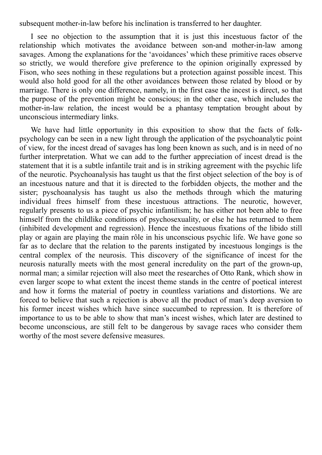subsequent mother-in-law before his inclination is transferred to her daughter.

I see no objection to the assumption that it is just this incestuous factor of the relationship which motivates the avoidance between son-and mother-in-law among savages. Among the explanations for the 'avoidances' which these primitive races observe so strictly, we would therefore give preference to the opinion originally expressed by Fison, who sees nothing in these regulations but a protection against possible incest. This would also hold good for all the other avoidances between those related by blood or by marriage. There is only one difference, namely, in the first case the incest is direct, so that the purpose of the prevention might be conscious; in the other case, which includes the mother-in-law relation, the incest would be a phantasy temptation brought about by unconscious intermediary links.

<span id="page-17-0"></span>We have had little opportunity in this exposition to show that the facts of folkpsychology can be seen in a new light through the application of the psychoanalytic point of view, for the incest dread of savages has long been known as such, and is in need of no further interpretation. What we can add to the further appreciation of incest dread is the statement that it is a subtle infantile trait and is in striking agreement with the psychic life of the neurotic. Psychoanalysis has taught us that the first object selection of the boy is of an incestuous nature and that it is directed to the forbidden objects, the mother and the sister; pyschoanalysis has taught us also the methods through which the maturing individual frees himself from these incestuous attractions. The neurotic, however, regularly presents to us a piece of psychic infantilism; he has either not been able to free himself from the childlike conditions of psychosexuality, or else he has returned to them (inhibited development and regression). Hence the incestuous fixations of the libido still play or again are playing the main rôle in his unconscious psychic life. We have gone so far as to declare that the relation to the parents instigated by incestuous longings is the central complex of the neurosis. This discovery of the significance of incest for the neurosis naturally meets with the most general incredulity on the part of the grown-up, normal man; a similar rejection will also meet the researches of Otto Rank, which show in even larger scope to what extent the incest theme stands in the centre of poetical interest and how it forms the material of poetry in countless variations and distortions. We are forced to believe that such a rejection is above all the product of man's deep aversion to his former incest wishes which have since succumbed to repression. It is therefore of importance to us to be able to show that man's incest wishes, which later are destined to become unconscious, are still felt to be dangerous by savage races who consider them worthy of the most severe defensive measures.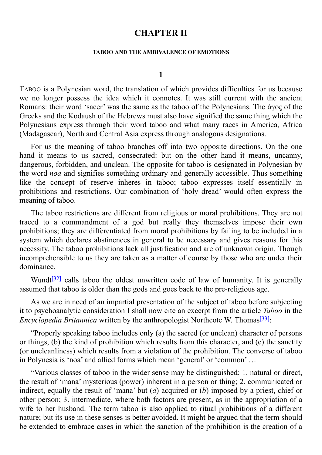## **CHAPTER II**

#### **TABOO AND THE AMBIVALENCE OF EMOTIONS**

#### **1**

<span id="page-19-0"></span>TABOO is a Polynesian word, the translation of which provides difficulties for us because we no longer possess the idea which it connotes. It was still current with the ancient Romans: their word 'sacer' was the same as the taboo of the Polynesians. The ἁγος of the Greeks and the Kodaush of the Hebrews must also have signified the same thing which the Polynesians express through their word taboo and what many races in America, Africa (Madagascar), North and Central Asia express through analogous designations.

For us the meaning of taboo branches off into two opposite directions. On the one hand it means to us sacred, consecrated: but on the other hand it means, uncanny, dangerous, forbidden, and unclean. The opposite for taboo is designated in Polynesian by the word *noa* and signifies something ordinary and generally accessible. Thus something like the concept of reserve inheres in taboo; taboo expresses itself essentially in prohibitions and restrictions. Our combination of 'holy dread' would often express the meaning of taboo.

The taboo restrictions are different from religious or moral prohibitions. They are not traced to a commandment of a god but really they themselves impose their own prohibitions; they are differentiated from moral prohibitions by failing to be included in a system which declares abstinences in general to be necessary and gives reasons for this necessity. The taboo prohibitions lack all justification and are of unknown origin. Though incomprehensible to us they are taken as a matter of course by those who are under their dominance.

Wundt<sup>[32]</sup> calls taboo the oldest unwritten code of law of humanity. It is generally assumed that taboo is older than the gods and goes back to the pre-religious age.

As we [are](#page-105-17) in need of an impartial presentation of the subject of taboo before subjecting it to psychoanalytic consideration I shall now cite an excerpt from the article *Taboo* in the *Encyclopedia Britannica* written by the anthropologist Northcote W. Thomas [33]:

"Properly speaking taboo includes only (a) the sacred (or unclean) character of persons or things, (b) the kind of prohibition which results from this character, and ([c\)](#page-105-18) the sanctity (or uncleanliness) which results from a violation of the prohibition. The converse of taboo in Polynesia is 'noa' and allied forms which mean 'general' or 'common' …

"Various classes of taboo in the wider sense may be distinguished: 1. natural or direct, the result of 'mana' mysterious (power) inherent in a person or thing; 2. communicated or indirect, equally the result of 'mana' but (*a*) acquired or (*b*) imposed by a priest, chief or other person; 3. intermediate, where both factors are present, as in the appropriation of a wife to her husband. The term taboo is also applied to ritual prohibitions of a different nature; but its use in these senses is better avoided. It might be argued that the term should be extended to embrace cases in which the sanction of the prohibition is the creation of a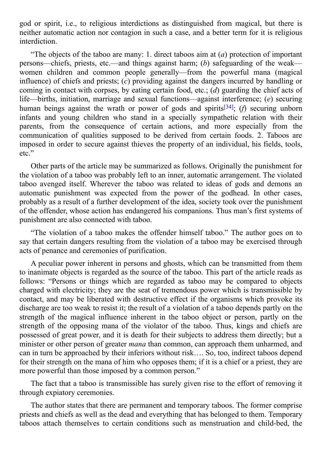$\boldsymbol{\mathsf{c}}$  or spirit, i.e., to religious interdictions as distinguished from magical, but there is a distinguished from magical, but the interdictions as distinguished from magical, but the interdiction of the interdicti neither automatic action nor contagion in such a case, and a better term for it is religious interdiction.

"The objects of the taboo are many: 1. direct taboos aim at (*a*) protection of important persons—chiefs, priests, etc.—and things against harm; (*b*) safeguarding of the weak women children and common people generally—from the powerful mana (magical influence) of chiefs and priests; (*c*) providing against the dangers incurred by handling or coming in contact with corpses, by eating certain food, etc.; (*d*) guarding the chief acts of life—births, initiation, marriage and sexual functions—against interference; (*e*) securing human beings against the wrath or power of gods and spirits [34]; (*f*) securing unborn infants and young children who stand in a specially sympathetic relation with their parents, from the consequence of certain actions, and more especially from the communication of qualities supposed to be derived from cert[ain](#page-105-19) foods. 2. Taboos are imposed in order to secure against thieves the property of an individual, his fields, tools, etc."

Other parts of the article may be summarized as follows. Originally the punishment for the violation of a taboo was probably left to an inner, automatic arrangement. The violated taboo avenged itself. Wherever the taboo was related to ideas of gods and demons an automatic punishment was expected from the power of the godhead. In other cases, probably as a result of a further development of the idea, society took over the punishment of the offender, whose action has endangered his companions. Thus man's first systems of punishment are also connected with taboo.

"The violation of a taboo makes the offender himself taboo." The author goes on to say that certain dangers resulting from the violation of a taboo may be exercised through acts of penance and ceremonies of purification.

A peculiar power inherent in persons and ghosts, which can be transmitted from them to inanimate objects is regarded as the source of the taboo. This part of the article reads as follows: "Persons or things which are regarded as taboo may be compared to objects charged with electricity; they are the seat of tremendous power which is transmissible by contact, and may be liberated with destructive effect if the organisms which provoke its discharge are too weak to resist it; the result of a violation of a taboo depends partly on the strength of the magical influence inherent in the taboo object or person, partly on the strength of the opposing mana of the violator of the taboo. Thus, kings and chiefs are possessed of great power, and it is death for their subjects to address them directly; but a minister or other person of greater *mana* than common, can approach them unharmed, and can in turn be approached by their inferiors without risk…. So, too, indirect taboos depend for their strength on the mana of him who opposes them; if it is a chief or a priest, they are more powerful than those imposed by a common person."

The fact that a taboo is transmissible has surely given rise to the effort of removing it through expiatory ceremonies.

The author states that there are permanent and temporary taboos. The former comprise priests and chiefs as well as the dead and everything that has belonged to them. Temporary taboos attach themselves to certain conditions such as menstruation and child-bed, the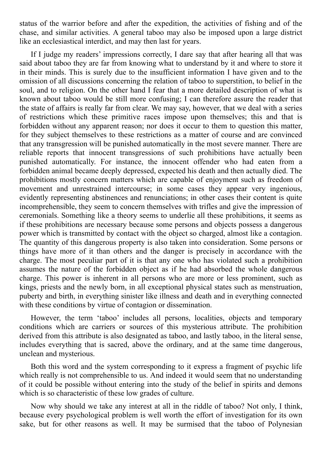status of the warrior before and after the expedition, the activities of fishing and of the chase, and similar activities. A general taboo may also be imposed upon a large district like an ecclesiastical interdict, and may then last for years.

If I judge my readers' impressions correctly, I dare say that after hearing all that was said about taboo they are far from knowing what to understand by it and where to store it in their minds. This is surely due to the insufficient information I have given and to the omission of all discussions concerning the relation of taboo to superstition, to belief in the soul, and to religion. On the other hand I fear that a more detailed description of what is known about taboo would be still more confusing; I can therefore assure the reader that the state of affairs is really far from clear. We may say, however, that we deal with a series of restrictions which these primitive races impose upon themselves; this and that is forbidden without any apparent reason; nor does it occur to them to question this matter, for they subject themselves to these restrictions as a matter of course and are convinced that any transgression will be punished automatically in the most severe manner. There are reliable reports that innocent transgressions of such prohibitions have actually been punished automatically. For instance, the innocent offender who had eaten from a forbidden animal became deeply depressed, expected his death and then actually died. The prohibitions mostly concern matters which are capable of enjoyment such as freedom of movement and unrestrained intercourse; in some cases they appear very ingenious, evidently representing abstinences and renunciations; in other cases their content is quite incomprehensible, they seem to concern themselves with trifles and give the impression of ceremonials. Something like a theory seems to underlie all these prohibitions, it seems as if these prohibitions are necessary because some persons and objects possess a dangerous power which is transmitted by contact with the object so charged, almost like a contagion. The quantity of this dangerous property is also taken into consideration. Some persons or things have more of it than others and the danger is precisely in accordance with the charge. The most peculiar part of it is that any one who has violated such a prohibition assumes the nature of the forbidden object as if he had absorbed the whole dangerous charge. This power is inherent in all persons who are more or less prominent, such as kings, priests and the newly born, in all exceptional physical states such as menstruation, puberty and birth, in everything sinister like illness and death and in everything connected with these conditions by virtue of contagion or dissemination.

However, the term 'taboo' includes all persons, localities, objects and temporary conditions which are carriers or sources of this mysterious attribute. The prohibition derived from this attribute is also designated as taboo, and lastly taboo, in the literal sense, includes everything that is sacred, above the ordinary, and at the same time dangerous, unclean and mysterious.

Both this word and the system corresponding to it express a fragment of psychic life which really is not comprehensible to us. And indeed it would seem that no understanding of it could be possible without entering into the study of the belief in spirits and demons which is so characteristic of these low grades of culture.

Now why should we take any interest at all in the riddle of taboo? Not only, I think, because every psychological problem is well worth the effort of investigation for its own sake, but for other reasons as well. It may be surmised that the taboo of Polynesian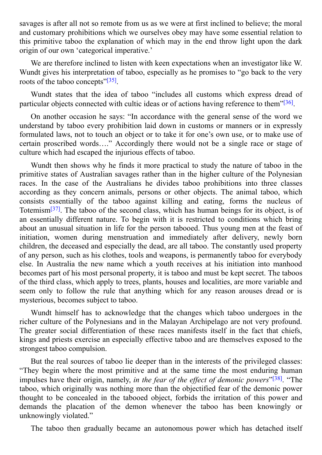savages is after all not so remote from us as we were at first inclined to believe; the moral and customary prohibitions which we ourselves obey may have some essential relation to this primitive taboo the explanation of which may in the end throw light upon the dark origin of our own 'categorical imperative.'

We are therefore inclined to listen with keen expectations when an investigator like W. Wundt gives his interpretation of taboo, especially as he promises to "go back to the very roots of the taboo concepts"<sup>[35]</sup>.

Wundt states that the idea of taboo "includes all customs which express dread of particular objects connected [wi](#page-105-20)th cultic ideas or of actions having reference to them"<sup>[36]</sup>.

On another occasion he says: "In accordance with the general sense of the word we understand by taboo every prohibition laid down in customs or manners or in ex[pres](#page-105-21)sly formulated laws, not to touch an object or to take it for one's own use, or to make use of certain proscribed words…." Accordingly there would not be a single race or stage of culture which had escaped the injurious effects of taboo.

Wundt then shows why he finds it more practical to study the nature of taboo in the primitive states of Australian savages rather than in the higher culture of the Polynesian races. In the case of the Australians he divides taboo prohibitions into three classes according as they concern animals, persons or other objects. The animal taboo, which consists essentially of the taboo against killing and eating, forms the nucleus of Totemism<sup>[37]</sup>. The taboo of the second class, which has human beings for its object, is of an essentially different nature. To begin with it is restricted to conditions which bring about an unusual situation in life for the person tabooed. Thus young men at the feast of initiation, [w](#page-105-22)omen during menstruation and immediately after delivery, newly born children, the deceased and especially the dead, are all taboo. The constantly used property of any person, such as his clothes, tools and weapons, is permanently taboo for everybody else. In Australia the new name which a youth receives at his initiation into manhood becomes part of his most personal property, it is taboo and must be kept secret. The taboos of the third class, which apply to trees, plants, houses and localities, are more variable and seem only to follow the rule that anything which for any reason arouses dread or is mysterious, becomes subject to taboo.

Wundt himself has to acknowledge that the changes which taboo undergoes in the richer culture of the Polynesians and in the Malayan Archipelago are not very profound. The greater social differentiation of these races manifests itself in the fact that chiefs, kings and priests exercise an especially effective taboo and are themselves exposed to the strongest taboo compulsion.

But the real sources of taboo lie deeper than in the interests of the privileged classes: "They begin where the most primitive and at the same time the most enduring human impulses have their origin, namely, *in the fear of the effect of demonic powers*"<sup>[38]</sup>. "The taboo, which originally was nothing more than the objectified fear of the demonic power thought to be concealed in the tabooed object, forbids the irritation of this power and demands the placation of the demon whenever the taboo has been kno[wing](#page-105-23)ly or unknowingly violated."

The taboo then gradually became an autonomous power which has detached itself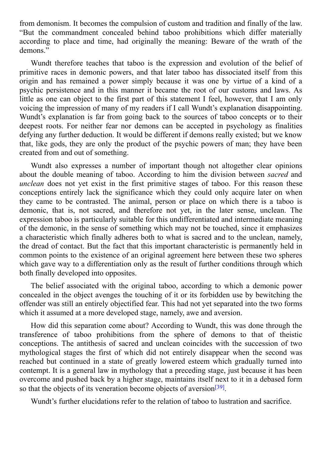from demonstration of computing the computation of computation of  $\mathcal{L}$ "But the commandment concealed behind taboo prohibitions which differ materially according to place and time, had originally the meaning: Beware of the wrath of the demons."

Wundt therefore teaches that taboo is the expression and evolution of the belief of primitive races in demonic powers, and that later taboo has dissociated itself from this origin and has remained a power simply because it was one by virtue of a kind of a psychic persistence and in this manner it became the root of our customs and laws. As little as one can object to the first part of this statement I feel, however, that I am only voicing the impression of many of my readers if I call Wundt's explanation disappointing. Wundt's explanation is far from going back to the sources of taboo concepts or to their deepest roots. For neither fear nor demons can be accepted in psychology as finalities defying any further deduction. It would be different if demons really existed; but we know that, like gods, they are only the product of the psychic powers of man; they have been created from and out of something.

Wundt also expresses a number of important though not altogether clear opinions about the double meaning of taboo. According to him the division between *sacred* and *unclean* does not yet exist in the first primitive stages of taboo. For this reason these conceptions entirely lack the significance which they could only acquire later on when they came to be contrasted. The animal, person or place on which there is a taboo is demonic, that is, not sacred, and therefore not yet, in the later sense, unclean. The expression taboo is particularly suitable for this undifferentiated and intermediate meaning of the demonic, in the sense of something which may not be touched, since it emphasizes a characteristic which finally adheres both to what is sacred and to the unclean, namely, the dread of contact. But the fact that this important characteristic is permanently held in common points to the existence of an original agreement here between these two spheres which gave way to a differentiation only as the result of further conditions through which both finally developed into opposites.

The belief associated with the original taboo, according to which a demonic power concealed in the object avenges the touching of it or its forbidden use by bewitching the offender was still an entirely objectified fear. This had not yet separated into the two forms which it assumed at a more developed stage, namely, awe and aversion.

How did this separation come about? According to Wundt, this was done through the transference of taboo prohibitions from the sphere of demons to that of theistic conceptions. The antithesis of sacred and unclean coincides with the succession of two mythological stages the first of which did not entirely disappear when the second was reached but continued in a state of greatly lowered esteem which gradually turned into contempt. It is a general law in mythology that a preceding stage, just because it has been overcome and pushed back by a higher stage, maintains itself next to it in a debased form so that the objects of its veneration become objects of aversion<sup>[39]</sup>.

Wundt's further elucidations refer to the relation of taboo to lustration and sacrifice.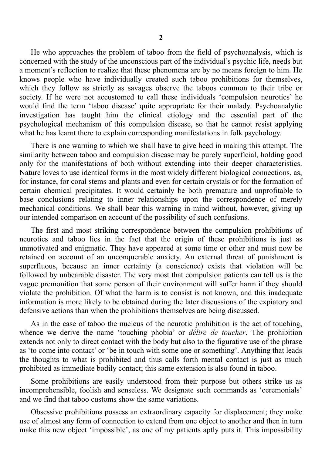He who approaches the problem of taboo from the field of psychoanalysis, which is concerned with the study of the unconscious part of the individual's psychic life, needs but a moment's reflection to realize that these phenomena are by no means foreign to him. He knows people who have individually created such taboo prohibitions for themselves, which they follow as strictly as savages observe the taboos common to their tribe or society. If he were not accustomed to call these individuals 'compulsion neurotics' he would find the term 'taboo disease' quite appropriate for their malady. Psychoanalytic investigation has taught him the clinical etiology and the essential part of the psychological mechanism of this compulsion disease, so that he cannot resist applying what he has learnt there to explain corresponding manifestations in folk psychology.

There is one warning to which we shall have to give heed in making this attempt. The similarity between taboo and compulsion disease may be purely superficial, holding good only for the manifestations of both without extending into their deeper characteristics. Nature loves to use identical forms in the most widely different biological connections, as, for instance, for coral stems and plants and even for certain crystals or for the formation of certain chemical precipitates. It would certainly be both premature and unprofitable to base conclusions relating to inner relationships upon the correspondence of merely mechanical conditions. We shall bear this warning in mind without, however, giving up our intended comparison on account of the possibility of such confusions.

The first and most striking correspondence between the compulsion prohibitions of neurotics and taboo lies in the fact that the origin of these prohibitions is just as unmotivated and enigmatic. They have appeared at some time or other and must now be retained on account of an unconquerable anxiety. An external threat of punishment is superfluous, because an inner certainty (a conscience) exists that violation will be followed by unbearable disaster. The very most that compulsion patients can tell us is the vague premonition that some person of their environment will suffer harm if they should violate the prohibition. Of what the harm is to consist is not known, and this inadequate information is more likely to be obtained during the later discussions of the expiatory and defensive actions than when the prohibitions themselves are being discussed.

As in the case of taboo the nucleus of the neurotic prohibition is the act of touching, whence we derive the name 'touching phobia' or *délire de toucher*. The prohibition extends not only to direct contact with the body but also to the figurative use of the phrase as 'to come into contact' or 'be in touch with some one or something'. Anything that leads the thoughts to what is prohibited and thus calls forth mental contact is just as much prohibited as immediate bodily contact; this same extension is also found in taboo.

Some prohibitions are easily understood from their purpose but others strike us as incomprehensible, foolish and senseless. We designate such commands as 'ceremonials' and we find that taboo customs show the same variations.

Obsessive prohibitions possess an extraordinary capacity for displacement; they make use of almost any form of connection to extend from one object to another and then in turn make this new object 'impossible', as one of my patients aptly puts it. This impossibility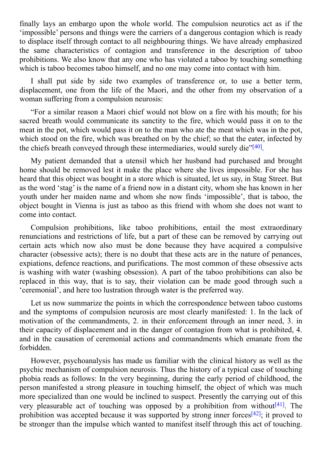finally lays an embargo upon the whole world. The compulsion neurotics act as if the 'impossible' persons and things were the carriers of a dangerous contagion which is ready to displace itself through contact to all neighbouring things. We have already emphasized the same characteristics of contagion and transference in the description of taboo prohibitions. We also know that any one who has violated a taboo by touching something which is taboo becomes taboo himself, and no one may come into contact with him.

I shall put side by side two examples of transference or, to use a better term, displacement, one from the life of the Maori, and the other from my observation of a woman suffering from a compulsion neurosis:

"For a similar reason a Maori chief would not blow on a fire with his mouth; for his sacred breath would communicate its sanctity to the fire, which would pass it on to the meat in the pot, which would pass it on to the man who ate the meat which was in the pot, which stood on the fire, which was breathed on by the chief; so that the eater, infected by the chiefs breath conveyed through these intermediaries, would surely die"<sup>[40]</sup>.

My patient demanded that a utensil which her husband had purchased and brought home should be removed lest it make the place where she lives impossi[ble.](#page-105-24) For she has heard that this object was bought in a store which is situated, let us say, in Stag Street. But as the word 'stag' is the name of a friend now in a distant city, whom she has known in her youth under her maiden name and whom she now finds 'impossible', that is taboo, the object bought in Vienna is just as taboo as this friend with whom she does not want to come into contact.

Compulsion prohibitions, like taboo prohibitions, entail the most extraordinary renunciations and restrictions of life, but a part of these can be removed by carrying out certain acts which now also must be done because they have acquired a compulsive character (obsessive acts); there is no doubt that these acts are in the nature of penances, expiations, defence reactions, and purifications. The most common of these obsessive acts is washing with water (washing obsession). A part of the taboo prohibitions can also be replaced in this way, that is to say, their violation can be made good through such a 'ceremonial', and here too lustration through water is the preferred way.

Let us now summarize the points in which the correspondence between taboo customs and the symptoms of compulsion neurosis are most clearly manifested: 1. In the lack of motivation of the commandments, 2. in their enforcement through an inner need, 3. in their capacity of displacement and in the danger of contagion from what is prohibited, 4. and in the causation of ceremonial actions and commandments which emanate from the forbidden.

However, psychoanalysis has made us familiar with the clinical history as well as the psychic mechanism of compulsion neurosis. Thus the history of a typical case of touching phobia reads as follows: In the very beginning, during the early period of childhood, the person manifested a strong pleasure in touching himself, the object of which was much more specialized than one would be inclined to suspect. Presently the carrying out of this very pleasurable act of touching was opposed by a prohibition from without  $[41]$ . The prohibition was accepted because it was supported by strong inner forces<sup>[42]</sup>; it proved to be stronger than the impulse which wanted to manifest itself through this act of [touc](#page-105-25)hing.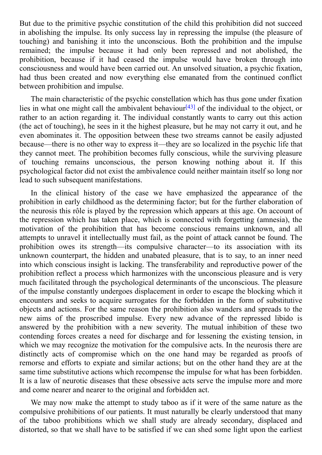$\mathbf{B}$  due to the primitive psychic constitution of this problem of this problem of this problem of this problem of this problem of this problem of this problem of this problem of this problem of this problem. In this p in abolishing the impulse. Its only success lay in repressing the impulse (the pleasure of touching) and banishing it into the unconscious. Both the prohibition and the impulse remained; the impulse because it had only been repressed and not abolished, the prohibition, because if it had ceased the impulse would have broken through into consciousness and would have been carried out. An unsolved situation, a psychic fixation, had thus been created and now everything else emanated from the continued conflict between prohibition and impulse.

The main characteristic of the psychic constellation which has thus gone under fixation lies in what one might call the ambivalent behaviour [43] of the individual to the object, or rather to an action regarding it. The individual constantly wants to carry out this action (the act of touching), he sees in it the highest pleasure, but he may not carry it out, and he even abominates it. The opposition between these t[wo](#page-105-26) streams cannot be easily adjusted because—there is no other way to express it—they are so localized in the psychic life that they cannot meet. The prohibition becomes fully conscious, while the surviving pleasure of touching remains unconscious, the person knowing nothing about it. If this psychological factor did not exist the ambivalence could neither maintain itself so long nor lead to such subsequent manifestations.

In the clinical history of the case we have emphasized the appearance of the prohibition in early childhood as the determining factor; but for the further elaboration of the neurosis this rôle is played by the repression which appears at this age. On account of the repression which has taken place, which is connected with forgetting (amnesia), the motivation of the prohibition that has become conscious remains unknown, and all attempts to unravel it intellectually must fail, as the point of attack cannot be found. The prohibition owes its strength—its compulsive character—to its association with its unknown counterpart, the hidden and unabated pleasure, that is to say, to an inner need into which conscious insight is lacking. The transferability and reproductive power of the prohibition reflect a process which harmonizes with the unconscious pleasure and is very much facilitated through the psychological determinants of the unconscious. The pleasure of the impulse constantly undergoes displacement in order to escape the blocking which it encounters and seeks to acquire surrogates for the forbidden in the form of substitutive objects and actions. For the same reason the prohibition also wanders and spreads to the new aims of the proscribed impulse. Every new advance of the repressed libido is answered by the prohibition with a new severity. The mutual inhibition of these two contending forces creates a need for discharge and for lessening the existing tension, in which we may recognize the motivation for the compulsive acts. In the neurosis there are distinctly acts of compromise which on the one hand may be regarded as proofs of remorse and efforts to expiate and similar actions; but on the other hand they are at the same time substitutive actions which recompense the impulse for what has been forbidden. It is a law of neurotic diseases that these obsessive acts serve the impulse more and more and come nearer and nearer to the original and forbidden act.

We may now make the attempt to study taboo as if it were of the same nature as the compulsive prohibitions of our patients. It must naturally be clearly understood that many of the taboo prohibitions which we shall study are already secondary, displaced and distorted, so that we shall have to be satisfied if we can shed some light upon the earliest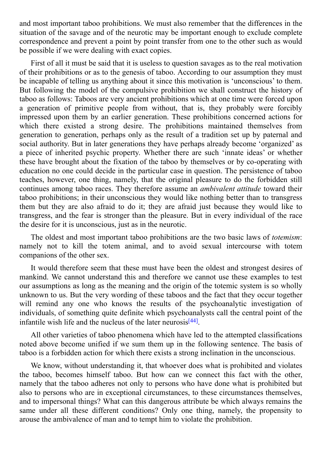and most important taboo prohibitions. We must also remember that the differences in the situation of the savage and of the neurotic may be important enough to exclude complete correspondence and prevent a point by point transfer from one to the other such as would be possible if we were dealing with exact copies.

First of all it must be said that it is useless to question savages as to the real motivation of their prohibitions or as to the genesis of taboo. According to our assumption they must be incapable of telling us anything about it since this motivation is 'unconscious' to them. But following the model of the compulsive prohibition we shall construct the history of taboo as follows: Taboos are very ancient prohibitions which at one time were forced upon a generation of primitive people from without, that is, they probably were forcibly impressed upon them by an earlier generation. These prohibitions concerned actions for which there existed a strong desire. The prohibitions maintained themselves from generation to generation, perhaps only as the result of a tradition set up by paternal and social authority. But in later generations they have perhaps already become 'organized' as a piece of inherited psychic property. Whether there are such 'innate ideas' or whether these have brought about the fixation of the taboo by themselves or by co-operating with education no one could decide in the particular case in question. The persistence of taboo teaches, however, one thing, namely, that the original pleasure to do the forbidden still continues among taboo races. They therefore assume an *ambivalent attitude* toward their taboo prohibitions; in their unconscious they would like nothing better than to transgress them but they are also afraid to do it; they are afraid just because they would like to transgress, and the fear is stronger than the pleasure. But in every individual of the race the desire for it is unconscious, just as in the neurotic.

The oldest and most important taboo prohibitions are the two basic laws of *totemism*: namely not to kill the totem animal, and to avoid sexual intercourse with totem companions of the other sex.

It would therefore seem that these must have been the oldest and strongest desires of mankind. We cannot understand this and therefore we cannot use these examples to test our assumptions as long as the meaning and the origin of the totemic system is so wholly unknown to us. But the very wording of these taboos and the fact that they occur together will remind any one who knows the results of the psychoanalytic investigation of individuals, of something quite definite which psychoanalysts call the central point of the infantile wish life and the nucleus of the later neurosis<sup>[44]</sup>.

All other varieties of taboo phenomena which have led to the attempted classifications noted above become unified if we sum them up in t[he](#page-105-27) following sentence. The basis of taboo is a forbidden action for which there exists a strong inclination in the unconscious.

We know, without understanding it, that whoever does what is prohibited and violates the taboo, becomes himself taboo. But how can we connect this fact with the other, namely that the taboo adheres not only to persons who have done what is prohibited but also to persons who are in exceptional circumstances, to these circumstances themselves, and to impersonal things? What can this dangerous attribute be which always remains the same under all these different conditions? Only one thing, namely, the propensity to arouse the ambivalence of man and to tempt him to violate the prohibition.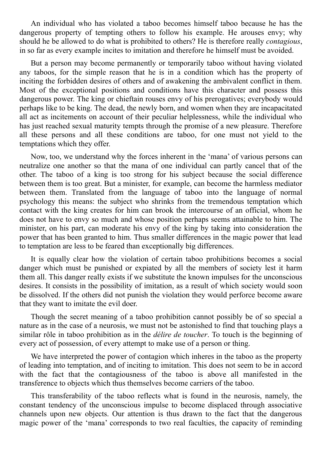An individual who has violated a taboo becomes himself taboo because he has the dangerous property of tempting others to follow his example. He arouses envy; why should he be allowed to do what is prohibited to others? He is therefore really *contagious*, in so far as every example incites to imitation and therefore he himself must be avoided.

But a person may become permanently or temporarily taboo without having violated any taboos, for the simple reason that he is in a condition which has the property of inciting the forbidden desires of others and of awakening the ambivalent conflict in them. Most of the exceptional positions and conditions have this character and possess this dangerous power. The king or chieftain rouses envy of his prerogatives; everybody would perhaps like to be king. The dead, the newly born, and women when they are incapacitated all act as incitements on account of their peculiar helplessness, while the individual who has just reached sexual maturity tempts through the promise of a new pleasure. Therefore all these persons and all these conditions are taboo, for one must not yield to the temptations which they offer.

Now, too, we understand why the forces inherent in the 'mana' of various persons can neutralize one another so that the mana of one individual can partly cancel that of the other. The taboo of a king is too strong for his subject because the social difference between them is too great. But a minister, for example, can become the harmless mediator between them. Translated from the language of taboo into the language of normal psychology this means: the subject who shrinks from the tremendous temptation which contact with the king creates for him can brook the intercourse of an official, whom he does not have to envy so much and whose position perhaps seems attainable to him. The minister, on his part, can moderate his envy of the king by taking into consideration the power that has been granted to him. Thus smaller differences in the magic power that lead to temptation are less to be feared than exceptionally big differences.

It is equally clear how the violation of certain taboo prohibitions becomes a social danger which must be punished or expiated by all the members of society lest it harm them all. This danger really exists if we substitute the known impulses for the unconscious desires. It consists in the possibility of imitation, as a result of which society would soon be dissolved. If the others did not punish the violation they would perforce become aware that they want to imitate the evil doer.

Though the secret meaning of a taboo prohibition cannot possibly be of so special a nature as in the case of a neurosis, we must not be astonished to find that touching plays a similar rôle in taboo prohibition as in the *délire de toucher*. To touch is the beginning of every act of possession, of every attempt to make use of a person or thing.

We have interpreted the power of contagion which inheres in the taboo as the property of leading into temptation, and of inciting to imitation. This does not seem to be in accord with the fact that the contagiousness of the taboo is above all manifested in the transference to objects which thus themselves become carriers of the taboo.

This transferability of the taboo reflects what is found in the neurosis, namely, the constant tendency of the unconscious impulse to become displaced through associative channels upon new objects. Our attention is thus drawn to the fact that the dangerous magic power of the 'mana' corresponds to two real faculties, the capacity of reminding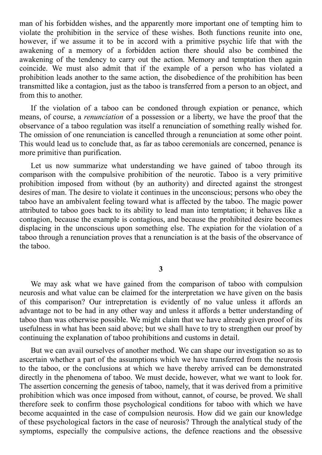man of his forbidden wishes, and the apparently more important one of tempting him to violate the prohibition in the service of these wishes. Both functions reunite into one, however, if we assume it to be in accord with a primitive psychic life that with the awakening of a memory of a forbidden action there should also be combined the awakening of the tendency to carry out the action. Memory and temptation then again coincide. We must also admit that if the example of a person who has violated a prohibition leads another to the same action, the disobedience of the prohibition has been transmitted like a contagion, just as the taboo is transferred from a person to an object, and from this to another.

If the violation of a taboo can be condoned through expiation or penance, which means, of course, a *renunciation* of a possession or a liberty, we have the proof that the observance of a taboo regulation was itself a renunciation of something really wished for. The omission of one renunciation is cancelled through a renunciation at some other point. This would lead us to conclude that, as far as taboo ceremonials are concerned, penance is more primitive than purification.

Let us now summarize what understanding we have gained of taboo through its comparison with the compulsive prohibition of the neurotic. Taboo is a very primitive prohibition imposed from without (by an authority) and directed against the strongest desires of man. The desire to violate it continues in the unconscious; persons who obey the taboo have an ambivalent feeling toward what is affected by the taboo. The magic power attributed to taboo goes back to its ability to lead man into temptation; it behaves like a contagion, because the example is contagious, and because the prohibited desire becomes displacing in the unconscious upon something else. The expiation for the violation of a taboo through a renunciation proves that a renunciation is at the basis of the observance of the taboo.

**3**

We may ask what we have gained from the comparison of taboo with compulsion neurosis and what value can be claimed for the interpretation we have given on the basis of this comparison? Our intrepretation is evidently of no value unless it affords an advantage not to be had in any other way and unless it affords a better understanding of taboo than was otherwise possible. We might claim that we have already given proof of its usefulness in what has been said above; but we shall have to try to strengthen our proof by continuing the explanation of taboo prohibitions and customs in detail.

But we can avail ourselves of another method. We can shape our investigation so as to ascertain whether a part of the assumptions which we have transferred from the neurosis to the taboo, or the conclusions at which we have thereby arrived can be demonstrated directly in the phenomena of taboo. We must decide, however, what we want to look for. The assertion concerning the genesis of taboo, namely, that it was derived from a primitive prohibition which was once imposed from without, cannot, of course, be proved. We shall therefore seek to confirm those psychological conditions for taboo with which we have become acquainted in the case of compulsion neurosis. How did we gain our knowledge of these psychological factors in the case of neurosis? Through the analytical study of the symptoms, especially the compulsive actions, the defence reactions and the obsessive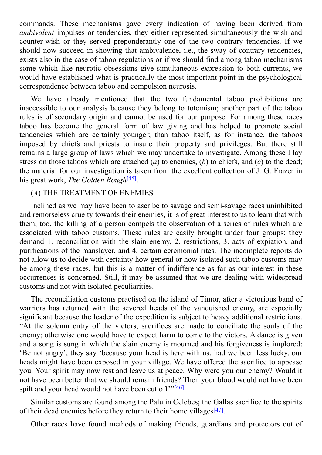commands. These mechanisms gave every indication of having been derived from *ambivalent* impulses or tendencies, they either represented simultaneously the wish and counter-wish or they served preponderantly one of the two contrary tendencies. If we should now succeed in showing that ambivalence, i.e., the sway of contrary tendencies, exists also in the case of taboo regulations or if we should find among taboo mechanisms some which like neurotic obsessions give simultaneous expression to both currents, we would have established what is practically the most important point in the psychological correspondence between taboo and compulsion neurosis.

We have already mentioned that the two fundamental taboo prohibitions are inaccessible to our analysis because they belong to totemism; another part of the taboo rules is of secondary origin and cannot be used for our purpose. For among these races taboo has become the general form of law giving and has helped to promote social tendencies which are certainly younger; than taboo itself, as for instance, the taboos imposed by chiefs and priests to insure their property and privileges. But there still remains a large group of laws which we may undertake to investigate. Among these I lay stress on those taboos which are attached (*a*) to enemies, (*b*) to chiefs, and (*c*) to the dead; the material for our investigation is taken from the excellent collection of J. G. Frazer in his great work, *The Golden Bough* [45] .

### (*A*) THE TREATMENT OF ENEMIES

Inclined as we may have been [to](#page-105-28) ascribe to savage and semi-savage races uninhibited and remorseless cruelty towards their enemies, it is of great interest to us to learn that with them, too, the killing of a person compels the observation of a series of rules which are associated with taboo customs. These rules are easily brought under four groups; they demand 1. reconciliation with the slain enemy, 2. restrictions, 3. acts of expiation, and purifications of the manslayer, and 4. certain ceremonial rites. The incomplete reports do not allow us to decide with certainty how general or how isolated such taboo customs may be among these races, but this is a matter of indifference as far as our interest in these occurrences is concerned. Still, it may be assumed that we are dealing with widespread customs and not with isolated peculiarities.

The reconciliation customs practised on the island of Timor, after a victorious band of warriors has returned with the severed heads of the vanquished enemy, are especially significant because the leader of the expedition is subject to heavy additional restrictions. "At the solemn entry of the victors, sacrifices are made to conciliate the souls of the enemy; otherwise one would have to expect harm to come to the victors. A dance is given and a song is sung in which the slain enemy is mourned and his forgiveness is implored: 'Be not angry', they say 'because your head is here with us; had we been less lucky, our heads might have been exposed in your village. We have offered the sacrifice to appease you. Your spirit may now rest and leave us at peace. Why were you our enemy? Would it not have been better that we should remain friends? Then your blood would not have been spilt and your head would not have been cut off"<sup>"[46]</sup>.

Similar customs are found among the Palu in Celebes; the Gallas sacrifice to the spirits of their dead enemies before they return to their h[om](#page-105-29)e villages<sup>[47]</sup>.

Other races have found methods of making friends, guardians and protectors out of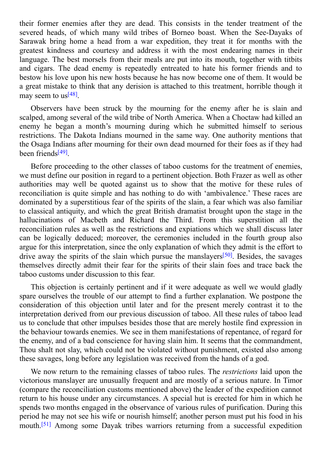severed heads, of which many wild tribes of Borneo boast. When the See-Dayaks of Sarawak bring home a head from a war expedition, they treat it for months with the greatest kindness and courtesy and address it with the most endearing names in their language. The best morsels from their meals are put into its mouth, together with titbits and cigars. The dead enemy is repeatedly entreated to hate his former friends and to bestow his love upon his new hosts because he has now become one of them. It would be a great mistake to think that any derision is attached to this treatment, horrible though it may seem to us<sup>[48]</sup>.

their former energy after the tensor after the tensor  $\boldsymbol{y}$ 

Observers have been struck by the mourning for the enemy after he is slain and scalped, among [sev](#page-105-30)eral of the wild tribe of North America. When a Choctaw had killed an enemy he began a month's mourning during which he submitted himself to serious restrictions. The Dakota Indians mourned in the same way. One authority mentions that the Osaga Indians after mourning for their own dead mourned for their foes as if they had been friends<sup>[49]</sup>.

Before proceeding to the other classes of taboo customs for the treatment of enemies, we must def[ine](#page-105-31) our position in regard to a pertinent objection. Both Frazer as well as other authorities may well be quoted against us to show that the motive for these rules of reconciliation is quite simple and has nothing to do with 'ambivalence.' These races are dominated by a superstitious fear of the spirits of the slain, a fear which was also familiar to classical antiquity, and which the great British dramatist brought upon the stage in the hallucinations of Macbeth and Richard the Third. From this superstition all the reconciliation rules as well as the restrictions and expiations which we shall discuss later can be logically deduced; moreover, the ceremonies included in the fourth group also argue for this interpretation, since the only explanation of which they admit is the effort to drive away the spirits of the slain which pursue the manslayers<sup>[50]</sup>. Besides, the savages themselves directly admit their fear for the spirits of their slain foes and trace back the taboo customs under discussion to this fear.

This objection is certainly pertinent and if it were adequate [as](#page-105-32) well we would gladly spare ourselves the trouble of our attempt to find a further explanation. We postpone the consideration of this objection until later and for the present merely contrast it to the interpretation derived from our previous discussion of taboo. All these rules of taboo lead us to conclude that other impulses besides those that are merely hostile find expression in the behaviour towards enemies. We see in them manifestations of repentance, of regard for the enemy, and of a bad conscience for having slain him. It seems that the commandment, Thou shalt not slay, which could not be violated without punishment, existed also among these savages, long before any legislation was received from the hands of a god.

We now return to the remaining classes of taboo rules. The *restrictions* laid upon the victorious manslayer are unusually frequent and are mostly of a serious nature. In Timor (compare the reconciliation customs mentioned above) the leader of the expedition cannot return to his house under any circumstances. A special hut is erected for him in which he spends two months engaged in the observance of various rules of purification. During this period he may not see his wife or nourish himself; another person must put his food in his mouth. [51] Among some Dayak tribes warriors returning from a successful expedition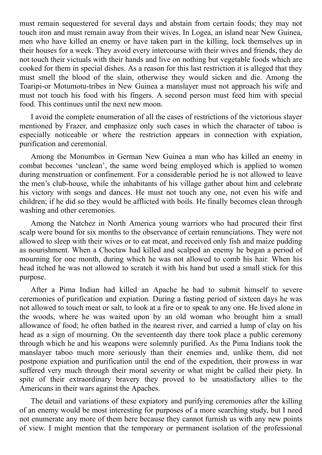must remain sequestered for several days and abstain from certain foods; they may not touch iron and must remain away from their wives. In Logea, an island near New Guinea, men who have killed an enemy or have taken part in the killing, lock themselves up in their houses for a week. They avoid every intercourse with their wives and friends, they do not touch their victuals with their hands and live on nothing but vegetable foods which are cooked for them in special dishes. As a reason for this last restriction it is alleged that they must smell the blood of the slain, otherwise they would sicken and die. Among the Toaripi-or Motumotu-tribes in New Guinea a manslayer must not approach his wife and must not touch his food with his fingers. A second person must feed him with special food. This continues until the next new moon.

I avoid the complete enumeration of all the cases of restrictions of the victorious slayer mentioned by Frazer, and emphasize only such cases in which the character of taboo is especially noticeable or where the restriction appears in connection with expiation, purification and ceremonial.

Among the Monumbos in German New Guinea a man who has killed an enemy in combat becomes 'unclean', the same word being employed which is applied to women during menstruation or confinement. For a considerable period he is not allowed to leave the men's club-house, while the inhabitants of his village gather about him and celebrate his victory with songs and dances. He must not touch any one, not even his wife and children; if he did so they would be afflicted with boils. He finally becomes clean through washing and other ceremonies.

Among the Natchez in North America young warriors who had procured their first scalp were bound for six months to the observance of certain renunciations. They were not allowed to sleep with their wives or to eat meat, and received only fish and maize pudding as nourishment. When a Choctaw had killed and scalped an enemy he began a period of mourning for one month, during which he was not allowed to comb his hair. When his head itched he was not allowed to scratch it with his hand but used a small stick for this purpose.

After a Pima Indian had killed an Apache he had to submit himself to severe ceremonies of purification and expiation. During a fasting period of sixteen days he was not allowed to touch meat or salt, to look at a fire or to speak to any one. He lived alone in the woods, where he was waited upon by an old woman who brought him a small allowance of food; he often bathed in the nearest river, and carried a lump of clay on his head as a sign of mourning. On the seventeenth day there took place a public ceremony through which he and his weapons were solemnly purified. As the Pima Indians took the manslayer taboo much more seriously than their enemies and, unlike them, did not postpone expiation and purification until the end of the expedition, their prowess in war suffered very much through their moral severity or what might be called their piety. In spite of their extraordinary bravery they proved to be unsatisfactory allies to the Americans in their wars against the Apaches.

The detail and variations of these expiatory and purifying ceremonies after the killing of an enemy would be most interesting for purposes of a more searching study, but I need not enumerate any more of them here because they cannot furnish us with any new points of view. I might mention that the temporary or permanent isolation of the professional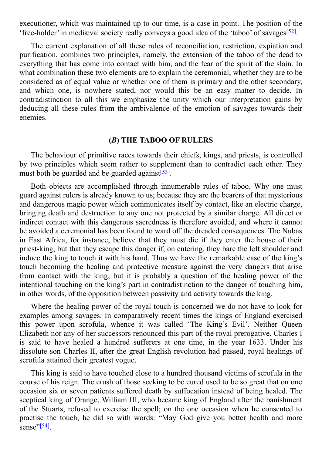execution was maintained up time, in point  $\mathbf{1}$  and the point. The point  $\mathbf{1}$  and  $\mathbf{1}$  and the point. The point  $\mathbf{1}$  and the point. The point of the point. The point  $\mathbf{1}$ 'free-holder' in mediæval society really conveys a good idea of the 'taboo' of savages<sup>[52]</sup>.

The current explanation of all these rules of reconciliation, restriction, expiation and purification, combines two principles, namely, the extension of the taboo of the de[ad](#page-105-33) to everything that has come into contact with him, and the fear of the spirit of the slain. In what combination these two elements are to explain the ceremonial, whether they are to be considered as of equal value or whether one of them is primary and the other secondary, and which one, is nowhere stated, nor would this be an easy matter to decide. In contradistinction to all this we emphasize the unity which our interpretation gains by deducing all these rules from the ambivalence of the emotion of savages towards their enemies.

### **(***B***) THE TABOO OF RULERS**

The behaviour of primitive races towards their chiefs, kings, and priests, is controlled by two principles which seem rather to supplement than to contradict each other. They must both be guarded and be guarded against<sup>[53]</sup>.

Both objects are accomplished through innumerable rules of taboo. Why one must guard against rulers is already known to us; [beca](#page-105-34)use they are the bearers of that mysterious and dangerous magic power which communicates itself by contact, like an electric charge, bringing death and destruction to any one not protected by a similar charge. All direct or indirect contact with this dangerous sacredness is therefore avoided, and where it cannot be avoided a ceremonial has been found to ward off the dreaded consequences. The Nubas in East Africa, for instance, believe that they must die if they enter the house of their priest-king, but that they escape this danger if, on entering, they bare the left shoulder and induce the king to touch it with his hand. Thus we have the remarkable case of the king's touch becoming the healing and protective measure against the very dangers that arise from contact with the king; but it is probably a question of the healing power of the intentional touching on the king's part in contradistinction to the danger of touching him, in other words, of the opposition between passivity and activity towards the king.

Where the healing power of the royal touch is concerned we do not have to look for examples among savages. In comparatively recent times the kings of England exercised this power upon scrofula, whence it was called 'The King's Evil'. Neither Queen Elizabeth nor any of her successors renounced this part of the royal prerogative. Charles I is said to have healed a hundred sufferers at one time, in the year 1633. Under his dissolute son Charles II, after the great English revolution had passed, royal healings of scrofula attained their greatest vogue.

This king is said to have touched close to a hundred thousand victims of scrofula in the course of his reign. The crush of those seeking to be cured used to be so great that on one occasion six or seven patients suffered death by suffocation instead of being healed. The sceptical king of Orange, William III, who became king of England after the banishment of the Stuarts, refused to exercise the spell; on the one occasion when he consented to practise the touch, he did so with words: "May God give you better health and more sense"<sup>[54]</sup>.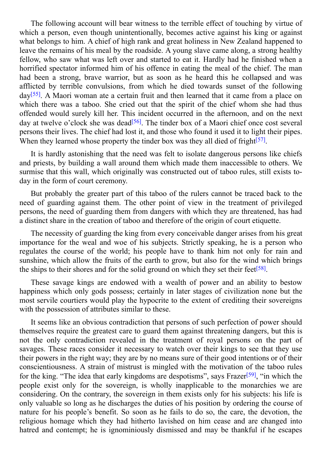$\mathbf v$  account with witness to the terrible effect of the terrible effect of touching by virtue of touching by virtue of the terrible effect of the terrible effect of touching by virtue of the territory of the territory o which a person, even though unintentionally, becomes active against his king or against what belongs to him. A chief of high rank and great holiness in New Zealand happened to leave the remains of his meal by the roadside. A young slave came along, a strong healthy fellow, who saw what was left over and started to eat it. Hardly had he finished when a horrified spectator informed him of his offence in eating the meal of the chief. The man had been a strong, brave warrior, but as soon as he heard this he collapsed and was afflicted by terrible convulsions, from which he died towards sunset of the following day<sup>[55]</sup>. A Maori woman ate a certain fruit and then learned that it came from a place on which there was a taboo. She cried out that the spirit of the chief whom she had thus offended would surely kill her. This incident occurred in the afternoon, and on the next day [at](#page-106-0) twelve o'clock she was dead<sup>[56]</sup>. The tinder box of a Maori chief once cost several persons their lives. The chief had lost it, and those who found it used it to light their pipes. When they learned whose property the tinder box was they all died of fright $[57]$ .

It is hardly astonishing that the [nee](#page-106-1)d was felt to isolate dangerous persons like chiefs and priests, by building a wall around them which made them inaccessible [to](#page-106-2) others. We surmise that this wall, which originally was constructed out of taboo rules, still exists today in the form of court ceremony.

But probably the greater part of this taboo of the rulers cannot be traced back to the need of guarding against them. The other point of view in the treatment of privileged persons, the need of guarding them from dangers with which they are threatened, has had a distinct share in the creation of taboo and therefore of the origin of court etiquette.

The necessity of guarding the king from every conceivable danger arises from his great importance for the weal and woe of his subjects. Strictly speaking, he is a person who regulates the course of the world; his people have to thank him not only for rain and sunshine, which allow the fruits of the earth to grow, but also for the wind which brings the ships to their shores and for the solid ground on which they set their feet<sup>[58]</sup>.

These savage kings are endowed with a wealth of power and an ability to bestow happiness which only gods possess; certainly in later stages of civilization none but the most servile courtiers would play the hypocrite to the extent of crediting t[heir](#page-106-3) sovereigns with the possession of attributes similar to these.

It seems like an obvious contradiction that persons of such perfection of power should themselves require the greatest care to guard them against threatening dangers, but this is not the only contradiction revealed in the treatment of royal persons on the part of savages. These races consider it necessary to watch over their kings to see that they use their powers in the right way; they are by no means sure of their good intentions or of their conscientiousness. A strain of mistrust is mingled with the motivation of the taboo rules for the king. "The idea that early kingdoms are despotisms", says Frazer<sup>[59]</sup>, "in which the people exist only for the sovereign, is wholly inapplicable to the monarchies we are considering. On the contrary, the sovereign in them exists only for his subjects: his life is only valuable so long as he discharges the duties of his position by ord[ering](#page-106-4) the course of nature for his people's benefit. So soon as he fails to do so, the care, the devotion, the religious homage which they had hitherto lavished on him cease and are changed into hatred and contempt; he is ignominiously dismissed and may be thankful if he escapes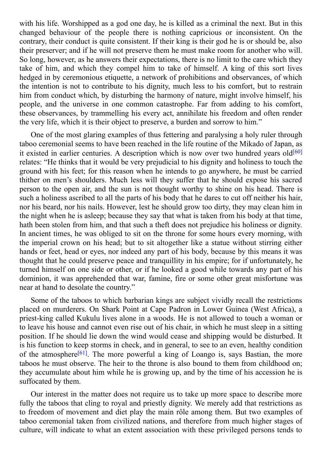with his life. Worshipped as a god one day, he is killed as a criminal the next. But in this killed as a criminal the next. But in this killed as a criminal the next. But in this killed as a criminal the next. But in this changed behaviour of the people there is nothing capricious or inconsistent. On the contrary, their conduct is quite consistent. If their king is their god he is or should be, also their preserver; and if he will not preserve them he must make room for another who will. So long, however, as he answers their expectations, there is no limit to the care which they take of him, and which they compel him to take of himself. A king of this sort lives hedged in by ceremonious etiquette, a network of prohibitions and observances, of which the intention is not to contribute to his dignity, much less to his comfort, but to restrain him from conduct which, by disturbing the harmony of nature, might involve himself, his people, and the universe in one common catastrophe. Far from adding to his comfort, these observances, by trammelling his every act, annihilate his freedom and often render the very life, which it is their object to preserve, a burden and sorrow to him."

One of the most glaring examples of thus fettering and paralysing a holy ruler through taboo ceremonial seems to have been reached in the life routine of the Mikado of Japan, as it existed in earlier centuries. A description which is now over two hundred years old<sup>[60]</sup> relates: "He thinks that it would be very prejudicial to his dignity and holiness to touch the ground with his feet; for this reason when he intends to go anywhere, he must be carried thither on men's shoulders. Much less will they suffer that he should expose his sac[red](#page-106-5) person to the open air, and the sun is not thought worthy to shine on his head. There is such a holiness ascribed to all the parts of his body that he dares to cut off neither his hair, nor his beard, nor his nails. However, lest he should grow too dirty, they may clean him in the night when he is asleep; because they say that what is taken from his body at that time, hath been stolen from him, and that such a theft does not prejudice his holiness or dignity. In ancient times, he was obliged to sit on the throne for some hours every morning, with the imperial crown on his head; but to sit altogether like a statue without stirring either hands or feet, head or eyes, nor indeed any part of his body, because by this means it was thought that he could preserve peace and tranquillity in his empire; for if unfortunately, he turned himself on one side or other, or if he looked a good while towards any part of his dominion, it was apprehended that war, famine, fire or some other great misfortune was near at hand to desolate the country."

Some of the taboos to which barbarian kings are subject vividly recall the restrictions placed on murderers. On Shark Point at Cape Padron in Lower Guinea (West Africa), a priest-king called Kukulu lives alone in a woods. He is not allowed to touch a woman or to leave his house and cannot even rise out of his chair, in which he must sleep in a sitting position. If he should lie down the wind would cease and shipping would be disturbed. It is his function to keep storms in check, and in general, to see to an even, healthy condition of the atmosphere<sup>[61]</sup>. The more powerful a king of Loango is, says Bastian, the more taboos he must observe. The heir to the throne is also bound to them from childhood on; they accumulate about him while he is growing up, and by the time of his accession he is suffocated by the[m.](#page-106-6)

Our interest in the matter does not require us to take up more space to describe more fully the taboos that cling to royal and priestly dignity. We merely add that restrictions as to freedom of movement and diet play the main rôle among them. But two examples of taboo ceremonial taken from civilized nations, and therefore from much higher stages of culture, will indicate to what an extent association with these privileged persons tends to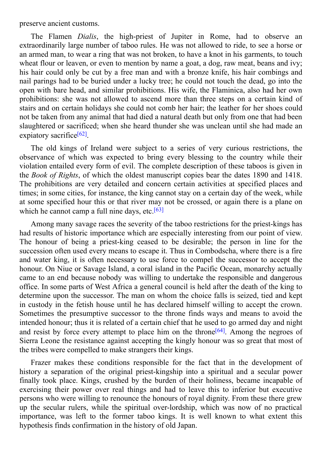The Flamen *Dialis*, the high-priest of Jupiter in Rome, had to observe an extraordinarily large number of taboo rules. He was not allowed to ride, to see a horse or an armed man, to wear a ring that was not broken, to have a knot in his garments, to touch wheat flour or leaven, or even to mention by name a goat, a dog, raw meat, beans and ivy; his hair could only be cut by a free man and with a bronze knife, his hair combings and nail parings had to be buried under a lucky tree; he could not touch the dead, go into the open with bare head, and similar prohibitions. His wife, the Flaminica, also had her own prohibitions: she was not allowed to ascend more than three steps on a certain kind of stairs and on certain holidays she could not comb her hair; the leather for her shoes could not be taken from any animal that had died a natural death but only from one that had been slaughtered or sacrificed; when she heard thunder she was unclean until she had made an expiatory sacrifice<sup>[62]</sup>.

preserve ancient customs. The customs of the customs of the customs of the customs of the customs of the customs

The old kings of Ireland were subject to a series of very curious restrictions, the observance of w[hich](#page-106-0) was expected to bring every blessing to the country while their violation entailed every form of evil. The complete description of these taboos is given in the *Book of Rights*, of which the oldest manuscript copies bear the dates 1890 and 1418. The prohibitions are very detailed and concern certain activities at specified places and times; in some cities, for instance, the king cannot stay on a certain day of the week, while at some specified hour this or that river may not be crossed, or again there is a plane on which he cannot camp a full nine days, etc.<sup>[63]</sup>

Among many savage races the severity of the taboo restrictions for the priest-kings has had results of historic importance which a[re](#page-106-1) especially interesting from our point of view. The honour of being a priest-king ceased to be desirable; the person in line for the succession often used every means to escape it. Thus in Combodscha, where there is a fire and water king, it is often necessary to use force to compel the successor to accept the honour. On Niue or Savage Island, a coral island in the Pacific Ocean, monarchy actually came to an end because nobody was willing to undertake the responsible and dangerous office. In some parts of West Africa a general council is held after the death of the king to determine upon the successor. The man on whom the choice falls is seized, tied and kept in custody in the fetish house until he has declared himself willing to accept the crown. Sometimes the presumptive successor to the throne finds ways and means to avoid the intended honour; thus it is related of a certain chief that he used to go armed day and night and resist by force every attempt to place him on the throne<sup>[64]</sup>. Among the negroes of Sierra Leone the resistance against accepting the kingly honour was so great that most of the tribes were compelled to make strangers their kings.

Frazer makes these conditions responsible for the fact [that](#page-106-2) in the development of history a separation of the original priest-kingship into a spiritual and a secular power finally took place. Kings, crushed by the burden of their holiness, became incapable of exercising their power over real things and had to leave this to inferior but executive persons who were willing to renounce the honours of royal dignity. From these there grew up the secular rulers, while the spiritual over-lordship, which was now of no practical importance, was left to the former taboo kings. It is well known to what extent this hypothesis finds confirmation in the history of old Japan.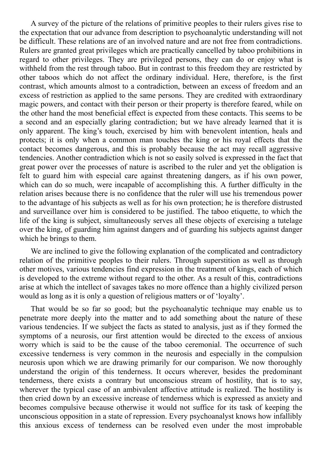A survey of the picture of the relations of primitive peoples to their rulers gives rise to the expectation that our advance from description to psychoanalytic understanding will not be difficult. These relations are of an involved nature and are not free from contradictions. Rulers are granted great privileges which are practically cancelled by taboo prohibitions in regard to other privileges. They are privileged persons, they can do or enjoy what is withheld from the rest through taboo. But in contrast to this freedom they are restricted by other taboos which do not affect the ordinary individual. Here, therefore, is the first contrast, which amounts almost to a contradiction, between an excess of freedom and an excess of restriction as applied to the same persons. They are credited with extraordinary magic powers, and contact with their person or their property is therefore feared, while on the other hand the most beneficial effect is expected from these contacts. This seems to be a second and an especially glaring contradiction; but we have already learned that it is only apparent. The king's touch, exercised by him with benevolent intention, heals and protects; it is only when a common man touches the king or his royal effects that the contact becomes dangerous, and this is probably because the act may recall aggressive tendencies. Another contradiction which is not so easily solved is expressed in the fact that great power over the processes of nature is ascribed to the ruler and yet the obligation is felt to guard him with especial care against threatening dangers, as if his own power, which can do so much, were incapable of accomplishing this. A further difficulty in the relation arises because there is no confidence that the ruler will use his tremendous power to the advantage of his subjects as well as for his own protection; he is therefore distrusted and surveillance over him is considered to be justified. The taboo etiquette, to which the life of the king is subject, simultaneously serves all these objects of exercising a tutelage over the king, of guarding him against dangers and of guarding his subjects against danger which he brings to them.

We are inclined to give the following explanation of the complicated and contradictory relation of the primitive peoples to their rulers. Through superstition as well as through other motives, various tendencies find expression in the treatment of kings, each of which is developed to the extreme without regard to the other. As a result of this, contradictions arise at which the intellect of savages takes no more offence than a highly civilized person would as long as it is only a question of religious matters or of 'loyalty'.

That would be so far so good; but the psychoanalytic technique may enable us to penetrate more deeply into the matter and to add something about the nature of these various tendencies. If we subject the facts as stated to analysis, just as if they formed the symptoms of a neurosis, our first attention would be directed to the excess of anxious worry which is said to be the cause of the taboo ceremonial. The occurrence of such excessive tenderness is very common in the neurosis and especially in the compulsion neurosis upon which we are drawing primarily for our comparison. We now thoroughly understand the origin of this tenderness. It occurs wherever, besides the predominant tenderness, there exists a contrary but unconscious stream of hostility, that is to say, wherever the typical case of an ambivalent affective attitude is realized. The hostility is then cried down by an excessive increase of tenderness which is expressed as anxiety and becomes compulsive because otherwise it would not suffice for its task of keeping the unconscious opposition in a state of repression. Every psychoanalyst knows how infallibly this anxious excess of tenderness can be resolved even under the most improbable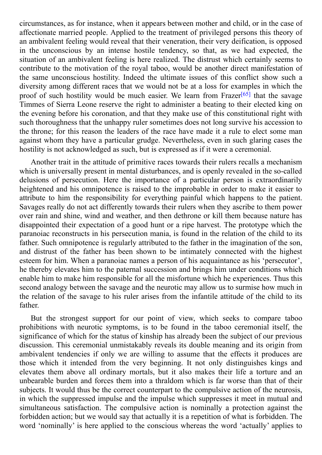circumstances, as for instances, when it appears between mother and child, or in the case of individual child, or in the case of individual child, or in the case of individual child, or in the case of individual child, or affectionate married people. Applied to the treatment of privileged persons this theory of an ambivalent feeling would reveal that their veneration, their very deification, is opposed in the unconscious by an intense hostile tendency, so that, as we had expected, the situation of an ambivalent feeling is here realized. The distrust which certainly seems to contribute to the motivation of the royal taboo, would be another direct manifestation of the same unconscious hostility. Indeed the ultimate issues of this conflict show such a diversity among different races that we would not be at a loss for examples in which the proof of such hostility would be much easier. We learn from Frazer<sup>[65]</sup> that the savage Timmes of Sierra Leone reserve the right to administer a beating to their elected king on the evening before his coronation, and that they make use of this constitutional right with such thoroughness that the unhappy ruler sometimes does not long sur[vive](#page-106-3) his accession to the throne; for this reason the leaders of the race have made it a rule to elect some man against whom they have a particular grudge. Nevertheless, even in such glaring cases the hostility is not acknowledged as such, but is expressed as if it were a ceremonial.

Another trait in the attitude of primitive races towards their rulers recalls a mechanism which is universally present in mental disturbances, and is openly revealed in the so-called delusions of persecution. Here the importance of a particular person is extraordinarily heightened and his omnipotence is raised to the improbable in order to make it easier to attribute to him the responsibility for everything painful which happens to the patient. Savages really do not act differently towards their rulers when they ascribe to them power over rain and shine, wind and weather, and then dethrone or kill them because nature has disappointed their expectation of a good hunt or a ripe harvest. The prototype which the paranoiac reconstructs in his persecution mania, is found in the relation of the child to its father. Such omnipotence is regularly attributed to the father in the imagination of the son, and distrust of the father has been shown to be intimately connected with the highest esteem for him. When a paranoiac names a person of his acquaintance as his 'persecutor', he thereby elevates him to the paternal succession and brings him under conditions which enable him to make him responsible for all the misfortune which he experiences. Thus this second analogy between the savage and the neurotic may allow us to surmise how much in the relation of the savage to his ruler arises from the infantile attitude of the child to its father.

But the strongest support for our point of view, which seeks to compare taboo prohibitions with neurotic symptoms, is to be found in the taboo ceremonial itself, the significance of which for the status of kinship has already been the subject of our previous discussion. This ceremonial unmistakably reveals its double meaning and its origin from ambivalent tendencies if only we are willing to assume that the effects it produces are those which it intended from the very beginning. It not only distinguishes kings and elevates them above all ordinary mortals, but it also makes their life a torture and an unbearable burden and forces them into a thraldom which is far worse than that of their subjects. It would thus be the correct counterpart to the compulsive action of the neurosis, in which the suppressed impulse and the impulse which suppresses it meet in mutual and simultaneous satisfaction. The compulsive action is nominally a protection against the forbidden action; but we would say that actually it is a repetition of what is forbidden. The word 'nominally' is here applied to the conscious whereas the word 'actually' applies to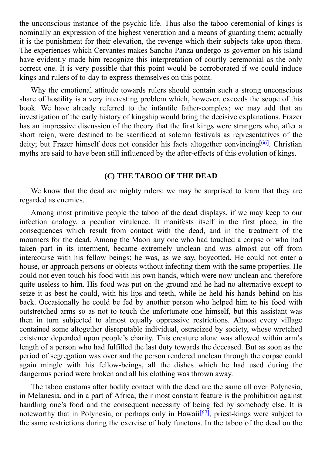$\frac{1}{\sqrt{2}}$  instance of the psychic life. Thus also the table. Thus also the table is kings is kings in  $\mathbf{C}$ nominally an expression of the highest veneration and a means of guarding them; actually it is the punishment for their elevation, the revenge which their subjects take upon them. The experiences which Cervantes makes Sancho Panza undergo as governor on his island have evidently made him recognize this interpretation of courtly ceremonial as the only correct one. It is very possible that this point would be corroborated if we could induce kings and rulers of to-day to express themselves on this point.

Why the emotional attitude towards rulers should contain such a strong unconscious share of hostility is a very interesting problem which, however, exceeds the scope of this book. We have already referred to the infantile father-complex; we may add that an investigation of the early history of kingship would bring the decisive explanations. Frazer has an impressive discussion of the theory that the first kings were strangers who, after a short reign, were destined to be sacrificed at solemn festivals as representatives of the deity; but Frazer himself does not consider his facts altogether convincing<sup>[66]</sup>. Christian myths are said to have been still influenced by the after-effects of this evolution of kings.

## **(***C***) THE TABOO OF THE DEAD**

We know that the dead are mighty rulers: we may be surprised to learn that they are regarded as enemies.

Among most primitive people the taboo of the dead displays, if we may keep to our infection analogy, a peculiar virulence. It manifests itself in the first place, in the consequences which result from contact with the dead, and in the treatment of the mourners for the dead. Among the Maori any one who had touched a corpse or who had taken part in its interment, became extremely unclean and was almost cut off from intercourse with his fellow beings; he was, as we say, boycotted. He could not enter a house, or approach persons or objects without infecting them with the same properties. He could not even touch his food with his own hands, which were now unclean and therefore quite useless to him. His food was put on the ground and he had no alternative except to seize it as best he could, with his lips and teeth, while he held his hands behind on his back. Occasionally he could be fed by another person who helped him to his food with outstretched arms so as not to touch the unfortunate one himself, but this assistant was then in turn subjected to almost equally oppressive restrictions. Almost every village contained some altogether disreputable individual, ostracized by society, whose wretched existence depended upon people's charity. This creature alone was allowed within arm's length of a person who had fulfilled the last duty towards the deceased. But as soon as the period of segregation was over and the person rendered unclean through the corpse could again mingle with his fellow-beings, all the dishes which he had used during the dangerous period were broken and all his clothing was thrown away.

The taboo customs after bodily contact with the dead are the same all over Polynesia, in Melanesia, and in a part of Africa; their most constant feature is the prohibition against handling one's food and the consequent necessity of being fed by somebody else. It is noteworthy that in Polynesia, or perhaps only in Hawaii<sup>[67]</sup>, priest-kings were subject to the same restrictions during the exercise of holy functons. In the taboo of the dead on the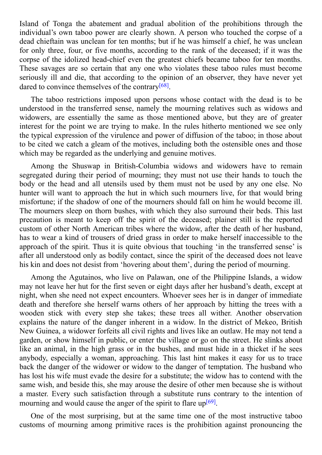Island of Tonga the abatement and gradual abolition of the prohibitions through the individual's own taboo power are clearly shown. A person who touched the corpse of a dead chieftain was unclean for ten months; but if he was himself a chief, he was unclean for only three, four, or five months, according to the rank of the deceased; if it was the corpse of the idolized head-chief even the greatest chiefs became taboo for ten months. These savages are so certain that any one who violates these taboo rules must become seriously ill and die, that according to the opinion of an observer, they have never yet dared to convince themselves of the contrary<sup>[68]</sup>.

The taboo restrictions imposed upon persons whose contact with the dead is to be understood in the transferred sense, namely [the](#page-106-4) mourning relatives such as widows and widowers, are essentially the same as those mentioned above, but they are of greater interest for the point we are trying to make. In the rules hitherto mentioned we see only the typical expression of the virulence and power of diffusion of the taboo; in those about to be cited we catch a gleam of the motives, including both the ostensible ones and those which may be regarded as the underlying and genuine motives.

Among the Shuswap in British-Columbia widows and widowers have to remain segregated during their period of mourning; they must not use their hands to touch the body or the head and all utensils used by them must not be used by any one else. No hunter will want to approach the hut in which such mourners live, for that would bring misfortune; if the shadow of one of the mourners should fall on him he would become ill. The mourners sleep on thorn bushes, with which they also surround their beds. This last precaution is meant to keep off the spirit of the deceased; plainer still is the reported custom of other North American tribes where the widow, after the death of her husband, has to wear a kind of trousers of dried grass in order to make herself inaccessible to the approach of the spirit. Thus it is quite obvious that touching 'in the transferred sense' is after all understood only as bodily contact, since the spirit of the deceased does not leave his kin and does not desist from 'hovering about them', during the period of mourning.

Among the Agutainos, who live on Palawan, one of the Philippine Islands, a widow may not leave her hut for the first seven or eight days after her husband's death, except at night, when she need not expect encounters. Whoever sees her is in danger of immediate death and therefore she herself warns others of her approach by hitting the trees with a wooden stick with every step she takes; these trees all wither. Another observation explains the nature of the danger inherent in a widow. In the district of Mekeo, British New Guinea, a widower forfeits all civil rights and lives like an outlaw. He may not tend a garden, or show himself in public, or enter the village or go on the street. He slinks about like an animal, in the high grass or in the bushes, and must hide in a thicket if he sees anybody, especially a woman, approaching. This last hint makes it easy for us to trace back the danger of the widower or widow to the danger of temptation. The husband who has lost his wife must evade the desire for a substitute; the widow has to contend with the same wish, and beside this, she may arouse the desire of other men because she is without a master. Every such satisfaction through a substitute runs contrary to the intention of mourning and would cause the anger of the spirit to flare up<sup>[69]</sup>.

One of the most surprising, but at the same time one of the most instructive taboo customs of mourning among primitive races is the prohi[bitio](#page-106-5)n against pronouncing the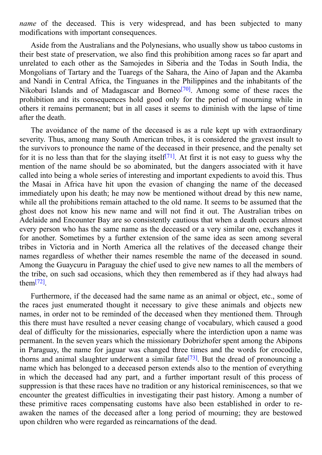*name* of the deceased. This is very widespread, and has been subjected to many modifications with important consequences.

Aside from the Australians and the Polynesians, who usually show us taboo customs in their best state of preservation, we also find this prohibition among races so far apart and unrelated to each other as the Samojedes in Siberia and the Todas in South India, the Mongolians of Tartary and the Tuaregs of the Sahara, the Aino of Japan and the Akamba and Nandi in Central Africa, the Tinguanes in the Philippines and the inhabitants of the Nikobari Islands and of Madagascar and Borneo<sup>[70]</sup>. Among some of these races the prohibition and its consequences hold good only for the period of mourning while in others it remains permanent; but in all cases it se[ems](#page-106-6) to diminish with the lapse of time after the death.

The avoidance of the name of the deceased is as a rule kept up with extraordinary severity. Thus, among many South American tribes, it is considered the gravest insult to the survivors to pronounce the name of the deceased in their presence, and the penalty set for it is no less than that for the slaying itself<sup>[71]</sup>. At first it is not easy to guess why the mention of the name should be so abominated, but the dangers associated with it have called into being a whole series of interesting and important expedients to avoid this. Thus the Masai in Africa have hit upon the evas[ion](#page-106-7) of changing the name of the deceased immediately upon his death; he may now be mentioned without dread by this new name, while all the prohibitions remain attached to the old name. It seems to be assumed that the ghost does not know his new name and will not find it out. The Australian tribes on Adelaide and Encounter Bay are so consistently cautious that when a death occurs almost every person who has the same name as the deceased or a very similar one, exchanges it for another. Sometimes by a further extension of the same idea as seen among several tribes in Victoria and in North America all the relatives of the deceased change their names regardless of whether their names resemble the name of the deceased in sound. Among the Guaycuru in Paraguay the chief used to give new names to all the members of the tribe, on such sad occasions, which they then remembered as if they had always had them $^{[72]}$ .

Furthermore, if the deceased had the same name as an animal or object, etc., some of the r[ace](#page-106-8)s just enumerated thought it necessary to give these animals and objects new names, in order not to be reminded of the deceased when they mentioned them. Through this there must have resulted a never ceasing change of vocabulary, which caused a good deal of difficulty for the missionaries, especially where the interdiction upon a name was permanent. In the seven years which the missionary Dobrizhofer spent among the Abipons in Paraguay, the name for jaguar was changed three times and the words for crocodile, thorns and animal slaughter underwent a similar fate<sup>[73]</sup>. But the dread of pronouncing a name which has belonged to a deceased person extends also to the mention of everything in which the deceased had any part, and a further important result of this process of suppression is that these races have no tradition or any [hi](#page-106-9)storical reminiscences, so that we encounter the greatest difficulties in investigating their past history. Among a number of these primitive races compensating customs have also been established in order to reawaken the names of the deceased after a long period of mourning; they are bestowed upon children who were regarded as reincarnations of the dead.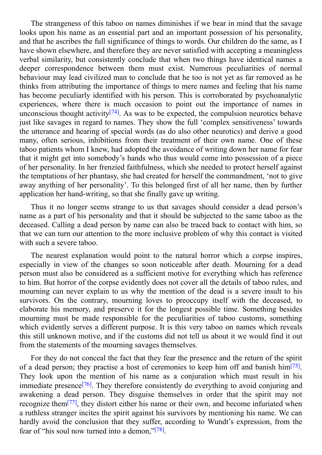$\mathbf s$  of this table table table table table table table table table table table table table table table table looks upon his name as an essential part and an important possession of his personality, and that he ascribes the full significance of things to words. Our children do the same, as I have shown elsewhere, and therefore they are never satisfied with accepting a meaningless verbal similarity, but consistently conclude that when two things have identical names a deeper correspondence between them must exist. Numerous peculiarities of normal behaviour may lead civilized man to conclude that he too is not yet as far removed as he thinks from attributing the importance of things to mere names and feeling that his name has become peculiarly identified with his person. This is corroborated by psychoanalytic experiences, where there is much occasion to point out the importance of names in unconscious thought activity<sup>[74]</sup>. As was to be expected, the compulsion neurotics behave just like savages in regard to names. They show the full 'complex sensitiveness' towards the utterance and hearing of special words (as do also other neurotics) and derive a good many, often serious, inhibit[ions](#page-106-10) from their treatment of their own name. One of these taboo patients whom I knew, had adopted the avoidance of writing down her name for fear that it might get into somebody's hands who thus would come into possession of a piece of her personality. In her frenzied faithfulness, which she needed to protect herself against the temptations of her phantasy, she had created for herself the commandment, 'not to give away anything of her personality'. To this belonged first of all her name, then by further application her hand-writing, so that she finally gave up writing.

Thus it no longer seems strange to us that savages should consider a dead person's name as a part of his personality and that it should be subjected to the same taboo as the deceased. Calling a dead person by name can also be traced back to contact with him, so that we can turn our attention to the more inclusive problem of why this contact is visited with such a severe taboo.

The nearest explanation would point to the natural horror which a corpse inspires, especially in view of the changes so soon noticeable after death. Mourning for a dead person must also be considered as a sufficient motive for everything which has reference to him. But horror of the corpse evidently does not cover all the details of taboo rules, and mourning can never explain to us why the mention of the dead is a severe insult to his survivors. On the contrary, mourning loves to preoccupy itself with the deceased, to elaborate his memory, and preserve it for the longest possible time. Something besides mourning must be made responsible for the peculiarities of taboo customs, something which evidently serves a different purpose. It is this very taboo on names which reveals this still unknown motive, and if the customs did not tell us about it we would find it out from the statements of the mourning savages themselves.

For they do not conceal the fact that they fear the presence and the return of the spirit of a dead person; they practise a host of ceremonies to keep him off and banish him<sup>[75]</sup>. They look upon the mention of his name as a conjuration which must result in his immediate presence<sup>[76]</sup>. They therefore consistently do everything to avoid conjuring and awakening a dead person. They disguise themselves in order that the spirit may [not](#page-106-11) recognize them<sup>[77]</sup>, they distort either his name or their own, and become infuriated when a ruthless stranger i[ncit](#page-106-12)es the spirit against his survivors by mentioning his name. We can hardly avoid the conclusion that they suffer, according to Wundt's expression, from the fear of "his soul [no](#page-106-13)w turned into a demon,"<sup>[78]</sup>.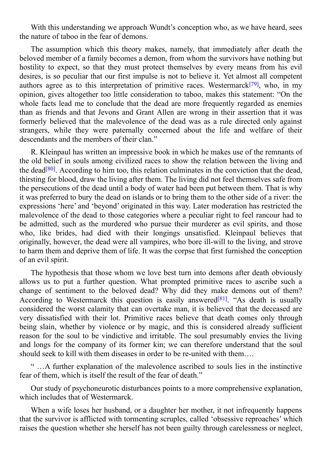With this understanding we approach Wundt's conception who, as we have heard, sees the nature of taboo in the fear of demons.

The assumption which this theory makes, namely, that immediately after death the beloved member of a family becomes a demon, from whom the survivors have nothing but hostility to expect, so that they must protect themselves by every means from his evil desires, is so peculiar that our first impulse is not to believe it. Yet almost all competent authors agree as to this interpretation of primitive races. Westermarck<sup>[79]</sup>, who, in my opinion, gives altogether too little consideration to taboo, makes this statement: "On the whole facts lead me to conclude that the dead are more frequently regarded as enemies than as friends and that Jevons and Grant Allen are wrong in their ass[ertio](#page-106-14)n that it was formerly believed that the malevolence of the dead was as a rule directed only against strangers, while they were paternally concerned about the life and welfare of their descendants and the members of their clan."

R. Kleinpaul has written an impressive book in which he makes use of the remnants of the old belief in souls among civilized races to show the relation between the living and the dead<sup>[80]</sup>. According to him too, this relation culminates in the conviction that the dead, thirsting for blood, draw the living after them. The living did not feel themselves safe from the persecutions of the dead until a body of water had been put between them. That is why it was p[refe](#page-106-15)rred to bury the dead on islands or to bring them to the other side of a river: the expressions 'here' and 'beyond' originated in this way. Later moderation has restricted the malevolence of the dead to those categories where a peculiar right to feel rancour had to be admitted, such as the murdered who pursue their murderer as evil spirits, and those who, like brides, had died with their longings unsatisfied. Kleinpaul believes that originally, however, the dead were all vampires, who bore ill-will to the living, and strove to harm them and deprive them of life. It was the corpse that first furnished the conception of an evil spirit.

The hypothesis that those whom we love best turn into demons after death obviously allows us to put a further question. What prompted primitive races to ascribe such a change of sentiment to the beloved dead? Why did they make demons out of them? According to Westermarck this question is easily answered<sup>[81]</sup>. "As death is usually considered the worst calamity that can overtake man, it is believed that the deceased are very dissatisfied with their lot. Primitive races believe that death comes only through being slain, whether by violence or by magic, and this is c[onsid](#page-106-16)ered already sufficient reason for the soul to be vindictive and irritable. The soul presumably envies the living and longs for the company of its former kin; we can therefore understand that the soul should seek to kill with them diseases in order to be re-united with them….

" …A further explanation of the malevolence ascribed to souls lies in the instinctive fear of them, which is itself the result of the fear of death."

Our study of psychoneurotic disturbances points to a more comprehensive explanation, which includes that of Westermarck.

When a wife loses her husband, or a daughter her mother, it not infrequently happens that the survivor is afflicted with tormenting scruples, called 'obsessive reproaches' which raises the question whether she herself has not been guilty through carelessness or neglect,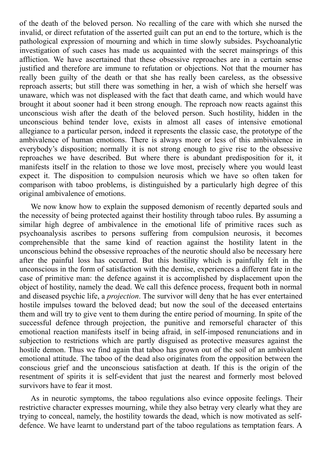of the death of the beloved person. No recalling of the care with which she nursed the invalid, or direct refutation of the asserted guilt can put an end to the torture, which is the pathological expression of mourning and which in time slowly subsides. Psychoanalytic investigation of such cases has made us acquainted with the secret mainsprings of this affliction. We have ascertained that these obsessive reproaches are in a certain sense justified and therefore are immune to refutation or objections. Not that the mourner has really been guilty of the death or that she has really been careless, as the obsessive reproach asserts; but still there was something in her, a wish of which she herself was unaware, which was not displeased with the fact that death came, and which would have brought it about sooner had it been strong enough. The reproach now reacts against this unconscious wish after the death of the beloved person. Such hostility, hidden in the unconscious behind tender love, exists in almost all cases of intensive emotional allegiance to a particular person, indeed it represents the classic case, the prototype of the ambivalence of human emotions. There is always more or less of this ambivalence in everybody's disposition; normally it is not strong enough to give rise to the obsessive reproaches we have described. But where there is abundant predisposition for it, it manifests itself in the relation to those we love most, precisely where you would least expect it. The disposition to compulsion neurosis which we have so often taken for comparison with taboo problems, is distinguished by a particularly high degree of this original ambivalence of emotions.

We now know how to explain the supposed demonism of recently departed souls and the necessity of being protected against their hostility through taboo rules. By assuming a similar high degree of ambivalence in the emotional life of primitive races such as psychoanalysis ascribes to persons suffering from compulsion neurosis, it becomes comprehensible that the same kind of reaction against the hostility latent in the unconscious behind the obsessive reproaches of the neurotic should also be necessary here after the painful loss has occurred. But this hostility which is painfully felt in the unconscious in the form of satisfaction with the demise, experiences a different fate in the case of primitive man: the defence against it is accomplished by displacement upon the object of hostility, namely the dead. We call this defence process, frequent both in normal and diseased psychic life, a *projection*. The survivor will deny that he has ever entertained hostile impulses toward the beloved dead; but now the soul of the deceased entertains them and will try to give vent to them during the entire period of mourning. In spite of the successful defence through projection, the punitive and remorseful character of this emotional reaction manifests itself in being afraid, in self-imposed renunciations and in subjection to restrictions which are partly disguised as protective measures against the hostile demon. Thus we find again that taboo has grown out of the soil of an ambivalent emotional attitude. The taboo of the dead also originates from the opposition between the conscious grief and the unconscious satisfaction at death. If this is the origin of the resentment of spirits it is self-evident that just the nearest and formerly most beloved survivors have to fear it most.

As in neurotic symptoms, the taboo regulations also evince opposite feelings. Their restrictive character expresses mourning, while they also betray very clearly what they are trying to conceal, namely, the hostility towards the dead, which is now motivated as selfdefence. We have learnt to understand part of the taboo regulations as temptation fears. A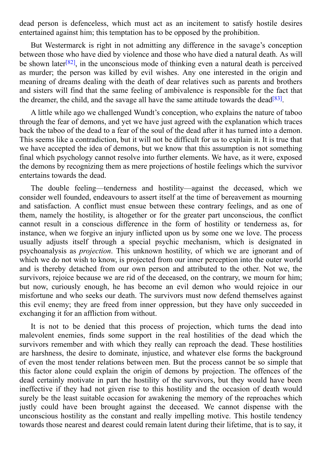dead person is defenceless, which must act as an incitement to satisfy hostile desires entertained against him; this temptation has to be opposed by the prohibition.

But Westermarck is right in not admitting any difference in the savage's conception between those who have died by violence and those who have died a natural death. As will be shown later<sup>[82]</sup>, in the unconscious mode of thinking even a natural death is perceived as murder; the person was killed by evil wishes. Any one interested in the origin and meaning of dreams dealing with the death of dear relatives such as parents and brothers and sisters will [fin](#page-106-17)d that the same feeling of ambivalence is responsible for the fact that the dreamer, the child, and the savage all have the same attitude towards the dead<sup>[83]</sup>.

A little while ago we challenged Wundt's conception, who explains the nature of taboo through the fear of demons, and yet we have just agreed with the explanation w[hich](#page-106-18) traces back the taboo of the dead to a fear of the soul of the dead after it has turned into a demon. This seems like a contradiction, but it will not be difficult for us to explain it. It is true that we have accepted the idea of demons, but we know that this assumption is not something final which psychology cannot resolve into further elements. We have, as it were, exposed the demons by recognizing them as mere projections of hostile feelings which the survivor entertains towards the dead.

The double feeling—tenderness and hostility—against the deceased, which we consider well founded, endeavours to assert itself at the time of bereavement as mourning and satisfaction. A conflict must ensue between these contrary feelings, and as one of them, namely the hostility, is altogether or for the greater part unconscious, the conflict cannot result in a conscious difference in the form of hostility or tenderness as, for instance, when we forgive an injury inflicted upon us by some one we love. The process usually adjusts itself through a special psychic mechanism, which is designated in psychoanalysis as *projection*. This unknown hostility, of which we are ignorant and of which we do not wish to know, is projected from our inner perception into the outer world and is thereby detached from our own person and attributed to the other. Not we, the survivors, rejoice because we are rid of the deceased, on the contrary, we mourn for him; but now, curiously enough, he has become an evil demon who would rejoice in our misfortune and who seeks our death. The survivors must now defend themselves against this evil enemy; they are freed from inner oppression, but they have only succeeded in exchanging it for an affliction from without.

It is not to be denied that this process of projection, which turns the dead into malevolent enemies, finds some support in the real hostilities of the dead which the survivors remember and with which they really can reproach the dead. These hostilities are harshness, the desire to dominate, injustice, and whatever else forms the background of even the most tender relations between men. But the process cannot be so simple that this factor alone could explain the origin of demons by projection. The offences of the dead certainly motivate in part the hostility of the survivors, but they would have been ineffective if they had not given rise to this hostility and the occasion of death would surely be the least suitable occasion for awakening the memory of the reproaches which justly could have been brought against the deceased. We cannot dispense with the unconscious hostility as the constant and really impelling motive. This hostile tendency towards those nearest and dearest could remain latent during their lifetime, that is to say, it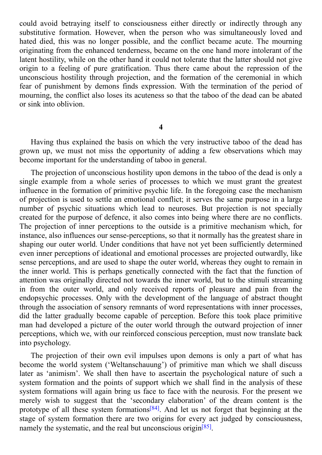could avoid betraying itself to consciousness either directly or indirectly through any substitutive formation. However, when the person who was simultaneously loved and hated died, this was no longer possible, and the conflict became acute. The mourning originating from the enhanced tenderness, became on the one hand more intolerant of the latent hostility, while on the other hand it could not tolerate that the latter should not give origin to a feeling of pure gratification. Thus there came about the repression of the unconscious hostility through projection, and the formation of the ceremonial in which fear of punishment by demons finds expression. With the termination of the period of mourning, the conflict also loses its acuteness so that the taboo of the dead can be abated or sink into oblivion.

**4**

Having thus explained the basis on which the very instructive taboo of the dead has grown up, we must not miss the opportunity of adding a few observations which may become important for the understanding of taboo in general.

The projection of unconscious hostility upon demons in the taboo of the dead is only a single example from a whole series of processes to which we must grant the greatest influence in the formation of primitive psychic life. In the foregoing case the mechanism of projection is used to settle an emotional conflict; it serves the same purpose in a large number of psychic situations which lead to neuroses. But projection is not specially created for the purpose of defence, it also comes into being where there are no conflicts. The projection of inner perceptions to the outside is a primitive mechanism which, for instance, also influences our sense-perceptions, so that it normally has the greatest share in shaping our outer world. Under conditions that have not yet been sufficiently determined even inner perceptions of ideational and emotional processes are projected outwardly, like sense perceptions, and are used to shape the outer world, whereas they ought to remain in the inner world. This is perhaps genetically connected with the fact that the function of attention was originally directed not towards the inner world, but to the stimuli streaming in from the outer world, and only received reports of pleasure and pain from the endopsychic processes. Only with the development of the language of abstract thought through the association of sensory remnants of word representations with inner processes, did the latter gradually become capable of perception. Before this took place primitive man had developed a picture of the outer world through the outward projection of inner perceptions, which we, with our reinforced conscious perception, must now translate back into psychology.

The projection of their own evil impulses upon demons is only a part of what has become the world system ('Weltanschauung') of primitive man which we shall discuss later as 'animism'. We shall then have to ascertain the psychological nature of such a system formation and the points of support which we shall find in the analysis of these system formations will again bring us face to face with the neurosis. For the present we merely wish to suggest that the 'secondary elaboration' of the dream content is the prototype of all these system formations<sup>[84]</sup>. And let us not forget that beginning at the stage of system formation there are two origins for every act judged by consciousness, namely the systematic, and the real but u[ncon](#page-106-19)scious origin<sup>[85]</sup>.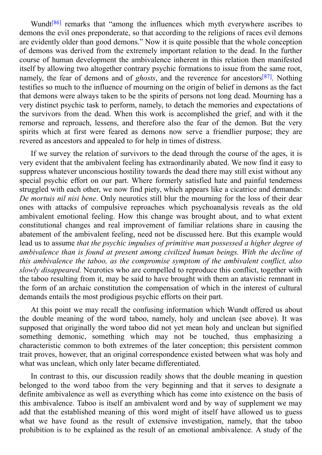[86] remarks that "among the influences which myth everywhere ascribes to demons the evil ones preponderate, so that according to the religions of races evil demons are evidently older than good demons." Now it is quite possible that the whole conception of demons [w](#page-106-20)as derived from the extremely important relation to the dead. In the further course of human development the ambivalence inherent in this relation then manifested itself by allowing two altogether contrary psychic formations to issue from the same root, namely, the fear of demons and of *ghosts*, and the reverence for ancestors [87] . Nothing testifies so much to the influence of mourning on the origin of belief in demons as the fact that demons were always taken to be the spirits of persons not long dead. Mourning has a very distinct psychic task to perform, namely, to detach the memories and ex[pec](#page-106-21)tations of the survivors from the dead. When this work is accomplished the grief, and with it the remorse and reproach, lessens, and therefore also the fear of the demon. But the very spirits which at first were feared as demons now serve a friendlier purpose; they are revered as ancestors and appealed to for help in times of distress.

If we survey the relation of survivors to the dead through the course of the ages, it is very evident that the ambivalent feeling has extraordinarily abated. We now find it easy to suppress whatever unconscious hostility towards the dead there may still exist without any special psychic effort on our part. Where formerly satisfied hate and painful tenderness struggled with each other, we now find piety, which appears like a cicatrice and demands: *De mortuis nil nisi bene*. Only neurotics still blur the mourning for the loss of their dear ones with attacks of compulsive reproaches which psychoanalysis reveals as the old ambivalent emotional feeling. How this change was brought about, and to what extent constitutional changes and real improvement of familiar relations share in causing the abatement of the ambivalent feeling, need not be discussed here. But this example would lead us to assume *that the psychic impulses of primitive man possessed a higher degree of ambivalence than is found at present among civilized human beings. With the decline of this ambivalence the taboo, as the compromise symptom of the ambivalent conflict, also slowly disappeared.* Neurotics who are compelled to reproduce this conflict, together with the taboo resulting from it, may be said to have brought with them an atavistic remnant in the form of an archaic constitution the compensation of which in the interest of cultural demands entails the most prodigious psychic efforts on their part.

At this point we may recall the confusing information which Wundt offered us about the double meaning of the word taboo, namely, holy and unclean (see above). It was supposed that originally the word taboo did not yet mean holy and unclean but signified something demonic, something which may not be touched, thus emphasizing a characteristic common to both extremes of the later conception; this persistent common trait proves, however, that an original correspondence existed between what was holy and what was unclean, which only later became differentiated.

In contrast to this, our discussion readily shows that the double meaning in question belonged to the word taboo from the very beginning and that it serves to designate a definite ambivalence as well as everything which has come into existence on the basis of this ambivalence. Taboo is itself an ambivalent word and by way of supplement we may add that the established meaning of this word might of itself have allowed us to guess what we have found as the result of extensive investigation, namely, that the taboo prohibition is to be explained as the result of an emotional ambivalence. A study of the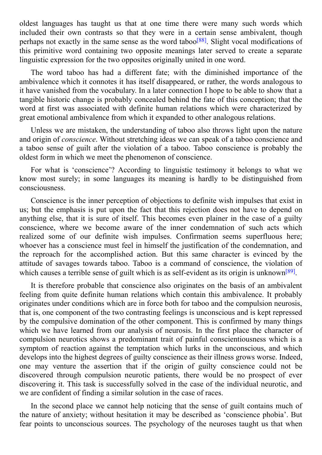oldest languages has taught us that at one time there were many such words which included their own contrasts so that they were in a certain sense ambivalent, though perhaps not exactly in the same sense as the word taboo<sup>[88]</sup>. Slight vocal modifications of this primitive word containing two opposite meanings later served to create a separate linguistic expression for the two opposites originally united in one word.

The word taboo has had a different fate; with t[he](#page-107-0) diminished importance of the ambivalence which it connotes it has itself disappeared, or rather, the words analogous to it have vanished from the vocabulary. In a later connection I hope to be able to show that a tangible historic change is probably concealed behind the fate of this conception; that the word at first was associated with definite human relations which were characterized by great emotional ambivalence from which it expanded to other analogous relations.

Unless we are mistaken, the understanding of taboo also throws light upon the nature and origin of *conscience*. Without stretching ideas we can speak of a taboo conscience and a taboo sense of guilt after the violation of a taboo. Taboo conscience is probably the oldest form in which we meet the phenomenon of conscience.

For what is 'conscience'? According to linguistic testimony it belongs to what we know most surely; in some languages its meaning is hardly to be distinguished from consciousness.

Conscience is the inner perception of objections to definite wish impulses that exist in us; but the emphasis is put upon the fact that this rejection does not have to depend on anything else, that it is sure of itself. This becomes even plainer in the case of a guilty conscience, where we become aware of the inner condemnation of such acts which realized some of our definite wish impulses. Confirmation seems superfluous here; whoever has a conscience must feel in himself the justification of the condemnation, and the reproach for the accomplished action. But this same character is evinced by the attitude of savages towards taboo. Taboo is a command of conscience, the violation of which causes a terrible sense of guilt which is as self-evident as its origin is unknown<sup>[89]</sup>.

It is therefore probable that conscience also originates on the basis of an ambivalent feeling from quite definite human relations which contain this ambivalence. It pro[bab](#page-107-1)ly originates under conditions which are in force both for taboo and the compulsion neurosis, that is, one component of the two contrasting feelings is unconscious and is kept repressed by the compulsive domination of the other component. This is confirmed by many things which we have learned from our analysis of neurosis. In the first place the character of compulsion neurotics shows a predominant trait of painful conscientiousness which is a symptom of reaction against the temptation which lurks in the unconscious, and which develops into the highest degrees of guilty conscience as their illness grows worse. Indeed, one may venture the assertion that if the origin of guilty conscience could not be discovered through compulsion neurotic patients, there would be no prospect of ever discovering it. This task is successfully solved in the case of the individual neurotic, and we are confident of finding a similar solution in the case of races.

In the second place we cannot help noticing that the sense of guilt contains much of the nature of anxiety; without hesitation it may be described as 'conscience phobia'. But fear points to unconscious sources. The psychology of the neuroses taught us that when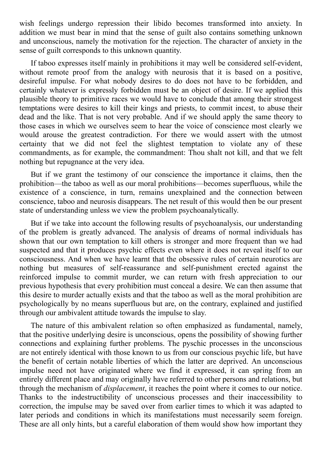wish feelings undergo repression their libido becomes transformed into anxiety. In addition we must bear in mind that the sense of guilt also contains something unknown and unconscious, namely the motivation for the rejection. The character of anxiety in the sense of guilt corresponds to this unknown quantity.

If taboo expresses itself mainly in prohibitions it may well be considered self-evident, without remote proof from the analogy with neurosis that it is based on a positive, desireful impulse. For what nobody desires to do does not have to be forbidden, and certainly whatever is expressly forbidden must be an object of desire. If we applied this plausible theory to primitive races we would have to conclude that among their strongest temptations were desires to kill their kings and priests, to commit incest, to abuse their dead and the like. That is not very probable. And if we should apply the same theory to those cases in which we ourselves seem to hear the voice of conscience most clearly we would arouse the greatest contradiction. For there we would assert with the utmost certainty that we did not feel the slightest temptation to violate any of these commandments, as for example, the commandment: Thou shalt not kill, and that we felt nothing but repugnance at the very idea.

But if we grant the testimony of our conscience the importance it claims, then the prohibition—the taboo as well as our moral prohibitions—becomes superfluous, while the existence of a conscience, in turn, remains unexplained and the connection between conscience, taboo and neurosis disappears. The net result of this would then be our present state of understanding unless we view the problem psychoanalytically.

But if we take into account the following results of psychoanalysis, our understanding of the problem is greatly advanced. The analysis of dreams of normal individuals has shown that our own temptation to kill others is stronger and more frequent than we had suspected and that it produces psychic effects even where it does not reveal itself to our consciousness. And when we have learnt that the obsessive rules of certain neurotics are nothing but measures of self-reassurance and self-punishment erected against the reinforced impulse to commit murder, we can return with fresh appreciation to our previous hypothesis that every prohibition must conceal a desire. We can then assume that this desire to murder actually exists and that the taboo as well as the moral prohibition are psychologically by no means superfluous but are, on the contrary, explained and justified through our ambivalent attitude towards the impulse to slay.

The nature of this ambivalent relation so often emphasized as fundamental, namely, that the positive underlying desire is unconscious, opens the possibility of showing further connections and explaining further problems. The pyschic processes in the unconscious are not entirely identical with those known to us from our conscious psychic life, but have the benefit of certain notable liberties of which the latter are deprived. An unconscious impulse need not have originated where we find it expressed, it can spring from an entirely different place and may originally have referred to other persons and relations, but through the mechanism of *displacement*, it reaches the point where it comes to our notice. Thanks to the indestructibility of unconscious processes and their inaccessibility to correction, the impulse may be saved over from earlier times to which it was adapted to later periods and conditions in which its manifestations must necessarily seem foreign. These are all only hints, but a careful elaboration of them would show how important they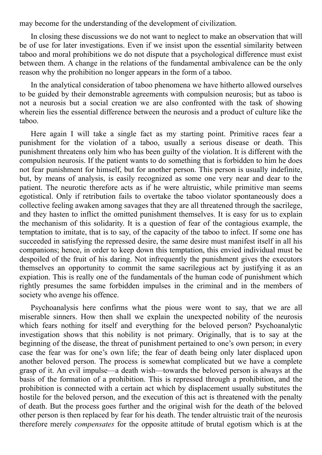may become for the understanding of the development of civilization.

In closing these discussions we do not want to neglect to make an observation that will be of use for later investigations. Even if we insist upon the essential similarity between taboo and moral prohibitions we do not dispute that a psychological difference must exist between them. A change in the relations of the fundamental ambivalence can be the only reason why the prohibition no longer appears in the form of a taboo.

In the analytical consideration of taboo phenomena we have hitherto allowed ourselves to be guided by their demonstrable agreements with compulsion neurosis; but as taboo is not a neurosis but a social creation we are also confronted with the task of showing wherein lies the essential difference between the neurosis and a product of culture like the taboo.

Here again I will take a single fact as my starting point. Primitive races fear a punishment for the violation of a taboo, usually a serious disease or death. This punishment threatens only him who has been guilty of the violation. It is different with the compulsion neurosis. If the patient wants to do something that is forbidden to him he does not fear punishment for himself, but for another person. This person is usually indefinite, but, by means of analysis, is easily recognized as some one very near and dear to the patient. The neurotic therefore acts as if he were altruistic, while primitive man seems egotistical. Only if retribution fails to overtake the taboo violator spontaneously does a collective feeling awaken among savages that they are all threatened through the sacrilege, and they hasten to inflict the omitted punishment themselves. It is easy for us to explain the mechanism of this solidarity. It is a question of fear of the contagious example, the temptation to imitate, that is to say, of the capacity of the taboo to infect. If some one has succeeded in satisfying the repressed desire, the same desire must manifest itself in all his companions; hence, in order to keep down this temptation, this envied individual must be despoiled of the fruit of his daring. Not infrequently the punishment gives the executors themselves an opportunity to commit the same sacrilegious act by justifying it as an expiation. This is really one of the fundamentals of the human code of punishment which rightly presumes the same forbidden impulses in the criminal and in the members of society who avenge his offence.

Psychoanalysis here confirms what the pious were wont to say, that we are all miserable sinners. How then shall we explain the unexpected nobility of the neurosis which fears nothing for itself and everything for the beloved person? Psychoanalytic investigation shows that this nobility is not primary. Originally, that is to say at the beginning of the disease, the threat of punishment pertained to one's own person; in every case the fear was for one's own life; the fear of death being only later displaced upon another beloved person. The process is somewhat complicated but we have a complete grasp of it. An evil impulse—a death wish—towards the beloved person is always at the basis of the formation of a prohibition. This is repressed through a prohibition, and the prohibition is connected with a certain act which by displacement usually substitutes the hostile for the beloved person, and the execution of this act is threatened with the penalty of death. But the process goes further and the original wish for the death of the beloved other person is then replaced by fear for his death. The tender altruistic trait of the neurosis therefore merely *compensates* for the opposite attitude of brutal egotism which is at the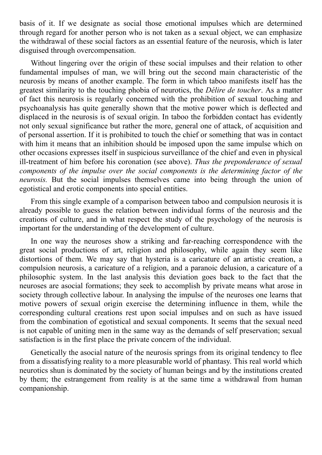basis of it. If we designate as social those emotional impulses which are determined through regard for another person who is not taken as a sexual object, we can emphasize the withdrawal of these social factors as an essential feature of the neurosis, which is later disguised through overcompensation.

Without lingering over the origin of these social impulses and their relation to other fundamental impulses of man, we will bring out the second main characteristic of the neurosis by means of another example. The form in which taboo manifests itself has the greatest similarity to the touching phobia of neurotics, the *Délire de toucher*. As a matter of fact this neurosis is regularly concerned with the prohibition of sexual touching and psychoanalysis has quite generally shown that the motive power which is deflected and displaced in the neurosis is of sexual origin. In taboo the forbidden contact has evidently not only sexual significance but rather the more, general one of attack, of acquisition and of personal assertion. If it is prohibited to touch the chief or something that was in contact with him it means that an inhibition should be imposed upon the same impulse which on other occasions expresses itself in suspicious surveillance of the chief and even in physical ill-treatment of him before his coronation (see above). *Thus the preponderance of sexual components of the impulse over the social components is the determining factor of the neurosis.* But the social impulses themselves came into being through the union of egotistical and erotic components into special entities.

From this single example of a comparison between taboo and compulsion neurosis it is already possible to guess the relation between individual forms of the neurosis and the creations of culture, and in what respect the study of the psychology of the neurosis is important for the understanding of the development of culture.

In one way the neuroses show a striking and far-reaching correspondence with the great social productions of art, religion and philosophy, while again they seem like distortions of them. We may say that hysteria is a caricature of an artistic creation, a compulsion neurosis, a caricature of a religion, and a paranoic delusion, a caricature of a philosophic system. In the last analysis this deviation goes back to the fact that the neuroses are asocial formations; they seek to accomplish by private means what arose in society through collective labour. In analysing the impulse of the neuroses one learns that motive powers of sexual origin exercise the determining influence in them, while the corresponding cultural creations rest upon social impulses and on such as have issued from the combination of egotistical and sexual components. It seems that the sexual need is not capable of uniting men in the same way as the demands of self preservation; sexual satisfaction is in the first place the private concern of the individual.

Genetically the asocial nature of the neurosis springs from its original tendency to flee from a dissatisfying reality to a more pleasurable world of phantasy. This real world which neurotics shun is dominated by the society of human beings and by the institutions created by them; the estrangement from reality is at the same time a withdrawal from human companionship.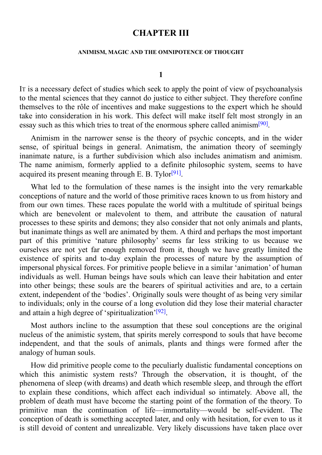# **CHAPTER III**

#### **ANIMISM, MAGIC AND THE OMNIPOTENCE OF THOUGHT**

#### **1**

IT is a necessary defect of studies which seek to apply the point of view of psychoanalysis to the mental sciences that they cannot do justice to either subject. They therefore confine themselves to the rôle of incentives and make suggestions to the expert which he should take into consideration in his work. This defect will make itself felt most strongly in an essay such as this which tries to treat of the enormous sphere called animism<sup>[90]</sup>.

Animism in the narrower sense is the theory of psychic concepts, and in the wider sense, of spiritual beings in general. Animatism, the animation theory [of](#page-107-2) seemingly inanimate nature, is a further subdivision which also includes animatism and animism. The name animism, formerly applied to a definite philosophic system, seems to have acquired its present meaning through E. B. Tylor<sup>[91]</sup>.

What led to the formulation of these names is the insight into the very remarkable conceptions of nature and the world of those pri[miti](#page-107-3)ve races known to us from history and from our own times. These races populate the world with a multitude of spiritual beings which are benevolent or malevolent to them, and attribute the causation of natural processes to these spirits and demons; they also consider that not only animals and plants, but inanimate things as well are animated by them. A third and perhaps the most important part of this primitive 'nature philosophy' seems far less striking to us because we ourselves are not yet far enough removed from it, though we have greatly limited the existence of spirits and to-day explain the processes of nature by the assumption of impersonal physical forces. For primitive people believe in a similar 'animation' of human individuals as well. Human beings have souls which can leave their habitation and enter into other beings; these souls are the bearers of spiritual activities and are, to a certain extent, independent of the 'bodies'. Originally souls were thought of as being very similar to individuals; only in the course of a long evolution did they lose their material character and attain a high degree of 'spiritualization'<sup>[92]</sup>.

Most authors incline to the assumption that these soul conceptions are the original nucleus of the animistic system, that spirits [me](#page-107-4)rely correspond to souls that have become independent, and that the souls of animals, plants and things were formed after the analogy of human souls.

How did primitive people come to the peculiarly dualistic fundamental conceptions on which this animistic system rests? Through the observation, it is thought, of the phenomena of sleep (with dreams) and death which resemble sleep, and through the effort to explain these conditions, which affect each individual so intimately. Above all, the problem of death must have become the starting point of the formation of the theory. To primitive man the continuation of life—immortality—would be self-evident. The conception of death is something accepted later, and only with hesitation, for even to us it is still devoid of content and unrealizable. Very likely discussions have taken place over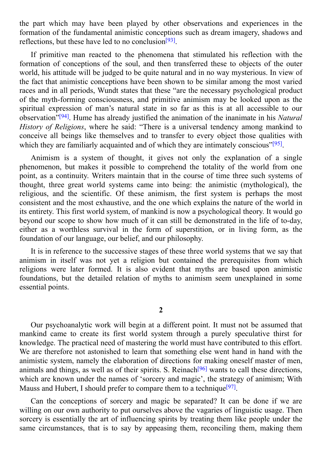the part which may have been played by other observations and experiences in the second contract in the second of  $\mathbb{R}^n$ formation of the fundamental animistic conceptions such as dream imagery, shadows and reflections, but these have led to no conclusion<sup>[93]</sup>.

If primitive man reacted to the phenomena that stimulated his reflection with the formation of conceptions of the soul, and th[en](#page-107-5) transferred these to objects of the outer world, his attitude will be judged to be quite natural and in no way mysterious. In view of the fact that animistic conceptions have been shown to be similar among the most varied races and in all periods, Wundt states that these "are the necessary psychological product of the myth-forming consciousness, and primitive animism may be looked upon as the spiritual expression of man's natural state in so far as this is at all accessible to our observation" [94] . Hume has already justified the animation of the inanimate in his *Natural History of Religions*, where he said: "There is a universal tendency among mankind to conceive all beings like themselves and to transfer to every object those qualities with which they a[re](#page-107-6) familiarly acquainted and of which they are intimately conscious"<sup>[95]</sup>.

Animism is a system of thought, it gives not only the explanation of a single phenomenon, but makes it possible to comprehend the totality of the world [from](#page-107-7) one point, as a continuity. Writers maintain that in the course of time three such systems of thought, three great world systems came into being: the animistic (mythological), the religious, and the scientific. Of these animism, the first system is perhaps the most consistent and the most exhaustive, and the one which explains the nature of the world in its entirety. This first world system, of mankind is now a psychological theory. It would go beyond our scope to show how much of it can still be demonstrated in the life of to-day, either as a worthless survival in the form of superstition, or in living form, as the foundation of our language, our belief, and our philosophy.

It is in reference to the successive stages of these three world systems that we say that animism in itself was not yet a religion but contained the prerequisites from which religions were later formed. It is also evident that myths are based upon animistic foundations, but the detailed relation of myths to animism seem unexplained in some essential points.

### **2**

Our psychoanalytic work will begin at a different point. It must not be assumed that mankind came to create its first world system through a purely speculative thirst for knowledge. The practical need of mastering the world must have contributed to this effort. We are therefore not astonished to learn that something else went hand in hand with the animistic system, namely the elaboration of directions for making oneself master of men, animals and things, as well as of their spirits. S. Reinach<sup>[96]</sup> wants to call these directions, which are known under the names of 'sorcery and magic', the strategy of animism; With Mauss and Hubert, I should prefer to compare them to a technique<sup>[97]</sup>.

Can the conceptions of sorcery and magic be sep[arate](#page-107-8)d? It can be done if we are willing on our own authority to put ourselves above the vagaries [of](#page-107-9) linguistic usage. Then sorcery is essentially the art of influencing spirits by treating them like people under the same circumstances, that is to say by appeasing them, reconciling them, making them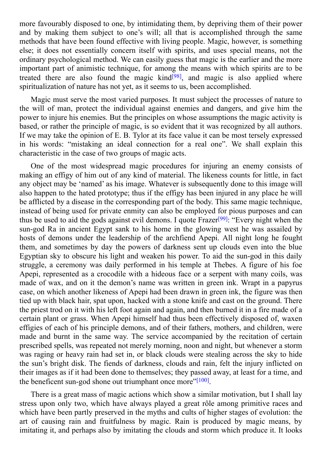more favourably disposed to one, by intimidating them, by depriving them of their power and by making them subject to one's will; all that is accomplished through the same methods that have been found effective with living people. Magic, however, is something else; it does not essentially concern itself with spirits, and uses special means, not the ordinary psychological method. We can easily guess that magic is the earlier and the more important part of animistic technique, for among the means with which spirits are to be treated there are also found the magic kind<sup>[98]</sup>, and magic is also applied where spiritualization of nature has not yet, as it seems to us, been accomplished.

Magic must serve the most varied purposes. [It](#page-107-10) must subject the processes of nature to the will of man, protect the individual against enemies and dangers, and give him the power to injure his enemies. But the principles on whose assumptions the magic activity is based, or rather the principle of magic, is so evident that it was recognized by all authors. If we may take the opinion of E. B. Tylor at its face value it can be most tersely expressed in his words: "mistaking an ideal connection for a real one". We shall explain this characteristic in the case of two groups of magic acts.

One of the most widespread magic procedures for injuring an enemy consists of making an effigy of him out of any kind of material. The likeness counts for little, in fact any object may be 'named' as his image. Whatever is subsequently done to this image will also happen to the hated prototype; thus if the effigy has been injured in any place he will be afflicted by a disease in the corresponding part of the body. This same magic technique, instead of being used for private enmity can also be employed for pious purposes and can thus be used to aid the gods against evil demons. I quote Frazer<sup>[99]</sup>: "Every night when the sun-god Ra in ancient Egypt sank to his home in the glowing west he was assailed by hosts of demons under the leadership of the archfiend Apepi. All night long he fought them, and sometimes by day the powers of darkness sent up [clo](#page-107-11)uds even into the blue Egyptian sky to obscure his light and weaken his power. To aid the sun-god in this daily struggle, a ceremony was daily performed in his temple at Thebes. A figure of his foe Apepi, represented as a crocodile with a hideous face or a serpent with many coils, was made of wax, and on it the demon's name was written in green ink. Wrapt in a papyrus case, on which another likeness of Apepi had been drawn in green ink, the figure was then tied up with black hair, spat upon, hacked with a stone knife and cast on the ground. There the priest trod on it with his left foot again and again, and then burned it in a fire made of a certain plant or grass. When Apepi himself had thus been effectively disposed of, waxen effigies of each of his principle demons, and of their fathers, mothers, and children, were made and burnt in the same way. The service accompanied by the recitation of certain prescribed spells, was repeated not merely morning, noon and night, but whenever a storm was raging or heavy rain had set in, or black clouds were stealing across the sky to hide the sun's bright disk. The fiends of darkness, clouds and rain, felt the injury inflicted on their images as if it had been done to themselves; they passed away, at least for a time, and the beneficent sun-god shone out triumphant once more"<sup>[100]</sup>.

There is a great mass of magic actions which show a similar motivation, but I shall lay stress upon only two, which have always played a great [rôl](#page-107-12)e among primitive races and which have been partly preserved in the myths and cults of higher stages of evolution: the art of causing rain and fruitfulness by magic. Rain is produced by magic means, by imitating it, and perhaps also by imitating the clouds and storm which produce it. It looks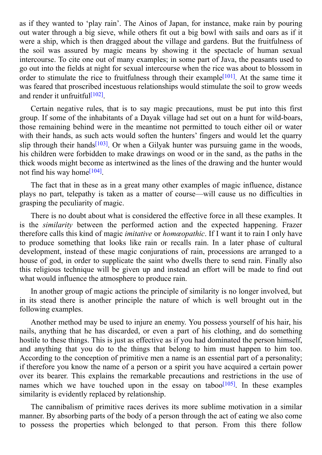as if they wanted to 'play rain'. The Ainos of Japan, for instance, make rain by pouring out water through a big sieve, while others fit out a big bowl with sails and oars as if it were a ship, which is then dragged about the village and gardens. But the fruitfulness of the soil was assured by magic means by showing it the spectacle of human sexual intercourse. To cite one out of many examples; in some part of Java, the peasants used to go out into the fields at night for sexual intercourse when the rice was about to blossom in order to stimulate the rice to fruitfulness through their example<sup>[101]</sup>. At the same time it was feared that proscribed incestuous relationships would stimulate the soil to grow weeds and render it unfruitful<sup>[102]</sup>.

Certain negative rules, that is to say magic precautions, [must](#page-107-13) be put into this first group. If some of the [inhab](#page-107-14)itants of a Dayak village had set out on a hunt for wild-boars, those remaining behind were in the meantime not permitted to touch either oil or water with their hands, as such acts would soften the hunters' fingers and would let the quarry slip through their hands<sup>[103]</sup>. Or when a Gilyak hunter was pursuing game in the woods, his children were forbidden to make drawings on wood or in the sand, as the paths in the thick woods might become as intertwined as the lines of the drawing and the hunter would not find his way home<sup>[1[04\]](#page-107-15)</sup>.

The fact that in these as in a great many other examples of magic influence, distance plays no part, telepat[hy](#page-107-16) is taken as a matter of course—will cause us no difficulties in grasping the peculiarity of magic.

There is no doubt about what is considered the effective force in all these examples. It is the *similarity* between the performed action and the expected happening. Frazer therefore calls this kind of magic *imitative* or *homœopathic*. If I want it to rain I only have to produce something that looks like rain or recalls rain. In a later phase of cultural development, instead of these magic conjurations of rain, processions are arranged to a house of god, in order to supplicate the saint who dwells there to send rain. Finally also this religious technique will be given up and instead an effort will be made to find out what would influence the atmosphere to produce rain.

In another group of magic actions the principle of similarity is no longer involved, but in its stead there is another principle the nature of which is well brought out in the following examples.

Another method may be used to injure an enemy. You possess yourself of his hair, his nails, anything that he has discarded, or even a part of his clothing, and do something hostile to these things. This is just as effective as if you had dominated the person himself, and anything that you do to the things that belong to him must happen to him too. According to the conception of primitive men a name is an essential part of a personality; if therefore you know the name of a person or a spirit you have acquired a certain power over its bearer. This explains the remarkable precautions and restrictions in the use of names which we have touched upon in the essay on taboo<sup>[105]</sup>. In these examples similarity is evidently replaced by relationship.

The cannibalism of primitive races derives its more sublime [mo](#page-107-17)tivation in a similar manner. By absorbing parts of the body of a person through the act of eating we also come to possess the properties which belonged to that person. From this there follow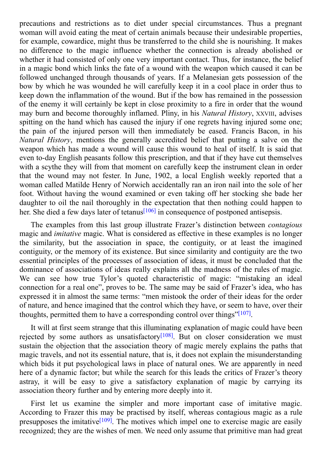precautions and restrictions as to diet under special circumstances. Thus a pregnant woman will avoid eating the meat of certain animals because their undesirable properties, for example, cowardice, might thus be transferred to the child she is nourishing. It makes no difference to the magic influence whether the connection is already abolished or whether it had consisted of only one very important contact. Thus, for instance, the belief in a magic bond which links the fate of a wound with the weapon which caused it can be followed unchanged through thousands of years. If a Melanesian gets possession of the bow by which he was wounded he will carefully keep it in a cool place in order thus to keep down the inflammation of the wound. But if the bow has remained in the possession of the enemy it will certainly be kept in close proximity to a fire in order that the wound may burn and become thoroughly inflamed. Pliny, in his *Natural History*, XXVIII, advises spitting on the hand which has caused the injury if one regrets having injured some one; the pain of the injured person will then immediately be eased. Francis Bacon, in his *Natural History*, mentions the generally accredited belief that putting a salve on the weapon which has made a wound will cause this wound to heal of itself. It is said that even to-day English peasants follow this prescription, and that if they have cut themselves with a scythe they will from that moment on carefully keep the instrument clean in order that the wound may not fester. In June, 1902, a local English weekly reported that a woman called Matilde Henry of Norwich accidentally ran an iron nail into the sole of her foot. Without having the wound examined or even taking off her stocking she bade her daughter to oil the nail thoroughly in the expectation that then nothing could happen to her. She died a few days later of tetanus<sup>[106]</sup> in consequence of postponed antisepsis.

The examples from this last group illustrate Frazer's distinction between *contagious* magic and *imitative* magic. What is co[nside](#page-107-18)red as effective in these examples is no longer the similarity, but the association in space, the contiguity, or at least the imagined contiguity, or the memory of its existence. But since similarity and contiguity are the two essential principles of the processes of association of ideas, it must be concluded that the dominance of associations of ideas really explains all the madness of the rules of magic. We can see how true Tylor's quoted characteristic of magic: "mistaking an ideal connection for a real one", proves to be. The same may be said of Frazer's idea, who has expressed it in almost the same terms: "men mistook the order of their ideas for the order of nature, and hence imagined that the control which they have, or seem to have, over their thoughts, permitted them to have a corresponding control over things"<sup>[107]</sup>.

It will at first seem strange that this illuminating explanation of magic could have been rejected by some authors as unsatisfactory<sup>[108]</sup>. But on closer co[nside](#page-107-19)ration we must sustain the objection that the association theory of magic merely explains the paths that magic travels, and not its essential nature, that is, it does not explain the misunderstanding which bids it put psychological laws in place [of](#page-107-20) natural ones. We are apparently in need here of a dynamic factor; but while the search for this leads the critics of Frazer's theory astray, it will be easy to give a satisfactory explanation of magic by carrying its association theory further and by entering more deeply into it.

First let us examine the simpler and more important case of imitative magic. According to Frazer this may be practised by itself, whereas contagious magic as a rule presupposes the imitative<sup>[109]</sup>. The motives which impel one to exercise magic are easily recognized; they are the wishes of men. We need only assume that primitive man had great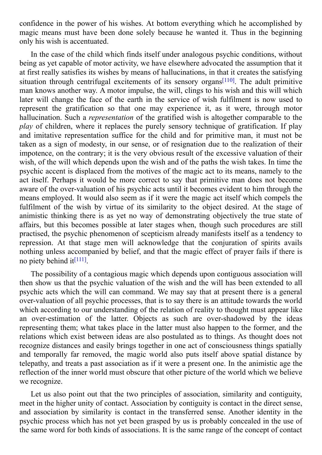confidence in the power of his wishes. At bottom everything which he accomplished by magic means must have been done solely because he wanted it. Thus in the beginning only his wish is accentuated.

In the case of the child which finds itself under analogous psychic conditions, without being as yet capable of motor activity, we have elsewhere advocated the assumption that it at first really satisfies its wishes by means of hallucinations, in that it creates the satisfying situation through centrifugal excitements of its sensory organs<sup>[110]</sup>. The adult primitive man knows another way. A motor impulse, the will, clings to his wish and this will which later will change the face of the earth in the service of wish fulfilment is now used to represent the gratification so that one may experience it, as [it](#page-107-21) were, through motor hallucination. Such a *representation* of the gratified wish is altogether comparable to the *play* of children, where it replaces the purely sensory technique of gratification. If play and imitative representation suffice for the child and for primitive man, it must not be taken as a sign of modesty, in our sense, or of resignation due to the realization of their impotence, on the contrary; it is the very obvious result of the excessive valuation of their wish, of the will which depends upon the wish and of the paths the wish takes. In time the psychic accent is displaced from the motives of the magic act to its means, namely to the act itself. Perhaps it would be more correct to say that primitive man does not become aware of the over-valuation of his psychic acts until it becomes evident to him through the means employed. It would also seem as if it were the magic act itself which compels the fulfilment of the wish by virtue of its similarity to the object desired. At the stage of animistic thinking there is as yet no way of demonstrating objectively the true state of affairs, but this becomes possible at later stages when, though such procedures are still practised, the psychic phenomenon of scepticism already manifests itself as a tendency to repression. At that stage men will acknowledge that the conjuration of spirits avails nothing unless accompanied by belief, and that the magic effect of prayer fails if there is no piety behind it<sup>[111]</sup>.

The possibility of a contagious magic which depends upon contiguous association will then show us that [the](#page-107-22) psychic valuation of the wish and the will has been extended to all psychic acts which the will can command. We may say that at present there is a general over-valuation of all psychic processes, that is to say there is an attitude towards the world which according to our understanding of the relation of reality to thought must appear like an over-estimation of the latter. Objects as such are over-shadowed by the ideas representing them; what takes place in the latter must also happen to the former, and the relations which exist between ideas are also postulated as to things. As thought does not recognize distances and easily brings together in one act of consciousness things spatially and temporally far removed, the magic world also puts itself above spatial distance by telepathy, and treats a past association as if it were a present one. In the animistic age the reflection of the inner world must obscure that other picture of the world which we believe we recognize.

Let us also point out that the two principles of association, similarity and contiguity, meet in the higher unity of contact. Association by contiguity is contact in the direct sense, and association by similarity is contact in the transferred sense. Another identity in the psychic process which has not yet been grasped by us is probably concealed in the use of the same word for both kinds of associations. It is the same range of the concept of contact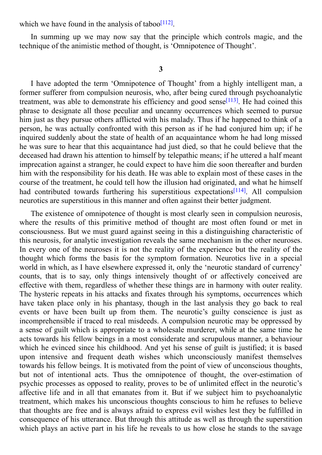In summing up we may now say that the principle which controls magic, and the technique of the animistic method of thought, [is](#page-107-23) 'Omnipotence of Thought'.

where  $\mathcal I$ 

#### **3**

I have adopted the term 'Omnipotence of Thought' from a highly intelligent man, a former sufferer from compulsion neurosis, who, after being cured through psychoanalytic treatment, was able to demonstrate his efficiency and good sense<sup>[113]</sup>. He had coined this phrase to designate all those peculiar and uncanny occurrences which seemed to pursue him just as they pursue others afflicted with his malady. Thus if he happened to think of a person, he was actually confronted with this person as if he had [con](#page-107-24)jured him up; if he inquired suddenly about the state of health of an acquaintance whom he had long missed he was sure to hear that this acquaintance had just died, so that he could believe that the deceased had drawn his attention to himself by telepathic means; if he uttered a half meant imprecation against a stranger, he could expect to have him die soon thereafter and burden him with the responsibility for his death. He was able to explain most of these cases in the course of the treatment, he could tell how the illusion had originated, and what he himself had contributed towards furthering his superstitious expectations<sup>[114]</sup>. All compulsion neurotics are superstitious in this manner and often against their better judgment.

The existence of omnipotence of thought is most clearly seen in [com](#page-107-25)pulsion neurosis, where the results of this primitive method of thought are most often found or met in consciousness. But we must guard against seeing in this a distinguishing characteristic of this neurosis, for analytic investigation reveals the same mechanism in the other neuroses. In every one of the neuroses it is not the reality of the experience but the reality of the thought which forms the basis for the symptom formation. Neurotics live in a special world in which, as I have elsewhere expressed it, only the 'neurotic standard of currency' counts, that is to say, only things intensively thought of or affectively conceived are effective with them, regardless of whether these things are in harmony with outer reality. The hysteric repeats in his attacks and fixates through his symptoms, occurrences which have taken place only in his phantasy, though in the last analysis they go back to real events or have been built up from them. The neurotic's guilty conscience is just as incomprehensible if traced to real misdeeds. A compulsion neurotic may be oppressed by a sense of guilt which is appropriate to a wholesale murderer, while at the same time he acts towards his fellow beings in a most considerate and scrupulous manner, a behaviour which he evinced since his childhood. And yet his sense of guilt is justified; it is based upon intensive and frequent death wishes which unconsciously manifest themselves towards his fellow beings. It is motivated from the point of view of unconscious thoughts, but not of intentional acts. Thus the omnipotence of thought, the over-estimation of psychic processes as opposed to reality, proves to be of unlimited effect in the neurotic's affective life and in all that emanates from it. But if we subject him to psychoanalytic treatment, which makes his unconscious thoughts conscious to him he refuses to believe that thoughts are free and is always afraid to express evil wishes lest they be fulfilled in consequence of his utterance. But through this attitude as well as through the superstition which plays an active part in his life he reveals to us how close he stands to the savage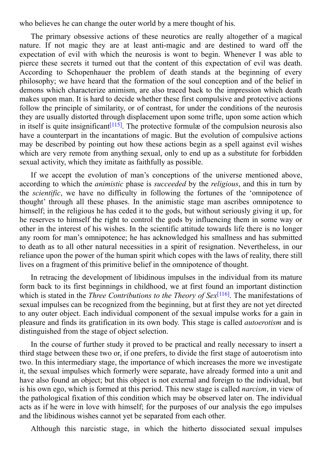where the can change the outer world by a mere thought of his  $\mathcal{C}$ The primary obsessive actions of these neurotics are really altogether of a magical nature. If not magic they are at least anti-magic and are destined to ward off the

expectation of evil with which the neurosis is wont to begin. Whenever I was able to pierce these secrets it turned out that the content of this expectation of evil was death. According to Schopenhauer the problem of death stands at the beginning of every philosophy; we have heard that the formation of the soul conception and of the belief in demons which characterize animism, are also traced back to the impression which death makes upon man. It is hard to decide whether these first compulsive and protective actions follow the principle of similarity, or of contrast, for under the conditions of the neurosis they are usually distorted through displacement upon some trifle, upon some action which in itself is quite insignificant<sup>[115]</sup>. The protective formulæ of the compulsion neurosis also have a counterpart in the incantations of magic. But the evolution of compulsive actions may be described by pointing out how these actions begin as a spell against evil wishes which are very remote from [anyt](#page-107-26)hing sexual, only to end up as a substitute for forbidden sexual activity, which they imitate as faithfully as possible.

If we accept the evolution of man's conceptions of the universe mentioned above, according to which the *animistic* phase is *succeeded* by the *religious*, and this in turn by the *scientific*, we have no difficulty in following the fortunes of the 'omnipotence of thought' through all these phases. In the animistic stage man ascribes omnipotence to himself; in the religious he has ceded it to the gods, but without seriously giving it up, for he reserves to himself the right to control the gods by influencing them in some way or other in the interest of his wishes. In the scientific attitude towards life there is no longer any room for man's omnipotence; he has acknowledged his smallness and has submitted to death as to all other natural necessities in a spirit of resignation. Nevertheless, in our reliance upon the power of the human spirit which copes with the laws of reality, there still lives on a fragment of this primitive belief in the omnipotence of thought.

In retracing the development of libidinous impulses in the individual from its mature form back to its first beginnings in childhood, we at first found an important distinction which is stated in the *Three Contributions to the Theory of Sex* [116] . The manifestations of sexual impulses can be recognized from the beginning, but at first they are not yet directed to any outer object. Each individual component of the sexual impulse works for a gain in pleasure and finds its gratification in its own body. This stage is [ca](#page-107-27)lled *autoerotism* and is distinguished from the stage of object selection.

In the course of further study it proved to be practical and really necessary to insert a third stage between these two or, if one prefers, to divide the first stage of autoerotism into two. In this intermediary stage, the importance of which increases the more we investigate it, the sexual impulses which formerly were separate, have already formed into a unit and have also found an object; but this object is not external and foreign to the individual, but is his own ego, which is formed at this period. This new stage is called *narcism*, in view of the pathological fixation of this condition which may be observed later on. The individual acts as if he were in love with himself; for the purposes of our analysis the ego impulses and the libidinous wishes cannot yet be separated from each other.

Although this narcistic stage, in which the hitherto dissociated sexual impulses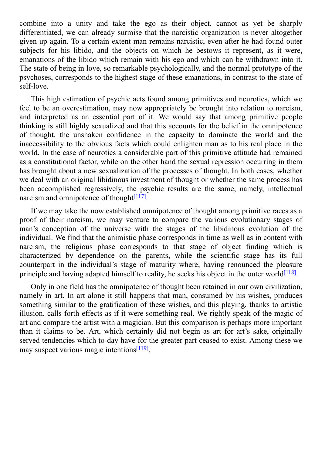combine into a unity and take the ego as the ego as the ego as the ego as the ego as the sharply sharply sharply sharply sharply sharply sharply sharply sharply sharply sharply sharply sharply sharply sharply sharply sharp differentiated, we can already surmise that the narcistic organization is never altogether given up again. To a certain extent man remains narcistic, even after he had found outer subjects for his libido, and the objects on which he bestows it represent, as it were, emanations of the libido which remain with his ego and which can be withdrawn into it. The state of being in love, so remarkable psychologically, and the normal prototype of the psychoses, corresponds to the highest stage of these emanations, in contrast to the state of self-love.

This high estimation of psychic acts found among primitives and neurotics, which we feel to be an overestimation, may now appropriately be brought into relation to narcism, and interpreted as an essential part of it. We would say that among primitive people thinking is still highly sexualized and that this accounts for the belief in the omnipotence of thought, the unshaken confidence in the capacity to dominate the world and the inaccessibility to the obvious facts which could enlighten man as to his real place in the world. In the case of neurotics a considerable part of this primitive attitude had remained as a constitutional factor, while on the other hand the sexual repression occurring in them has brought about a new sexualization of the processes of thought. In both cases, whether we deal with an original libidinous investment of thought or whether the same process has been accomplished regressively, the psychic results are the same, namely, intellectual narcism and omnipotence of thought<sup>[117]</sup>.

If we may take the now established omnipotence of thought among primitive races as a proof of their narcism, we may ve[nture](#page-108-0) to compare the various evolutionary stages of man's conception of the universe with the stages of the libidinous evolution of the individual. We find that the animistic phase corresponds in time as well as in content with narcism, the religious phase corresponds to that stage of object finding which is characterized by dependence on the parents, while the scientific stage has its full counterpart in the individual's stage of maturity where, having renounced the pleasure principle and having adapted himself to reality, he seeks his object in the outer world<sup>[118]</sup>.

Only in one field has the omnipotence of thought been retained in our own civilization, namely in art. In art alone it still happens that man, consumed by his wishes, pr[oduce](#page-108-1)s something similar to the gratification of these wishes, and this playing, thanks to artistic illusion, calls forth effects as if it were something real. We rightly speak of the magic of art and compare the artist with a magician. But this comparison is perhaps more important than it claims to be. Art, which certainly did not begin as art for art's sake, originally served tendencies which to-day have for the greater part ceased to exist. Among these we may suspect various magic intentions<sup>[119]</sup>.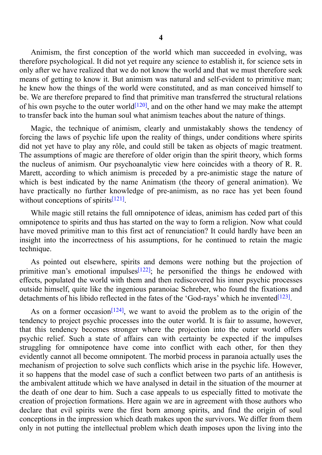Animism, the first conception of the world which man succeeded in evolving, was therefore psychological. It did not yet require any science to establish it, for science sets in only after we have realized that we do not know the world and that we must therefore seek means of getting to know it. But animism was natural and self-evident to primitive man; he knew how the things of the world were constituted, and as man conceived himself to be. We are therefore prepared to find that primitive man transferred the structural relations of his own psyche to the outer world<sup>[120]</sup>, and on the other hand we may make the attempt to transfer back into the human soul what animism teaches about the nature of things.

Magic, the technique of animis[m,](#page-108-2) clearly and unmistakably shows the tendency of forcing the laws of psychic life upon the reality of things, under conditions where spirits did not yet have to play any rôle, and could still be taken as objects of magic treatment. The assumptions of magic are therefore of older origin than the spirit theory, which forms the nucleus of animism. Our psychoanalytic view here coincides with a theory of R. R. Marett, according to which animism is preceded by a pre-animistic stage the nature of which is best indicated by the name Animatism (the theory of general animation). We have practically no further knowledge of pre-animism, as no race has yet been found without conceptions of spirits $[121]$ .

While magic still retains the full omnipotence of ideas, animism has ceded part of this omnipotence to spirits and th[us](#page-108-3) has started on the way to form a religion. Now what could have moved primitive man to this first act of renunciation? It could hardly have been an insight into the incorrectness of his assumptions, for he continued to retain the magic technique.

As pointed out elsewhere, spirits and demons were nothing but the projection of primitive man's emotional impulses<sup>[122]</sup>; he personified the things he endowed with effects, populated the world with them and then rediscovered his inner psychic processes outside himself, quite like the ingenious paranoiac Schreber, who found the fixations and detachments of his libido reflected in [the](#page-108-4) fates of the 'God-rays' which he invented<sup>[123]</sup>.

As on a former occasion<sup>[124]</sup>, we want to avoid the problem as to the origin of the tendency to project psychic processes into the outer world. It is fair to assume, [howe](#page-108-5)ver, that this tendency becomes stronger where the projection into the outer world offers psychic relief. Such a state [of](#page-108-6) affairs can with certainty be expected if the impulses struggling for omnipotence have come into conflict with each other, for then they evidently cannot all become omnipotent. The morbid process in paranoia actually uses the mechanism of projection to solve such conflicts which arise in the psychic life. However, it so happens that the model case of such a conflict between two parts of an antithesis is the ambivalent attitude which we have analysed in detail in the situation of the mourner at the death of one dear to him. Such a case appeals to us especially fitted to motivate the creation of projection formations. Here again we are in agreement with those authors who declare that evil spirits were the first born among spirits, and find the origin of soul conceptions in the impression which death makes upon the survivors. We differ from them only in not putting the intellectual problem which death imposes upon the living into the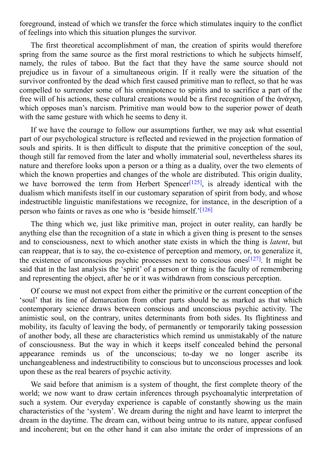for a strangeround, instead of which we transfer the force which stimulates in  $\mathcal{N}$ of feelings into which this situation plunges the survivor.

The first theoretical accomplishment of man, the creation of spirits would therefore spring from the same source as the first moral restrictions to which he subjects himself, namely, the rules of taboo. But the fact that they have the same source should not prejudice us in favour of a simultaneous origin. If it really were the situation of the survivor confronted by the dead which first caused primitive man to reflect, so that he was compelled to surrender some of his omnipotence to spirits and to sacrifice a part of the free will of his actions, these cultural creations would be a first recognition of the ἁνἁγκη, which opposes man's narcism. Primitive man would bow to the superior power of death with the same gesture with which he seems to deny it.

If we have the courage to follow our assumptions further, we may ask what essential part of our psychological structure is reflected and reviewed in the projection formation of souls and spirits. It is then difficult to dispute that the primitive conception of the soul, though still far removed from the later and wholly immaterial soul, nevertheless shares its nature and therefore looks upon a person or a thing as a duality, over the two elements of which the known properties and changes of the whole are distributed. This origin duality, we have borrowed the term from Herbert Spencer<sup>[125]</sup>, is already identical with the dualism which manifests itself in our customary separation of spirit from body, and whose indestructible linguistic manifestations we recognize, for instance, in the description of a person who faints or raves as one who is 'beside hims[elf.'](#page-108-7)<sup>[126]</sup>

The thing which we, just like primitive man, project in outer reality, can hardly be anything else than the recognition of a state in which a gi[ven](#page-108-8) thing is present to the senses and to consciousness, next to which another state exists in which the thing is *latent*, but can reappear, that is to say, the co-existence of perception and memory, or, to generalize it, the existence of unconscious psychic processes next to conscious ones<sup> $[127]$ </sup>. It might be said that in the last analysis the 'spirit' of a person or thing is the faculty of remembering and representing the object, after he or it was withdrawn from conscious perception.

Of course we must not expect from either the primitive or the current [conc](#page-108-9)eption of the 'soul' that its line of demarcation from other parts should be as marked as that which contemporary science draws between conscious and unconscious psychic activity. The animistic soul, on the contrary, unites determinants from both sides. Its flightiness and mobility, its faculty of leaving the body, of permanently or temporarily taking possession of another body, all these are characteristics which remind us unmistakably of the nature of consciousness. But the way in which it keeps itself concealed behind the personal appearance reminds us of the unconscious; to-day we no longer ascribe its unchangeableness and indestructibility to conscious but to unconscious processes and look upon these as the real bearers of psychic activity.

We said before that animism is a system of thought, the first complete theory of the world; we now want to draw certain inferences through psychoanalytic interpretation of such a system. Our everyday experience is capable of constantly showing us the main characteristics of the 'system'. We dream during the night and have learnt to interpret the dream in the daytime. The dream can, without being untrue to its nature, appear confused and incoherent; but on the other hand it can also imitate the order of impressions of an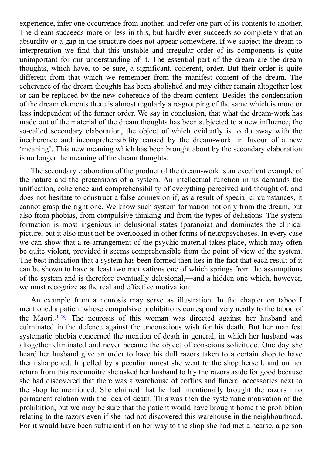experience, infer one occurrence from another, and refer one part of its contents to another. The dream succeeds more or less in this, but hardly ever succeeds so completely that an absurdity or a gap in the structure does not appear somewhere. If we subject the dream to interpretation we find that this unstable and irregular order of its components is quite unimportant for our understanding of it. The essential part of the dream are the dream thoughts, which have, to be sure, a significant, coherent, order. But their order is quite different from that which we remember from the manifest content of the dream. The coherence of the dream thoughts has been abolished and may either remain altogether lost or can be replaced by the new coherence of the dream content. Besides the condensation of the dream elements there is almost regularly a re-grouping of the same which is more or less independent of the former order. We say in conclusion, that what the dream-work has made out of the material of the dream thoughts has been subjected to a new influence, the so-called secondary elaboration, the object of which evidently is to do away with the incoherence and incomprehensibility caused by the dream-work, in favour of a new 'meaning'. This new meaning which has been brought about by the secondary elaboration is no longer the meaning of the dream thoughts.

The secondary elaboration of the product of the dream-work is an excellent example of the nature and the pretensions of a system. An intellectual function in us demands the unification, coherence and comprehensibility of everything perceived and thought of, and does not hesitate to construct a false connexion if, as a result of special circumstances, it cannot grasp the right one. We know such system formation not only from the dream, but also from phobias, from compulsive thinking and from the types of delusions. The system formation is most ingenious in delusional states (paranoia) and dominates the clinical picture, but it also must not be overlooked in other forms of neuropsychoses. In every case we can show that a re-arrangement of the psychic material takes place, which may often be quite violent, provided it seems comprehensible from the point of view of the system. The best indication that a system has been formed then lies in the fact that each result of it can be shown to have at least two motivations one of which springs from the assumptions of the system and is therefore eventually delusional,—and a hidden one which, however, we must recognize as the real and effective motivation.

An example from a neurosis may serve as illustration. In the chapter on taboo I mentioned a patient whose compulsive prohibitions correspond very neatly to the taboo of the Maori. [128] The neurosis of this woman was directed against her husband and culminated in the defence against the unconscious wish for his death. But her manifest systematic phobia concerned the mention of death in general, in which her husband was altogether [elim](#page-108-10)inated and never became the object of conscious solicitude. One day she heard her husband give an order to have his dull razors taken to a certain shop to have them sharpened. Impelled by a peculiar unrest she went to the shop herself, and on her return from this reconnoitre she asked her husband to lay the razors aside for good because she had discovered that there was a warehouse of coffins and funeral accessories next to the shop he mentioned. She claimed that he had intentionally brought the razors into permanent relation with the idea of death. This was then the systematic motivation of the prohibition, but we may be sure that the patient would have brought home the prohibition relating to the razors even if she had not discovered this warehouse in the neighbourhood. For it would have been sufficient if on her way to the shop she had met a hearse, a person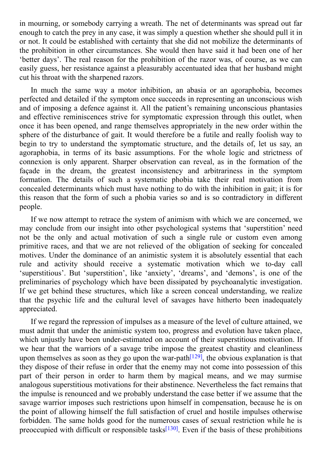in mourning, or somebody carrying a wreath. The net of determinants was spread out far enough to catch the prey in any case, it was simply a question whether she should pull it in or not. It could be established with certainty that she did not mobilize the determinants of the prohibition in other circumstances. She would then have said it had been one of her 'better days'. The real reason for the prohibition of the razor was, of course, as we can easily guess, her resistance against a pleasurably accentuated idea that her husband might cut his throat with the sharpened razors.

In much the same way a motor inhibition, an abasia or an agoraphobia, becomes perfected and detailed if the symptom once succeeds in representing an unconscious wish and of imposing a defence against it. All the patient's remaining unconscious phantasies and effective reminiscences strive for symptomatic expression through this outlet, when once it has been opened, and range themselves appropriately in the new order within the sphere of the disturbance of gait. It would therefore be a futile and really foolish way to begin to try to understand the symptomatic structure, and the details of, let us say, an agoraphobia, in terms of its basic assumptions. For the whole logic and strictness of connexion is only apparent. Sharper observation can reveal, as in the formation of the façade in the dream, the greatest inconsistency and arbitrariness in the symptom formation. The details of such a systematic phobia take their real motivation from concealed determinants which must have nothing to do with the inhibition in gait; it is for this reason that the form of such a phobia varies so and is so contradictory in different people.

If we now attempt to retrace the system of animism with which we are concerned, we may conclude from our insight into other psychological systems that 'superstition' need not be the only and actual motivation of such a single rule or custom even among primitive races, and that we are not relieved of the obligation of seeking for concealed motives. Under the dominance of an animistic system it is absolutely essential that each rule and activity should receive a systematic motivation which we to-day call 'superstitious'. But 'superstition', like 'anxiety', 'dreams', and 'demons', is one of the preliminaries of psychology which have been dissipated by psychoanalytic investigation. If we get behind these structures, which like a screen conceal understanding, we realize that the psychic life and the cultural level of savages have hitherto been inadequately appreciated.

If we regard the repression of impulses as a measure of the level of culture attained, we must admit that under the animistic system too, progress and evolution have taken place, which unjustly have been under-estimated on account of their superstitious motivation. If we hear that the warriors of a savage tribe impose the greatest chastity and cleanliness upon themselves as soon as they go upon the war-path<sup>[129]</sup>, the obvious explanation is that they dispose of their refuse in order that the enemy may not come into possession of this part of their person in order to harm them by magical means, and we may surmise analogous superstitious motivations for their abstinence. [N](#page-108-11)evertheless the fact remains that the impulse is renounced and we probably understand the case better if we assume that the savage warrior imposes such restrictions upon himself in compensation, because he is on the point of allowing himself the full satisfaction of cruel and hostile impulses otherwise forbidden. The same holds good for the numerous cases of sexual restriction while he is preoccupied with difficult or responsible tasks<sup>[130]</sup>. Even if the basis of these prohibitions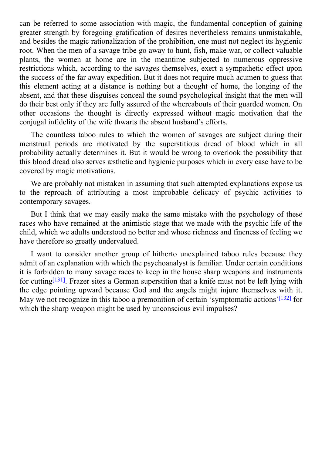can be referred to some association with magic, the fundamental conception of gaining greater strength by foregoing gratification of desires nevertheless remains unmistakable, and besides the magic rationalization of the prohibition, one must not neglect its hygienic root. When the men of a savage tribe go away to hunt, fish, make war, or collect valuable plants, the women at home are in the meantime subjected to numerous oppressive restrictions which, according to the savages themselves, exert a sympathetic effect upon the success of the far away expedition. But it does not require much acumen to guess that this element acting at a distance is nothing but a thought of home, the longing of the absent, and that these disguises conceal the sound psychological insight that the men will do their best only if they are fully assured of the whereabouts of their guarded women. On other occasions the thought is directly expressed without magic motivation that the conjugal infidelity of the wife thwarts the absent husband's efforts.

The countless taboo rules to which the women of savages are subject during their menstrual periods are motivated by the superstitious dread of blood which in all probability actually determines it. But it would be wrong to overlook the possibility that this blood dread also serves æsthetic and hygienic purposes which in every case have to be covered by magic motivations.

We are probably not mistaken in assuming that such attempted explanations expose us to the reproach of attributing a most improbable delicacy of psychic activities to contemporary savages.

But I think that we may easily make the same mistake with the psychology of these races who have remained at the animistic stage that we made with the psychic life of the child, which we adults understood no better and whose richness and fineness of feeling we have therefore so greatly undervalued.

I want to consider another group of hitherto unexplained taboo rules because they admit of an explanation with which the psychoanalyst is familiar. Under certain conditions it is forbidden to many savage races to keep in the house sharp weapons and instruments for cutting<sup>[131]</sup>. Frazer sites a German superstition that a knife must not be left lying with the edge pointing upward because God and the angels might injure themselves with it. May we not recognize in this taboo a premonition of certain 'symptomatic actions'<sup>[132]</sup> for which the [sharp](#page-108-12) weapon might be used by unconscious evil impulses?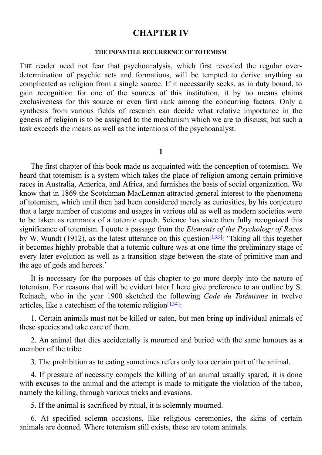## **CHAPTER IV**

#### **THE INFANTILE RECURRENCE OF TOTEMISM**

THE reader need not fear that psychoanalysis, which first revealed the regular overdetermination of psychic acts and formations, will be tempted to derive anything so complicated as religion from a single source. If it necessarily seeks, as in duty bound, to gain recognition for one of the sources of this institution, it by no means claims exclusiveness for this source or even first rank among the concurring factors. Only a synthesis from various fields of research can decide what relative importance in the genesis of religion is to be assigned to the mechanism which we are to discuss; but such a task exceeds the means as well as the intentions of the psychoanalyst.

### **1**

The first chapter of this book made us acquainted with the conception of totemism. We heard that totemism is a system which takes the place of religion among certain primitive races in Australia, America, and Africa, and furnishes the basis of social organization. We know that in 1869 the Scotchman MacLennan attracted general interest to the phenomena of totemism, which until then had been considered merely as curiosities, by his conjecture that a large number of customs and usages in various old as well as modern societies were to be taken as remnants of a totemic epoch. Science has since then fully recognized this significance of totemism. I quote a passage from the *Elements of the Psychology of Races* by W. Wundt (1912), as the latest utterance on this question<sup>[133]</sup>: 'Taking all this together it becomes highly probable that a totemic culture was at one time the preliminary stage of every later evolution as well as a transition stage between t[he](#page-108-13) state of primitive man and the age of gods and heroes.'

It is necessary for the purposes of this chapter to go more deeply into the nature of totemism. For reasons that will be evident later I here give preference to an outline by S. Reinach, who in the year 1900 sketched the following *Code du Totémisme* in twelve articles, like a catechism of the totemic religion<sup>[134]</sup>:

1. Certain animals must not be killed or eaten, but men bring up individual animals of these species and take care of them.

2. An animal that dies accidentally is mourned and buried with the same honours as a member of the tribe.

3. The prohibition as to eating sometimes refers only to a certain part of the animal.

4. If pressure of necessity compels the killing of an animal usually spared, it is done with excuses to the animal and the attempt is made to mitigate the violation of the taboo, namely the killing, through various tricks and evasions.

5. If the animal is sacrificed by ritual, it is solemnly mourned.

6. At specified solemn occasions, like religious ceremonies, the skins of certain animals are donned. Where totemism still exists, these are totem animals.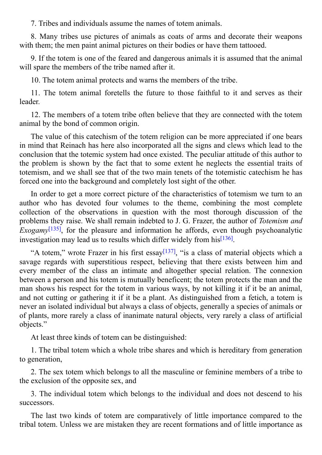8. Many tribes use pictures of animals as coats of arms and decorate their weapons with them; the men paint animal pictures on their bodies or have them tattooed.

9. If the totem is one of the feared and dangerous animals it is assumed that the animal will spare the members of the tribe named after it.

10. The totem animal protects and warns the members of the tribe.

11. The totem animal foretells the future to those faithful to it and serves as their leader.

12. The members of a totem tribe often believe that they are connected with the totem animal by the bond of common origin.

The value of this catechism of the totem religion can be more appreciated if one bears in mind that Reinach has here also incorporated all the signs and clews which lead to the conclusion that the totemic system had once existed. The peculiar attitude of this author to the problem is shown by the fact that to some extent he neglects the essential traits of totemism, and we shall see that of the two main tenets of the totemistic catechism he has forced one into the background and completely lost sight of the other.

In order to get a more correct picture of the characteristics of totemism we turn to an author who has devoted four volumes to the theme, combining the most complete collection of the observations in question with the most thorough discussion of the problems they raise. We shall remain indebted to J. G. Frazer, the author of *Totemism and Exogamy*<sup>[135]</sup>, for the pleasure and information he affords, even though psychoanalytic investigation may lead us to results which differ widely from his [136] .

"A to[tem,](#page-108-14)" wrote Frazer in his first essay<sup>[137]</sup>, "is a class of material objects which a savage regards with superstitious respect, believing that there [exi](#page-108-15)sts between him and every member of the class an intimate and altogether special relation. The connexion between a person and his totem is mutually b[enefi](#page-109-0)cent; the totem protects the man and the man shows his respect for the totem in various ways, by not killing it if it be an animal, and not cutting or gathering it if it be a plant. As distinguished from a fetich, a totem is never an isolated individual but always a class of objects, generally a species of animals or of plants, more rarely a class of inanimate natural objects, very rarely a class of artificial objects."

At least three kinds of totem can be distinguished:

1. The tribal totem which a whole tribe shares and which is hereditary from generation to generation,

2. The sex totem which belongs to all the masculine or feminine members of a tribe to the exclusion of the opposite sex, and

3. The individual totem which belongs to the individual and does not descend to his successors.

The last two kinds of totem are comparatively of little importance compared to the tribal totem. Unless we are mistaken they are recent formations and of little importance as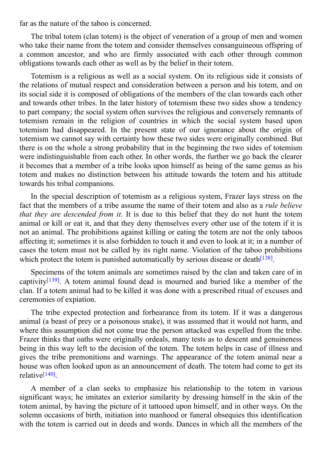The tribal totem (clan totem) is the object of veneration of a group of men and women who take their name from the totem and consider themselves consanguineous offspring of a common ancestor, and who are firmly associated with each other through common obligations towards each other as well as by the belief in their totem.

Totemism is a religious as well as a social system. On its religious side it consists of the relations of mutual respect and consideration between a person and his totem, and on its social side it is composed of obligations of the members of the clan towards each other and towards other tribes. In the later history of totemism these two sides show a tendency to part company; the social system often survives the religious and conversely remnants of totemism remain in the religion of countries in which the social system based upon totemism had disappeared. In the present state of our ignorance about the origin of totemism we cannot say with certainty how these two sides were originally combined. But there is on the whole a strong probability that in the beginning the two sides of totemism were indistinguishable from each other. In other words, the further we go back the clearer it becomes that a member of a tribe looks upon himself as being of the same genus as his totem and makes no distinction between his attitude towards the totem and his attitude towards his tribal companions.

In the special description of totemism as a religious system, Frazer lays stress on the fact that the members of a tribe assume the name of their totem and also as a *rule believe that they are descended from it.* It is due to this belief that they do not hunt the totem animal or kill or eat it, and that they deny themselves every other use of the totem if it is not an animal. The prohibitions against killing or eating the totem are not the only taboos affecting it; sometimes it is also forbidden to touch it and even to look at it; in a number of cases the totem must not be called by its right name. Violation of the taboo prohibitions which protect the totem is punished automatically by serious disease or death<sup>[138]</sup>.

Specimens of the totem animals are sometimes raised by the clan and taken care of in captivity<sup>[139]</sup>. A totem animal found dead is mourned and buried like a [memb](#page-109-1)er of the clan. If a totem animal had to be killed it was done with a prescribed ritual of excuses and ceremonies of expiation.

The [tribe](#page-109-2) expected protection and forbearance from its totem. If it was a dangerous animal (a beast of prey or a poisonous snake), it was assumed that it would not harm, and where this assumption did not come true the person attacked was expelled from the tribe. Frazer thinks that oaths were originally ordeals, many tests as to descent and genuineness being in this way left to the decision of the totem. The totem helps in case of illness and gives the tribe premonitions and warnings. The appearance of the totem animal near a house was often looked upon as an announcement of death. The totem had come to get its relative<sup>[140]</sup>.

A member of a clan seeks to emphasize his relationship to the totem in various signifi[cant](#page-109-3) ways; he imitates an exterior similarity by dressing himself in the skin of the totem animal, by having the picture of it tattooed upon himself, and in other ways. On the solemn occasions of birth, initiation into manhood or funeral obsequies this identification with the totem is carried out in deeds and words. Dances in which all the members of the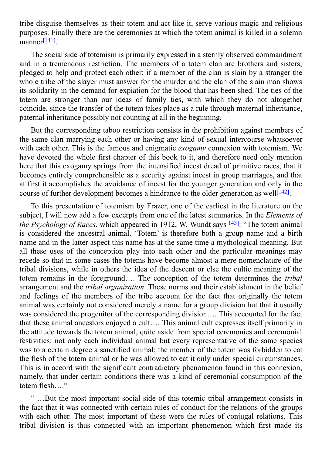tribe disguise themselves as their totem and act like it, serve various magic and religious purposes. Finally there are the ceremonies at which the totem animal is killed in a solemn manner [141] .

The social side of totemism is primarily expressed in a sternly observed commandment and in a [tre](#page-109-4)mendous restriction. The members of a totem clan are brothers and sisters, pledged to help and protect each other; if a member of the clan is slain by a stranger the whole tribe of the slayer must answer for the murder and the clan of the slain man shows its solidarity in the demand for expiation for the blood that has been shed. The ties of the totem are stronger than our ideas of family ties, with which they do not altogether coincide, since the transfer of the totem takes place as a rule through maternal inheritance, paternal inheritance possibly not counting at all in the beginning.

But the corresponding taboo restriction consists in the prohibition against members of the same clan marrying each other or having any kind of sexual intercourse whatsoever with each other. This is the famous and enigmatic *exogamy* connexion with totemism. We have devoted the whole first chapter of this book to it, and therefore need only mention here that this exogamy springs from the intensified incest dread of primitive races, that it becomes entirely comprehensible as a security against incest in group marriages, and that at first it accomplishes the avoidance of incest for the younger generation and only in the course of further development becomes a hindrance to the older generation as well<sup>[142]</sup>.

To this presentation of totemism by Frazer, one of the earliest in the literature on the subject, I will now add a few excerpts from one of the latest summaries. In the *Ele[ment](#page-109-5)s of the Psychology of Races*, which appeared in 1912, W. Wundt says [143]: "The totem animal is considered the ancestral animal. 'Totem' is therefore both a group name and a birth name and in the latter aspect this name has at the same time a mythological meaning. But all these uses of the conception play into each other and the p[artic](#page-109-6)ular meanings may recede so that in some cases the totems have become almost a mere nomenclature of the tribal divisions, while in others the idea of the descent or else the cultic meaning of the totem remains in the foreground…. The conception of the totem determines the *tribal* arrangement and the *tribal organization*. These norms and their establishment in the belief and feelings of the members of the tribe account for the fact that originally the totem animal was certainly not considered merely a name for a group division but that it usually was considered the progenitor of the corresponding division…. This accounted for the fact that these animal ancestors enjoyed a cult…. This animal cult expresses itself primarily in the attitude towards the totem animal, quite aside from special ceremonies and ceremonial festivities: not only each individual animal but every representative of the same species was to a certain degree a sanctified animal; the member of the totem was forbidden to eat the flesh of the totem animal or he was allowed to eat it only under special circumstances. This is in accord with the significant contradictory phenomenon found in this connexion, namely, that under certain conditions there was a kind of ceremonial consumption of the totem flesh…."

" …But the most important social side of this totemic tribal arrangement consists in the fact that it was connected with certain rules of conduct for the relations of the groups with each other. The most important of these were the rules of conjugal relations. This tribal division is thus connected with an important phenomenon which first made its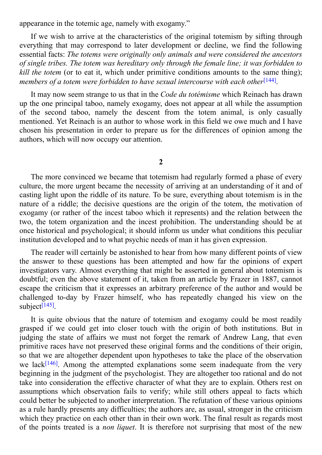appearance in the totemic age, namely with exogamy."

If we wish to arrive at the characteristics of the original totemism by sifting through everything that may correspond to later development or decline, we find the following essential facts: *The totems were originally only animals and were considered the ancestors of single tribes. The totem was hereditary only through the female line; it was forbidden to kill the totem* (or to eat it, which under primitive conditions amounts to the same thing); *members of a totem were forbidden to have sexual intercourse with each other* [144] .

It may now seem strange to us that in the *Code du totémisme* which Reinach has drawn up the one principal taboo, namely exogamy, does not appear at all while the [assu](#page-109-0)mption of the second taboo, namely the descent from the totem animal, is only casually mentioned. Yet Reinach is an author to whose work in this field we owe much and I have chosen his presentation in order to prepare us for the differences of opinion among the authors, which will now occupy our attention.

**2**

The more convinced we became that totemism had regularly formed a phase of every culture, the more urgent became the necessity of arriving at an understanding of it and of casting light upon the riddle of its nature. To be sure, everything about totemism is in the nature of a riddle; the decisive questions are the origin of the totem, the motivation of exogamy (or rather of the incest taboo which it represents) and the relation between the two, the totem organization and the incest prohibition. The understanding should be at once historical and psychological; it should inform us under what conditions this peculiar institution developed and to what psychic needs of man it has given expression.

The reader will certainly be astonished to hear from how many different points of view the answer to these questions has been attempted and how far the opinions of expert investigators vary. Almost everything that might be asserted in general about totemism is doubtful; even the above statement of it, taken from an article by Frazer in 1887, cannot escape the criticism that it expresses an arbitrary preference of the author and would be challenged to-day by Frazer himself, who has repeatedly changed his view on the subject<sup>[145]</sup>.

It is quite obvious that the nature of totemism and exogamy could be most readily grasped [if](#page-109-1) we could get into closer touch with the origin of both institutions. But in judging the state of affairs we must not forget the remark of Andrew Lang, that even primitive races have not preserved these original forms and the conditions of their origin, so that we are altogether dependent upon hypotheses to take the place of the observation we lack<sup>[146]</sup>. Among the attempted explanations some seem inadequate from the very beginning in the judgment of the psychologist. They are altogether too rational and do not take into consideration the effective character of what they are to explain. Others rest on assump[tions](#page-109-2) which observation fails to verify; while still others appeal to facts which could better be subjected to another interpretation. The refutation of these various opinions as a rule hardly presents any difficulties; the authors are, as usual, stronger in the criticism which they practice on each other than in their own work. The final result as regards most of the points treated is a *non liquet*. It is therefore not surprising that most of the new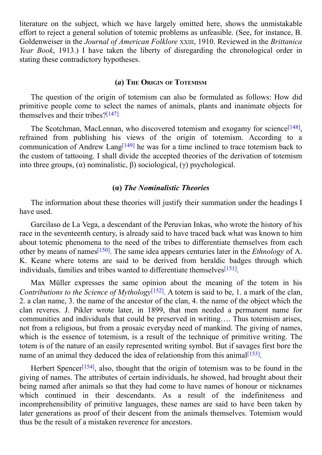$\mathcal{Q}$  and the subjection we have largely omitted here, shows the unmistakable here, shows the unmistakable here, shows the unmistakable here, shows the unmistakable here, shows the unmistakable here, shows the unmistak effort to reject a general solution of totemic problems as unfeasible. (See, for instance, B. Goldenweiser in the *Journal of American Folklore* XXIII, 1910. Reviewed in the *Brittanica Year Book*, 1913.) I have taken the liberty of disregarding the chronological order in stating these contradictory hypotheses.

### **(***a***) THE ORIGIN OF TOTEMISM**

The question of the origin of totemism can also be formulated as follows: How did primitive people come to select the names of animals, plants and inanimate objects for themselves and their tribes? [147]

The Scotchman, MacLennan, who discovered totemism and exogamy for science<sup>[148]</sup>, refrained from publishing [his](#page-109-3) views of the origin of totemism. According to a communication of Andrew Lang<sup>[149]</sup> he was for a time inclined to trace totemism back to the custom of tattooing. I shall divide the accepted theories of the derivation of tote[mism](#page-109-4) into three groups, (α) nominalist[ic,](#page-109-5) β) sociological, (γ) psychological.

## **(α)** *The Nominalistic Theories*

The information about these theories will justify their summation under the headings I have used.

Garcilaso de La Vega, a descendant of the Peruvian Inkas, who wrote the history of his race in the seventeenth century, is already said to have traced back what was known to him about totemic phenomena to the need of the tribes to differentiate themselves from each other by means of names [150] . The same idea appears centuries later in the *Ethnology* of A. K. Keane where totems are said to be derived from heraldic badges through which individuals, families and [tribe](#page-109-6)s wanted to differentiate themselves<sup>[151]</sup>.

Max Müller expresses the same opinion about the meaning of the totem in his *Contributions to the Science of Mythology* [152] . A totem is said to [be,](#page-109-7) 1. a mark of the clan, 2. a clan name, 3. the name of the ancestor of the clan, 4. the name of the object which the clan reveres. J. Pikler wrote later, in 1899, that men needed a permanent name for communities and individuals that could be [pre](#page-109-8)served in writing…. Thus totemism arises, not from a religious, but from a prosaic everyday need of mankind. The giving of names, which is the essence of totemism, is a result of the technique of primitive writing. The totem is of the nature of an easily represented writing symbol. But if savages first bore the name of an animal they deduced the idea of relationship from this animal<sup>[153]</sup>.

Herbert Spencer<sup>[154]</sup>, also, thought that the origin of totemism was to be found in the giving of names. The attributes of certain individuals, he showed, had b[rough](#page-109-9)t about their being named after animals so that they had come to have names of honour or nicknames which cont[in](#page-109-10)ued in their descendants. As a result of the indefiniteness and incomprehensibility of primitive languages, these names are said to have been taken by later generations as proof of their descent from the animals themselves. Totemism would thus be the result of a mistaken reverence for ancestors.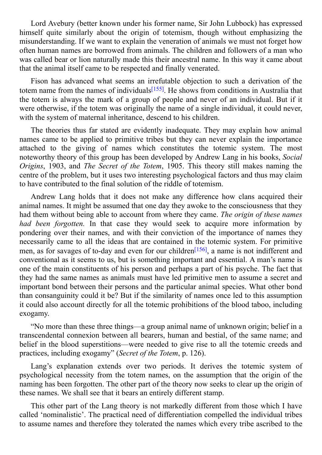$\mathcal{L}$  average his former name, Sir John Lubbock, Sir John Lubbock, Sir John Lubbock, Sir John Lubbock, Sir John Lubbock, Sir John Lubbock, Sir John Lubbock, Sir John Lubbock, Sir John Lubbock, Sir John Lubbock, Sir Joh himself quite similarly about the origin of totemism, though without emphasizing the misunderstanding. If we want to explain the veneration of animals we must not forget how often human names are borrowed from animals. The children and followers of a man who was called bear or lion naturally made this their ancestral name. In this way it came about that the animal itself came to be respected and finally venerated.

Fison has advanced what seems an irrefutable objection to such a derivation of the totem name from the names of individuals<sup>[155]</sup>. He shows from conditions in Australia that the totem is always the mark of a group of people and never of an individual. But if it were otherwise, if the totem was originally the name of a single individual, it could never, with the system of maternal inheritance, d[escen](#page-109-11)d to his children.

The theories thus far stated are evidently inadequate. They may explain how animal names came to be applied to primitive tribes but they can never explain the importance attached to the giving of names which constitutes the totemic system. The most noteworthy theory of this group has been developed by Andrew Lang in his books, *Social Origins*, 1903, and *The Secret of the Totem*, 1905. This theory still makes naming the centre of the problem, but it uses two interesting psychological factors and thus may claim to have contributed to the final solution of the riddle of totemism.

Andrew Lang holds that it does not make any difference how clans acquired their animal names. It might be assumed that one day they awoke to the consciousness that they had them without being able to account from where they came. *The origin of these names had been forgotten.* In that case they would seek to acquire more information by pondering over their names, and with their conviction of the importance of names they necessarily came to all the ideas that are contained in the totemic system. For primitive men, as for savages of to-day and even for our children<sup>[156]</sup>, a name is not indifferent and conventional as it seems to us, but is something important and essential. A man's name is one of the main constituents of his person and perhaps a part of his psyche. The fact that they had the same names as animals must have led pri[mitiv](#page-109-12)e men to assume a secret and important bond between their persons and the particular animal species. What other bond than consanguinity could it be? But if the similarity of names once led to this assumption it could also account directly for all the totemic prohibitions of the blood taboo, including exogamy.

"No more than these three things—a group animal name of unknown origin; belief in a transcendental connexion between all bearers, human and bestial, of the same name; and belief in the blood superstitions—were needed to give rise to all the totemic creeds and practices, including exogamy" (*Secret of the Totem*, p. 126).

Lang's explanation extends over two periods. It derives the totemic system of psychological necessity from the totem names, on the assumption that the origin of the naming has been forgotten. The other part of the theory now seeks to clear up the origin of these names. We shall see that it bears an entirely different stamp.

This other part of the Lang theory is not markedly different from those which I have called 'nominalistic'. The practical need of differentiation compelled the individual tribes to assume names and therefore they tolerated the names which every tribe ascribed to the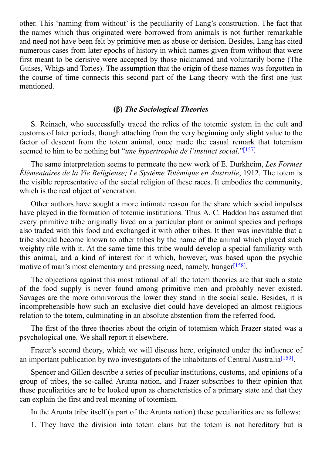other. This 'naming from without' is the peculiarity of Lang's construction. The fact that the names which thus originated were borrowed from animals is not further remarkable and need not have been felt by primitive men as abuse or derision. Besides, Lang has cited numerous cases from later epochs of history in which names given from without that were first meant to be derisive were accepted by those nicknamed and voluntarily borne (The Guises, Whigs and Tories). The assumption that the origin of these names was forgotten in the course of time connects this second part of the Lang theory with the first one just mentioned.

# **(β)** *The Sociological Theories*

S. Reinach, who successfully traced the relics of the totemic system in the cult and customs of later periods, though attaching from the very beginning only slight value to the factor of descent from the totem animal, once made the casual remark that totemism seemed to him to be nothing but "*une hypertrophie de l'instinct social*." [157]

The same interpretation seems to permeate the new work of E. Durkheim, *Les Formes Élémentaires de la Vie Religieuse; Le Systême Totémique en Australie*, [1912](#page-109-13). The totem is the visible representative of the social religion of these races. It embodies the community, which is the real object of veneration.

Other authors have sought a more intimate reason for the share which social impulses have played in the formation of totemic institutions. Thus A. C. Haddon has assumed that every primitive tribe originally lived on a particular plant or animal species and perhaps also traded with this food and exchanged it with other tribes. It then was inevitable that a tribe should become known to other tribes by the name of the animal which played such weighty rôle with it. At the same time this tribe would develop a special familiarity with this animal, and a kind of interest for it which, however, was based upon the psychic motive of man's most elementary and pressing need, namely, hunger<sup>[158]</sup>.

The objections against this most rational of all the totem theories are that such a state of the food supply is never found among primitive men and pr[obab](#page-109-14)ly never existed. Savages are the more omnivorous the lower they stand in the social scale. Besides, it is incomprehensible how such an exclusive diet could have developed an almost religious relation to the totem, culminating in an absolute abstention from the referred food.

The first of the three theories about the origin of totemism which Frazer stated was a psychological one. We shall report it elsewhere.

Frazer's second theory, which we will discuss here, originated under the influence of an important publication by two investigators of the inhabitants of Central Australia<sup>[159]</sup>.

Spencer and Gillen describe a series of peculiar institutions, customs, and opinions of a group of tribes, the so-called Arunta nation, and Frazer subscribes to their opini[on](#page-109-15) that these peculiarities are to be looked upon as characteristics of a primary state and that they can explain the first and real meaning of totemism.

In the Arunta tribe itself (a part of the Arunta nation) these peculiarities are as follows:

1. They have the division into totem clans but the totem is not hereditary but is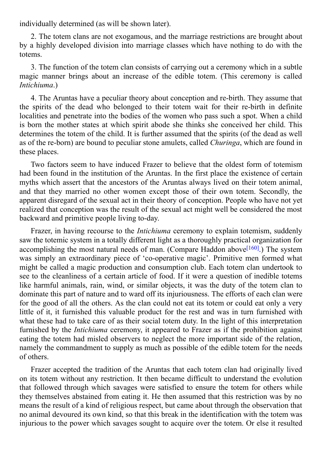2. The totem clans are not exogamous, and the marriage restrictions are brought about by a highly developed division into marriage classes which have nothing to do with the totems.

individually determined (as will be shown later).

3. The function of the totem clan consists of carrying out a ceremony which in a subtle magic manner brings about an increase of the edible totem. (This ceremony is called *Intichiuma*.)

4. The Aruntas have a peculiar theory about conception and re-birth. They assume that the spirits of the dead who belonged to their totem wait for their re-birth in definite localities and penetrate into the bodies of the women who pass such a spot. When a child is born the mother states at which spirit abode she thinks she conceived her child. This determines the totem of the child. It is further assumed that the spirits (of the dead as well as of the re-born) are bound to peculiar stone amulets, called *Churinga*, which are found in these places.

Two factors seem to have induced Frazer to believe that the oldest form of totemism had been found in the institution of the Aruntas. In the first place the existence of certain myths which assert that the ancestors of the Aruntas always lived on their totem animal, and that they married no other women except those of their own totem. Secondly, the apparent disregard of the sexual act in their theory of conception. People who have not yet realized that conception was the result of the sexual act might well be considered the most backward and primitive people living to-day.

Frazer, in having recourse to the *Intichiuma* ceremony to explain totemism, suddenly saw the totemic system in a totally different light as a thoroughly practical organization for accomplishing the most natural needs of man. (Compare Haddon above<sup>[160]</sup>.) The system was simply an extraordinary piece of 'co-operative magic'. Primitive men formed what might be called a magic production and consumption club. Each totem clan undertook to see to the cleanliness of a certain article of food. If it were a question of [in](#page-109-16)edible totems like harmful animals, rain, wind, or similar objects, it was the duty of the totem clan to dominate this part of nature and to ward off its injuriousness. The efforts of each clan were for the good of all the others. As the clan could not eat its totem or could eat only a very little of it, it furnished this valuable product for the rest and was in turn furnished with what these had to take care of as their social totem duty. In the light of this interpretation furnished by the *Intichiuma* ceremony, it appeared to Frazer as if the prohibition against eating the totem had misled observers to neglect the more important side of the relation, namely the commandment to supply as much as possible of the edible totem for the needs of others.

Frazer accepted the tradition of the Aruntas that each totem clan had originally lived on its totem without any restriction. It then became difficult to understand the evolution that followed through which savages were satisfied to ensure the totem for others while they themselves abstained from eating it. He then assumed that this restriction was by no means the result of a kind of religious respect, but came about through the observation that no animal devoured its own kind, so that this break in the identification with the totem was injurious to the power which savages sought to acquire over the totem. Or else it resulted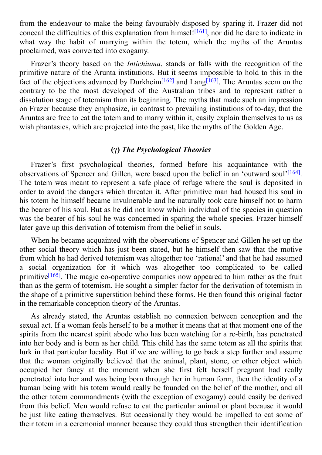from the endeavour to make the being favourably disposed by sparing it. Frazer did not conceal the difficulties of this explanation from himself<sup> $[161]$ </sup>, nor did he dare to indicate in what way the habit of marrying within the totem, which the myths of the Aruntas proclaimed, was converted into exogamy.

Frazer's theory based on the *Intichiuma*, stands or [fall](#page-110-0)s with the recognition of the primitive nature of the Arunta institutions. But it seems impossible to hold to this in the fact of the objections advanced by Durkheim<sup>[162]</sup> and Lang<sup>[163]</sup>. The Aruntas seem on the contrary to be the most developed of the Australian tribes and to represent rather a dissolution stage of totemism than its beginning. The myths that made such an impression on Frazer because they emphasize, in contrast [to](#page-110-1) prevailing [inst](#page-110-2)itutions of to-day, that the Aruntas are free to eat the totem and to marry within it, easily explain themselves to us as wish phantasies, which are projected into the past, like the myths of the Golden Age.

# **(γ)** *The Psychological Theories*

Frazer's first psychological theories, formed before his acquaintance with the observations of Spencer and Gillen, were based upon the belief in an 'outward soul'<sup>[164]</sup>. The totem was meant to represent a safe place of refuge where the soul is deposited in order to avoid the dangers which threaten it. After primitive man had housed his soul in his totem he himself became invulnerable and he naturally took care himself not to [harm](#page-110-3) the bearer of his soul. But as he did not know which individual of the species in question was the bearer of his soul he was concerned in sparing the whole species. Frazer himself later gave up this derivation of totemism from the belief in souls.

When he became acquainted with the observations of Spencer and Gillen he set up the other social theory which has just been stated, but he himself then saw that the motive from which he had derived totemism was altogether too 'rational' and that he had assumed a social organization for it which was altogether too complicated to be called primitive<sup>[165]</sup>. The magic co-operative companies now appeared to him rather as the fruit than as the germ of totemism. He sought a simpler factor for the derivation of totemism in the shape of a primitive superstition behind these forms. He then found this original factor in the re[mark](#page-110-4)able conception theory of the Aruntas.

As already stated, the Aruntas establish no connexion between conception and the sexual act. If a woman feels herself to be a mother it means that at that moment one of the spirits from the nearest spirit abode who has been watching for a re-birth, has penetrated into her body and is born as her child. This child has the same totem as all the spirits that lurk in that particular locality. But if we are willing to go back a step further and assume that the woman originally believed that the animal, plant, stone, or other object which occupied her fancy at the moment when she first felt herself pregnant had really penetrated into her and was being born through her in human form, then the identity of a human being with his totem would really be founded on the belief of the mother, and all the other totem commandments (with the exception of exogamy) could easily be derived from this belief. Men would refuse to eat the particular animal or plant because it would be just like eating themselves. But occasionally they would be impelled to eat some of their totem in a ceremonial manner because they could thus strengthen their identification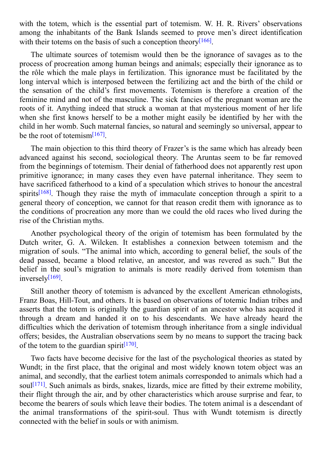with the totem, which is the essential part of totemism. W. H. R. Riversity observations in  $\mathbf{I}$ among the inhabitants of the Bank Islands seemed to prove men's direct identification with their totems on the basis of such a conception theory<sup>[166]</sup>.

The ultimate sources of totemism would then be the ignorance of savages as to the process of procreation among human beings and animals; [esp](#page-110-5)ecially their ignorance as to the rôle which the male plays in fertilization. This ignorance must be facilitated by the long interval which is interposed between the fertilizing act and the birth of the child or the sensation of the child's first movements. Totemism is therefore a creation of the feminine mind and not of the masculine. The sick fancies of the pregnant woman are the roots of it. Anything indeed that struck a woman at that mysterious moment of her life when she first knows herself to be a mother might easily be identified by her with the child in her womb. Such maternal fancies, so natural and seemingly so universal, appear to be the root of totemism<sup>[167]</sup>.

The main objection to this third theory of Frazer's is the same which has already been advanced against his [secon](#page-110-6)d, sociological theory. The Aruntas seem to be far removed from the beginnings of totemism. Their denial of fatherhood does not apparently rest upon primitive ignorance; in many cases they even have paternal inheritance. They seem to have sacrificed fatherhood to a kind of a speculation which strives to honour the ancestral spirits<sup>[168]</sup>. Though they raise the myth of immaculate conception through a spirit to a general theory of conception, we cannot for that reason credit them with ignorance as to the conditions of procreation any more than we could the old races who lived during the rise of [the](#page-110-7) Christian myths.

Another psychological theory of the origin of totemism has been formulated by the Dutch writer, G. A. Wilcken. It establishes a connexion between totemism and the migration of souls. "The animal into which, according to general belief, the souls of the dead passed, became a blood relative, an ancestor, and was revered as such." But the belief in the soul's migration to animals is more readily derived from totemism than inversely<sup>[169]</sup>.

Still another theory of totemism is advanced by the excellent American ethnologists, Franz B[oas,](#page-110-8) Hill-Tout, and others. It is based on observations of totemic Indian tribes and asserts that the totem is originally the guardian spirit of an ancestor who has acquired it through a dream and handed it on to his descendants. We have already heard the difficulties which the derivation of totemism through inheritance from a single individual offers; besides, the Australian observations seem by no means to support the tracing back of the totem to the guardian spirit<sup>[170]</sup>.

Two facts have become decisive for the last of the psychological theories as stated by Wundt; in the first place, that the [or](#page-110-9)iginal and most widely known totem object was an animal, and secondly, that the earliest totem animals corresponded to animals which had a soul<sup>[171]</sup>. Such animals as birds, snakes, lizards, mice are fitted by their extreme mobility, their flight through the air, and by other characteristics which arouse surprise and fear, to become the bearers of souls which leave their bodies. The totem animal is a descendant of the [anim](#page-110-10)al transformations of the spirit-soul. Thus with Wundt totemism is directly connected with the belief in souls or with animism.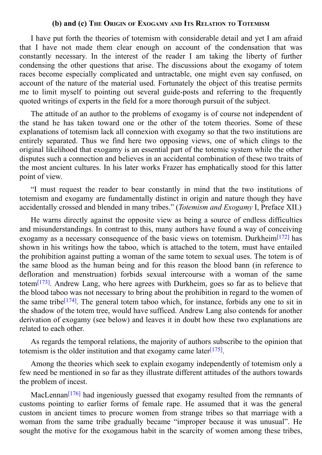I have put forth the theories of totemism with considerable detail and yet I am afraid that I have not made them clear enough on account of the condensation that was constantly necessary. In the interest of the reader I am taking the liberty of further condensing the other questions that arise. The discussions about the exogamy of totem races become especially complicated and untractable, one might even say confused, on account of the nature of the material used. Fortunately the object of this treatise permits me to limit myself to pointing out several guide-posts and referring to the frequently quoted writings of experts in the field for a more thorough pursuit of the subject.

**(b) and (c) THE ORIGIN OF EXOGAMY AND ITS RELATION TO TOTEMISM**

The attitude of an author to the problems of exogamy is of course not independent of the stand he has taken toward one or the other of the totem theories. Some of these explanations of totemism lack all connexion with exogamy so that the two institutions are entirely separated. Thus we find here two opposing views, one of which clings to the original likelihood that exogamy is an essential part of the totemic system while the other disputes such a connection and believes in an accidental combination of these two traits of the most ancient cultures. In his later works Frazer has emphatically stood for this latter point of view.

"I must request the reader to bear constantly in mind that the two institutions of totemism and exogamy are fundamentally distinct in origin and nature though they have accidentally crossed and blended in many tribes." (*Totemism and Exogamy* I, Preface XII.)

He warns directly against the opposite view as being a source of endless difficulties and misunderstandings. In contrast to this, many authors have found a way of conceiving exogamy as a necessary consequence of the basic views on totemism. Durkheim<sup>[172]</sup> has shown in his writings how the taboo, which is attached to the totem, must have entailed the prohibition against putting a woman of the same totem to sexual uses. The totem is of the same blood as the human being and for this reason the blood bann (in refe[renc](#page-110-11)e to defloration and menstruation) forbids sexual intercourse with a woman of the same totem<sup>[173]</sup>. Andrew Lang, who here agrees with Durkheim, goes so far as to believe that the blood taboo was not necessary to bring about the prohibition in regard to the women of the same tribe<sup>[174]</sup>. The general totem taboo which, for instance, forbids any one to sit in the s[hadow](#page-110-12) of the totem tree, would have sufficed. Andrew Lang also contends for another derivation of exogamy (see below) and leaves it in doubt how these two explanations are related to each [othe](#page-110-13)r.

As regards the temporal relations, the majority of authors subscribe to the opinion that totemism is the older institution and that exogamy came later<sup>[175]</sup>.

Among the theories which seek to explain exogamy independently of totemism only a few need be mentioned in so far as they illustrate different a[ttitud](#page-110-14)es of the authors towards the problem of incest.

MacLennan<sup>[176]</sup> had ingeniously guessed that exogamy resulted from the remnants of customs pointing to earlier forms of female rape. He assumed that it was the general custom in ancient times to procure women from strange tribes so that marriage with a woman from t[he](#page-110-15) same tribe gradually became "improper because it was unusual". He sought the motive for the exogamous habit in the scarcity of women among these tribes,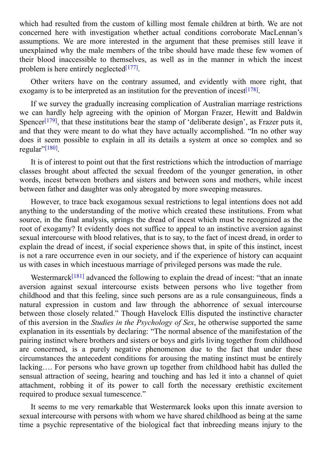concerned here with investigation whether actual conditions corroborate MacLennan's assumptions. We are more interested in the argument that these premises still leave it unexplained why the male members of the tribe should have made these few women of their blood inaccessible to themselves, as well as in the manner in which the incest problem is here entirely neglected<sup>[177]</sup>.

where  $\mathbf c$  is the custom of killing most female children at birth. We are not children at birth. We are not

Other writers have on the contrary assumed, and evidently with more right, that exogamy is to be interpreted as an [inst](#page-110-16)itution for the prevention of incest<sup>[178]</sup>.

If we survey the gradually increasing complication of Australian marriage restrictions we can hardly help agreeing with the opinion of Morgan Frazer, H[ewitt](#page-110-17) and Baldwin Spencer<sup>[179]</sup>, that these institutions bear the stamp of 'deliberate design', as Frazer puts it, and that they were meant to do what they have actually accomplished. "In no other way does it seem possible to explain in all its details a system at once so complex and so regular"<sup>[\[180\]](#page-110-18)</sup>.

It is of interest to point out that the first restrictions which the introduction of marriage classes [brou](#page-110-19)ght about affected the sexual freedom of the younger generation, in other words, incest between brothers and sisters and between sons and mothers, while incest between father and daughter was only abrogated by more sweeping measures.

However, to trace back exogamous sexual restrictions to legal intentions does not add anything to the understanding of the motive which created these institutions. From what source, in the final analysis, springs the dread of incest which must be recognized as the root of exogamy? It evidently does not suffice to appeal to an instinctive aversion against sexual intercourse with blood relatives, that is to say, to the fact of incest dread, in order to explain the dread of incest, if social experience shows that, in spite of this instinct, incest is not a rare occurrence even in our society, and if the experience of history can acquaint us with cases in which incestuous marriage of privileged persons was made the rule.

Westermarck<sup>[181]</sup> advanced the following to explain the dread of incest: "that an innate aversion against sexual intercourse exists between persons who live together from childhood and that this feeling, since such persons are as a rule consanguineous, finds a natural expressi[on](#page-110-20) in custom and law through the abhorrence of sexual intercourse between those closely related." Though Havelock Ellis disputed the instinctive character of this aversion in the *Studies in the Psychology of Sex*, he otherwise supported the same explanation in its essentials by declaring: "The normal absence of the manifestation of the pairing instinct where brothers and sisters or boys and girls living together from childhood are concerned, is a purely negative phenomenon due to the fact that under these circumstances the antecedent conditions for arousing the mating instinct must be entirely lacking…. For persons who have grown up together from childhood habit has dulled the sensual attraction of seeing, hearing and touching and has led it into a channel of quiet attachment, robbing it of its power to call forth the necessary erethistic excitement required to produce sexual tumescence."

It seems to me very remarkable that Westermarck looks upon this innate aversion to sexual intercourse with persons with whom we have shared childhood as being at the same time a psychic representative of the biological fact that inbreeding means injury to the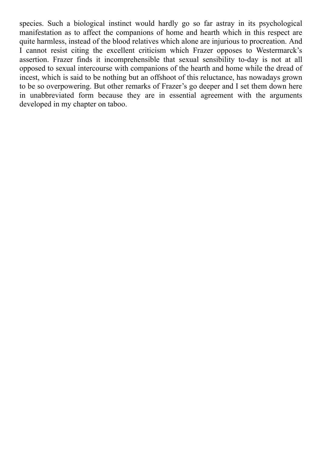species. Such a biological instinct would hardly go so far astray in its psychological manifestation as to affect the companions of home and hearth which in this respect are quite harmless, instead of the blood relatives which alone are injurious to procreation. And I cannot resist citing the excellent criticism which Frazer opposes to Westermarck's assertion. Frazer finds it incomprehensible that sexual sensibility to-day is not at all opposed to sexual intercourse with companions of the hearth and home while the dread of incest, which is said to be nothing but an offshoot of this reluctance, has nowadays grown to be so overpowering. But other remarks of Frazer's go deeper and I set them down here in unabbreviated form because they are in essential agreement with the arguments developed in my chapter on taboo.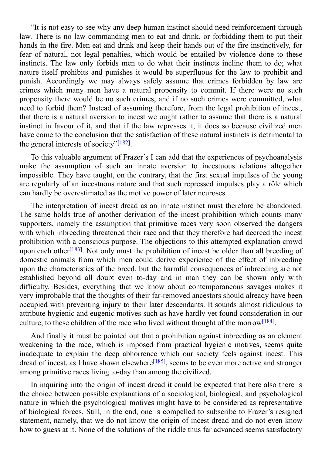It is not easy to see why any deep human instinct should need reinforcement through law. There is no law commanding men to eat and drink, or forbidding them to put their hands in the fire. Men eat and drink and keep their hands out of the fire instinctively, for fear of natural, not legal penalties, which would be entailed by violence done to these instincts. The law only forbids men to do what their instincts incline them to do; what nature itself prohibits and punishes it would be superfluous for the law to prohibit and punish. Accordingly we may always safely assume that crimes forbidden by law are crimes which many men have a natural propensity to commit. If there were no such propensity there would be no such crimes, and if no such crimes were committed, what need to forbid them? Instead of assuming therefore, from the legal prohibition of incest, that there is a natural aversion to incest we ought rather to assume that there is a natural instinct in favour of it, and that if the law represses it, it does so because civilized men have come to the conclusion that the satisfaction of these natural instincts is detrimental to the general interests of society"<sup>[182]</sup>.

To this valuable argument of Frazer's I can add that the experiences of psychoanalysis make the assumption of such [an](#page-110-21) innate aversion to incestuous relations altogether impossible. They have taught, on the contrary, that the first sexual impulses of the young are regularly of an incestuous nature and that such repressed impulses play a rôle which can hardly be overestimated as the motive power of later neuroses.

The interpretation of incest dread as an innate instinct must therefore be abandoned. The same holds true of another derivation of the incest prohibition which counts many supporters, namely the assumption that primitive races very soon observed the dangers with which inbreeding threatened their race and that they therefore had decreed the incest prohibition with a conscious purpose. The objections to this attempted explanation crowd upon each other<sup>[183]</sup>. Not only must the prohibition of incest be older than all breeding of domestic animals from which men could derive experience of the effect of inbreeding upon the characteristics of the breed, but the harmful consequences of inbreeding are not established bey[ond](#page-110-22) all doubt even to-day and in man they can be shown only with difficulty. Besides, everything that we know about contemporaneous savages makes it very improbable that the thoughts of their far-removed ancestors should already have been occupied with preventing injury to their later descendants. It sounds almost ridiculous to attribute hygienic and eugenic motives such as have hardly yet found consideration in our culture, to these children of the race who lived without thought of the morrow<sup>[184]</sup>.

And finally it must be pointed out that a prohibition against inbreeding as an element weakening to the race, which is imposed from practical hygienic motives, [seem](#page-110-23)s quite inadequate to explain the deep abhorrence which our society feels against incest. This dread of incest, as I have shown elsewhere<sup>[185]</sup>, seems to be even more active and stronger among primitive races living to-day than among the civilized.

In inquiring into the origin of incest d[read](#page-110-24) it could be expected that here also there is the choice between possible explanations of a sociological, biological, and psychological nature in which the psychological motives might have to be considered as representative of biological forces. Still, in the end, one is compelled to subscribe to Frazer's resigned statement, namely, that we do not know the origin of incest dread and do not even know how to guess at it. None of the solutions of the riddle thus far advanced seems satisfactory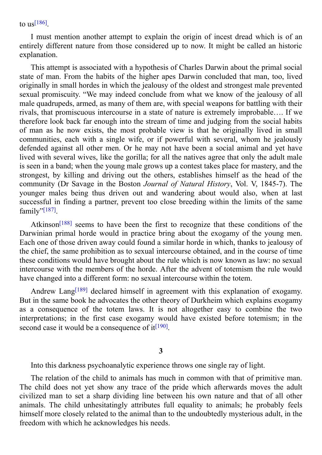I must mention another attempt to explain the origin of incest dread which is of an entir[ely](#page-110-25) different nature from those considered up to now. It might be called an historic explanation.

This attempt is associated with a hypothesis of Charles Darwin about the primal social state of man. From the habits of the higher apes Darwin concluded that man, too, lived originally in small hordes in which the jealousy of the oldest and strongest male prevented sexual promiscuity. "We may indeed conclude from what we know of the jealousy of all male quadrupeds, armed, as many of them are, with special weapons for battling with their rivals, that promiscuous intercourse in a state of nature is extremely improbable…. If we therefore look back far enough into the stream of time and judging from the social habits of man as he now exists, the most probable view is that he originally lived in small communities, each with a single wife, or if powerful with several, whom he jealously defended against all other men. Or he may not have been a social animal and yet have lived with several wives, like the gorilla; for all the natives agree that only the adult male is seen in a band; when the young male grows up a contest takes place for mastery, and the strongest, by killing and driving out the others, establishes himself as the head of the community (Dr Savage in the Boston *Journal of Natural History*, Vol. V, 1845-7). The younger males being thus driven out and wandering about would also, when at last successful in finding a partner, prevent too close breeding within the limits of the same family"<sup>[187]</sup>.

Atkinson<sup>[188]</sup> seems to have been the first to recognize that these conditions of the Darwin[ian](#page-110-26) primal horde would in practice bring about the exogamy of the young men. Each one of those driven away could found a similar horde in which, thanks to jealousy of the chief, the [sam](#page-110-27)e prohibition as to sexual intercourse obtained, and in the course of time these conditions would have brought about the rule which is now known as law: no sexual intercourse with the members of the horde. After the advent of totemism the rule would have changed into a different form: no sexual intercourse within the totem.

Andrew Lang<sup>[189]</sup> declared himself in agreement with this explanation of exogamy. But in the same book he advocates the other theory of Durkheim which explains exogamy as a consequence of the totem laws. It is not altogether easy to combine the two interpretations; in [the](#page-110-28) first case exogamy would have existed before totemism; in the second case it would be a consequence of  $it^{[190]}$ .

#### **[3](#page-110-29)**

Into this darkness psychoanalytic experience throws one single ray of light.

The relation of the child to animals has much in common with that of primitive man. The child does not yet show any trace of the pride which afterwards moves the adult civilized man to set a sharp dividing line between his own nature and that of all other animals. The child unhesitatingly attributes full equality to animals; he probably feels himself more closely related to the animal than to the undoubtedly mysterious adult, in the freedom with which he acknowledges his needs.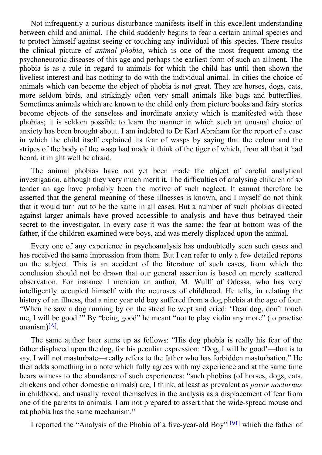$\mathbf 1$  curious disturbance manifests its linear manifests itself in this excellent understanding understanding understanding understanding understanding understanding understanding understanding understanding understandi between child and animal. The child suddenly begins to fear a certain animal species and to protect himself against seeing or touching any individual of this species. There results the clinical picture of *animal phobia*, which is one of the most frequent among the psychoneurotic diseases of this age and perhaps the earliest form of such an ailment. The phobia is as a rule in regard to animals for which the child has until then shown the liveliest interest and has nothing to do with the individual animal. In cities the choice of animals which can become the object of phobia is not great. They are horses, dogs, cats, more seldom birds, and strikingly often very small animals like bugs and butterflies. Sometimes animals which are known to the child only from picture books and fairy stories become objects of the senseless and inordinate anxiety which is manifested with these phobias; it is seldom possible to learn the manner in which such an unusual choice of anxiety has been brought about. I am indebted to Dr Karl Abraham for the report of a case in which the child itself explained its fear of wasps by saying that the colour and the stripes of the body of the wasp had made it think of the tiger of which, from all that it had heard, it might well be afraid.

The animal phobias have not yet been made the object of careful analytical investigation, although they very much merit it. The difficulties of analysing children of so tender an age have probably been the motive of such neglect. It cannot therefore be asserted that the general meaning of these illnesses is known, and I myself do not think that it would turn out to be the same in all cases. But a number of such phobias directed against larger animals have proved accessible to analysis and have thus betrayed their secret to the investigator. In every case it was the same: the fear at bottom was of the father, if the children examined were boys, and was merely displaced upon the animal.

Every one of any experience in psychoanalysis has undoubtedly seen such cases and has received the same impression from them. But I can refer to only a few detailed reports on the subject. This is an accident of the literature of such cases, from which the conclusion should not be drawn that our general assertion is based on merely scattered observation. For instance I mention an author, M. Wulff of Odessa, who has very intelligently occupied himself with the neuroses of childhood. He tells, in relating the history of an illness, that a nine year old boy suffered from a dog phobia at the age of four. "When he saw a dog running by on the street he wept and cried: 'Dear dog, don't touch me, I will be good.'" By "being good" he meant "not to play violin any more" (to practise onanism)<sup>[A]</sup>.

The same author later sums up as follows: "His dog phobia is really his fear of the father dis[pla](#page-111-0)ced upon the dog, for his peculiar expression: 'Dog, I will be good'—that is to say, I will not masturbate—really refers to the father who has forbidden masturbation." He then adds something in a note which fully agrees with my experience and at the same time bears witness to the abundance of such experiences: "such phobias (of horses, dogs, cats, chickens and other domestic animals) are, I think, at least as prevalent as *pavor nocturnus* in childhood, and usually reveal themselves in the analysis as a displacement of fear from one of the parents to animals. I am not prepared to assert that the wide-spread mouse and rat phobia has the same mechanism."

I reported the "Analysis of the Phobia of a five-year-old Boy"<sup>[191]</sup> which the father of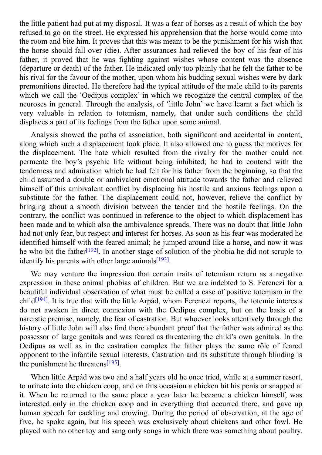the little patient had put at my disposal. It was a fear of which the boy disposal. It was a result of which the boy disposal. It was a result of which the boy disposal. It was a result of which the boy disposal. It was a refused to go on the street. He expressed his apprehension that the horse would come into the room and bite him. It proves that this was meant to be the punishment for his wish that the horse should fall over (die). After assurances had relieved the boy of his fear of his father, it proved that he was fighting against wishes whose content was the absence (departure or death) of the father. He indicated only too plainly that he felt the father to be his rival for the favour of the mother, upon whom his budding sexual wishes were by dark premonitions directed. He therefore had the typical attitude of the male child to its parents which we call the 'Oedipus complex' in which we recognize the central complex of the neuroses in general. Through the analysis, of 'little John' we have learnt a fact which is very valuable in relation to totemism, namely, that under such conditions the child displaces a part of its feelings from the father upon some animal.

Analysis showed the paths of association, both significant and accidental in content, along which such a displacement took place. It also allowed one to guess the motives for the displacement. The hate which resulted from the rivalry for the mother could not permeate the boy's psychic life without being inhibited; he had to contend with the tenderness and admiration which he had felt for his father from the beginning, so that the child assumed a double or ambivalent emotional attitude towards the father and relieved himself of this ambivalent conflict by displacing his hostile and anxious feelings upon a substitute for the father. The displacement could not, however, relieve the conflict by bringing about a smooth division between the tender and the hostile feelings. On the contrary, the conflict was continued in reference to the object to which displacement has been made and to which also the ambivalence spreads. There was no doubt that little John had not only fear, but respect and interest for horses. As soon as his fear was moderated he identified himself with the feared animal; he jumped around like a horse, and now it was he who bit the father<sup>[192]</sup>. In another stage of solution of the phobia he did not scruple to identify his parents with other large animals<sup>[193]</sup>.

We may venture [the](#page-111-1) impression that certain traits of totemism return as a negative expression in these animal phobias of chil[dren.](#page-111-2) But we are indebted to S. Ferenczi for a beautiful individual observation of what must be called a case of positive totemism in the child<sup>[194]</sup>. It is true that with the little Arpád, whom Ferenczi reports, the totemic interests do not awaken in direct connexion with the Oedipus complex, but on the basis of a narcistic premise, namely, the fear of castration. But whoever looks attentively through the histo[ry](#page-111-3) of little John will also find there abundant proof that the father was admired as the possessor of large genitals and was feared as threatening the child's own genitals. In the Oedipus as well as in the castration complex the father plays the same rôle of feared opponent to the infantile sexual interests. Castration and its substitute through blinding is the punishment he threatens<sup>[195]</sup>.

When little Arpád was two and a half years old he once tried, while at a summer resort, to urinate into the chicken [coop,](#page-111-4) and on this occasion a chicken bit his penis or snapped at it. When he returned to the same place a year later he became a chicken himself, was interested only in the chicken coop and in everything that occurred there, and gave up human speech for cackling and crowing. During the period of observation, at the age of five, he spoke again, but his speech was exclusively about chickens and other fowl. He played with no other toy and sang only songs in which there was something about poultry.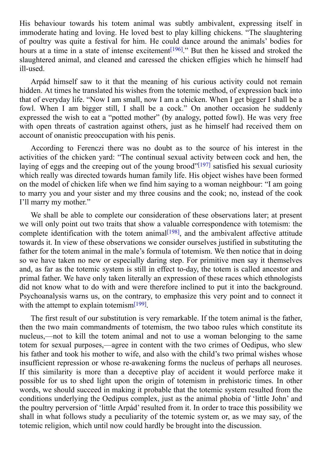His behaviour towards his totem animal was subtly ambivalent, expressing itself in immoderate hating and loving. He loved best to play killing chickens. "The slaughtering of poultry was quite a festival for him. He could dance around the animals' bodies for hours at a time in a state of intense excitement<sup>[196]</sup>." But then he kissed and stroked the slaughtered animal, and cleaned and caressed the chicken effigies which he himself had ill-used.

Arpád himself saw to it that the meaning [of](#page-111-5) his curious activity could not remain hidden. At times he translated his wishes from the totemic method, of expression back into that of everyday life. "Now I am small, now I am a chicken. When I get bigger I shall be a fowl. When I am bigger still, I shall be a cock." On another occasion he suddenly expressed the wish to eat a "potted mother" (by analogy, potted fowl). He was very free with open threats of castration against others, just as he himself had received them on account of onanistic preoccupation with his penis.

According to Ferenczi there was no doubt as to the source of his interest in the activities of the chicken yard: "The continual sexual activity between cock and hen, the laying of eggs and the creeping out of the young brood" $[197]$  satisfied his sexual curiosity which really was directed towards human family life. His object wishes have been formed on the model of chicken life when we find him saying to a woman neighbour: "I am going to marry you and your sister and my three cousins and [the](#page-111-6) cook; no, instead of the cook I'll marry my mother."

We shall be able to complete our consideration of these observations later; at present we will only point out two traits that show a valuable correspondence with totemism: the complete identification with the totem animal  $[198]$ , and the ambivalent affective attitude towards it. In view of these observations we consider ourselves justified in substituting the father for the totem animal in the male's formula of totemism. We then notice that in doing so we have taken no new or especially daring [step](#page-111-7). For primitive men say it themselves and, as far as the totemic system is still in effect to-day, the totem is called ancestor and primal father. We have only taken literally an expression of these races which ethnologists did not know what to do with and were therefore inclined to put it into the background. Psychoanalysis warns us, on the contrary, to emphasize this very point and to connect it with the attempt to explain totemism<sup>[199]</sup>.

The first result of our substitution is very remarkable. If the totem animal is the father, then the two main commandments [of](#page-111-8) totemism, the two taboo rules which constitute its nucleus,—not to kill the totem animal and not to use a woman belonging to the same totem for sexual purposes,—agree in content with the two crimes of Oedipus, who slew his father and took his mother to wife, and also with the child's two primal wishes whose insufficient repression or whose re-awakening forms the nucleus of perhaps all neuroses. If this similarity is more than a deceptive play of accident it would perforce make it possible for us to shed light upon the origin of totemism in prehistoric times. In other words, we should succeed in making it probable that the totemic system resulted from the conditions underlying the Oedipus complex, just as the animal phobia of 'little John' and the poultry perversion of 'little Arpád' resulted from it. In order to trace this possibility we shall in what follows study a peculiarity of the totemic system or, as we may say, of the totemic religion, which until now could hardly be brought into the discussion.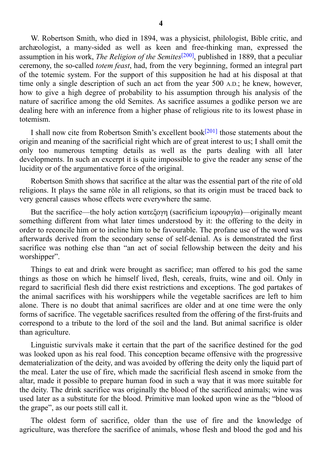W. Robertson Smith, who died in 1894, was a physicist, philologist, Bible critic, and archæologist, a many-sided as well as keen and free-thinking man, expressed the assumption in his work, *The Religion of the Semites* [200] , published in 1889, that a peculiar ceremony, the so-called *totem feast*, had, from the very beginning, formed an integral part of the totemic system. For the support of this supposition he had at his disposal at that time only a single description of such an act from [the](#page-111-9) year 500 A.D.; he knew, however, how to give a high degree of probability to his assumption through his analysis of the nature of sacrifice among the old Semites. As sacrifice assumes a godlike person we are dealing here with an inference from a higher phase of religious rite to its lowest phase in totemism.

I shall now cite from Robertson Smith's excellent book<sup>[201]</sup> those statements about the origin and meaning of the sacrificial right which are of great interest to us; I shall omit the only too numerous tempting details as well as the parts dealing with all later developments. In such an excerpt it is quite impossible to [give](#page-111-10) the reader any sense of the lucidity or of the argumentative force of the original.

Robertson Smith shows that sacrifice at the altar was the essential part of the rite of old religions. It plays the same rôle in all religions, so that its origin must be traced back to very general causes whose effects were everywhere the same.

But the sacrifice—the holy action κατεξογη (sacrificium ἱερουργία)—originally meant something different from what later times understood by it: the offering to the deity in order to reconcile him or to incline him to be favourable. The profane use of the word was afterwards derived from the secondary sense of self-denial. As is demonstrated the first sacrifice was nothing else than "an act of social fellowship between the deity and his worshipper".

Things to eat and drink were brought as sacrifice; man offered to his god the same things as those on which he himself lived, flesh, cereals, fruits, wine and oil. Only in regard to sacrificial flesh did there exist restrictions and exceptions. The god partakes of the animal sacrifices with his worshippers while the vegetable sacrifices are left to him alone. There is no doubt that animal sacrifices are older and at one time were the only forms of sacrifice. The vegetable sacrifices resulted from the offering of the first-fruits and correspond to a tribute to the lord of the soil and the land. But animal sacrifice is older than agriculture.

Linguistic survivals make it certain that the part of the sacrifice destined for the god was looked upon as his real food. This conception became offensive with the progressive dematerialization of the deity, and was avoided by offering the deity only the liquid part of the meal. Later the use of fire, which made the sacrificial flesh ascend in smoke from the altar, made it possible to prepare human food in such a way that it was more suitable for the deity. The drink sacrifice was originally the blood of the sacrificed animals; wine was used later as a substitute for the blood. Primitive man looked upon wine as the "blood of the grape", as our poets still call it.

The oldest form of sacrifice, older than the use of fire and the knowledge of agriculture, was therefore the sacrifice of animals, whose flesh and blood the god and his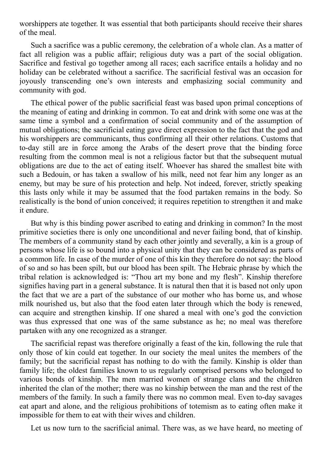worshippers ate together. It was essential that both participants should receive their shares of the meal.

Such a sacrifice was a public ceremony, the celebration of a whole clan. As a matter of fact all religion was a public affair; religious duty was a part of the social obligation. Sacrifice and festival go together among all races; each sacrifice entails a holiday and no holiday can be celebrated without a sacrifice. The sacrificial festival was an occasion for joyously transcending one's own interests and emphasizing social community and community with god.

The ethical power of the public sacrificial feast was based upon primal conceptions of the meaning of eating and drinking in common. To eat and drink with some one was at the same time a symbol and a confirmation of social community and of the assumption of mutual obligations; the sacrificial eating gave direct expression to the fact that the god and his worshippers are communicants, thus confirming all their other relations. Customs that to-day still are in force among the Arabs of the desert prove that the binding force resulting from the common meal is not a religious factor but that the subsequent mutual obligations are due to the act of eating itself. Whoever has shared the smallest bite with such a Bedouin, or has taken a swallow of his milk, need not fear him any longer as an enemy, but may be sure of his protection and help. Not indeed, forever, strictly speaking this lasts only while it may be assumed that the food partaken remains in the body. So realistically is the bond of union conceived; it requires repetition to strengthen it and make it endure.

But why is this binding power ascribed to eating and drinking in common? In the most primitive societies there is only one unconditional and never failing bond, that of kinship. The members of a community stand by each other jointly and severally, a kin is a group of persons whose life is so bound into a physical unity that they can be considered as parts of a common life. In case of the murder of one of this kin they therefore do not say: the blood of so and so has been spilt, but our blood has been spilt. The Hebraic phrase by which the tribal relation is acknowledged is: "Thou art my bone and my flesh". Kinship therefore signifies having part in a general substance. It is natural then that it is based not only upon the fact that we are a part of the substance of our mother who has borne us, and whose milk nourished us, but also that the food eaten later through which the body is renewed, can acquire and strengthen kinship. If one shared a meal with one's god the conviction was thus expressed that one was of the same substance as he; no meal was therefore partaken with any one recognized as a stranger.

The sacrificial repast was therefore originally a feast of the kin, following the rule that only those of kin could eat together. In our society the meal unites the members of the family; but the sacrificial repast has nothing to do with the family. Kinship is older than family life; the oldest families known to us regularly comprised persons who belonged to various bonds of kinship. The men married women of strange clans and the children inherited the clan of the mother; there was no kinship between the man and the rest of the members of the family. In such a family there was no common meal. Even to-day savages eat apart and alone, and the religious prohibitions of totemism as to eating often make it impossible for them to eat with their wives and children.

Let us now turn to the sacrificial animal. There was, as we have heard, no meeting of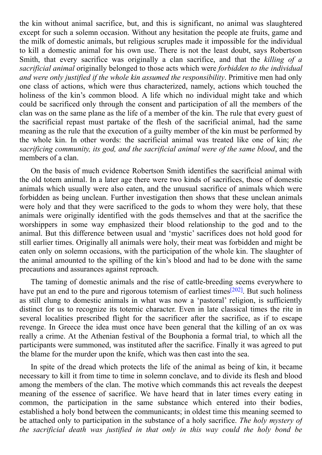the kin with animal sacrifice, but, and this is significant, no animal was slaughtered was slaughtered was slaughtered was slaughtered was slaughtered was slaughtered was slaughtered was slaughtered was slaughtered was sl except for such a solemn occasion. Without any hesitation the people ate fruits, game and the milk of domestic animals, but religious scruples made it impossible for the individual to kill a domestic animal for his own use. There is not the least doubt, says Robertson Smith, that every sacrifice was originally a clan sacrifice, and that the *killing of a sacrificial animal* originally belonged to those acts which were *forbidden to the individual and were only justified if the whole kin assumed the responsibility*. Primitive men had only one class of actions, which were thus characterized, namely, actions which touched the holiness of the kin's common blood. A life which no individual might take and which could be sacrificed only through the consent and participation of all the members of the clan was on the same plane as the life of a member of the kin. The rule that every guest of the sacrificial repast must partake of the flesh of the sacrificial animal, had the same meaning as the rule that the execution of a guilty member of the kin must be performed by the whole kin. In other words: the sacrificial animal was treated like one of kin; *the sacrificing community, its god, and the sacrificial animal were of the same blood*, and the members of a clan.

On the basis of much evidence Robertson Smith identifies the sacrificial animal with the old totem animal. In a later age there were two kinds of sacrifices, those of domestic animals which usually were also eaten, and the unusual sacrifice of animals which were forbidden as being unclean. Further investigation then shows that these unclean animals were holy and that they were sacrificed to the gods to whom they were holy, that these animals were originally identified with the gods themselves and that at the sacrifice the worshippers in some way emphasized their blood relationship to the god and to the animal. But this difference between usual and 'mystic' sacrifices does not hold good for still earlier times. Originally all animals were holy, their meat was forbidden and might be eaten only on solemn occasions, with the participation of the whole kin. The slaughter of the animal amounted to the spilling of the kin's blood and had to be done with the same precautions and assurances against reproach.

The taming of domestic animals and the rise of cattle-breeding seems everywhere to have put an end to the pure and rigorous totemism of earliest times<sup>[202]</sup>. But such holiness as still clung to domestic animals in what was now a 'pastoral' religion, is sufficiently distinct for us to recognize its totemic character. Even in late classical times the rite in several localities prescribed flight for the sacrificer after the sa[crific](#page-111-11)e, as if to escape revenge. In Greece the idea must once have been general that the killing of an ox was really a crime. At the Athenian festival of the Bouphonia a formal trial, to which all the participants were summoned, was instituted after the sacrifice. Finally it was agreed to put the blame for the murder upon the knife, which was then cast into the sea.

In spite of the dread which protects the life of the animal as being of kin, it became necessary to kill it from time to time in solemn conclave, and to divide its flesh and blood among the members of the clan. The motive which commands this act reveals the deepest meaning of the essence of sacrifice. We have heard that in later times every eating in common, the participation in the same substance which entered into their bodies, established a holy bond between the communicants; in oldest time this meaning seemed to be attached only to participation in the substance of a holy sacrifice. *The holy mystery of the sacrificial death was justified in that only in this way could the holy bond be*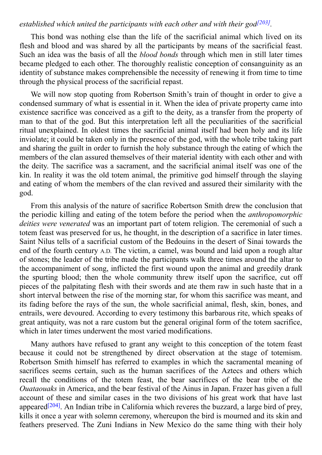*established which united the participants with each other and with their god*

This bond was nothing else than the life of the sacrificial animal which lived on its flesh and blood and was shared by all the participants by means of the s[acrifi](#page-111-12)cial feast. Such an idea was the basis of all the *blood bonds* through which men in still later times became pledged to each other. The thoroughly realistic conception of consanguinity as an identity of substance makes comprehensible the necessity of renewing it from time to time through the physical process of the sacrificial repast.

We will now stop quoting from Robertson Smith's train of thought in order to give a condensed summary of what is essential in it. When the idea of private property came into existence sacrifice was conceived as a gift to the deity, as a transfer from the property of man to that of the god. But this interpretation left all the peculiarities of the sacrificial ritual unexplained. In oldest times the sacrificial animal itself had been holy and its life inviolate; it could be taken only in the presence of the god, with the whole tribe taking part and sharing the guilt in order to furnish the holy substance through the eating of which the members of the clan assured themselves of their material identity with each other and with the deity. The sacrifice was a sacrament, and the sacrificial animal itself was one of the kin. In reality it was the old totem animal, the primitive god himself through the slaying and eating of whom the members of the clan revived and assured their similarity with the god.

From this analysis of the nature of sacrifice Robertson Smith drew the conclusion that the periodic killing and eating of the totem before the period when the *anthropomorphic deities were venerated* was an important part of totem religion. The ceremonial of such a totem feast was preserved for us, he thought, in the description of a sacrifice in later times. Saint Nilus tells of a sacrificial custom of the Bedouins in the desert of Sinai towards the end of the fourth century A.D. The victim, a camel, was bound and laid upon a rough altar of stones; the leader of the tribe made the participants walk three times around the altar to the accompaniment of song, inflicted the first wound upon the animal and greedily drank the spurting blood; then the whole community threw itself upon the sacrifice, cut off pieces of the palpitating flesh with their swords and ate them raw in such haste that in a short interval between the rise of the morning star, for whom this sacrifice was meant, and its fading before the rays of the sun, the whole sacrificial animal, flesh, skin, bones, and entrails, were devoured. According to every testimony this barbarous rite, which speaks of great antiquity, was not a rare custom but the general original form of the totem sacrifice, which in later times underwent the most varied modifications.

Many authors have refused to grant any weight to this conception of the totem feast because it could not be strengthened by direct observation at the stage of totemism. Robertson Smith himself has referred to examples in which the sacramental meaning of sacrifices seems certain, such as the human sacrifices of the Aztecs and others which recall the conditions of the totem feast, the bear sacrifices of the bear tribe of the *Ouataouaks* in America, and the bear festival of the Ainus in Japan. Frazer has given a full account of these and similar cases in the two divisions of his great work that have last appeared<sup>[204]</sup>. An Indian tribe in California which reveres the buzzard, a large bird of prey, kills it once a year with solemn ceremony, whereupon the bird is mourned and its skin and feathers [prese](#page-111-13)rved. The Zuni Indians in New Mexico do the same thing with their holy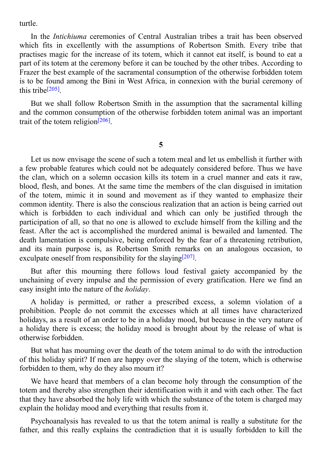In the *Intichiuma* ceremonies of Central Australian tribes a trait has been observed which fits in excellently with the assumptions of Robertson Smith. Every tribe that practises magic for the increase of its totem, which it cannot eat itself, is bound to eat a part of its totem at the ceremony before it can be touched by the other tribes. According to Frazer the best example of the sacramental consumption of the otherwise forbidden totem is to be found among the Bini in West Africa, in connexion with the burial ceremony of this tribe<sup>[205]</sup>.

But we shall follow Robertson Smith in the assumption that the sacramental killing and the [comm](#page-111-14)on consumption of the otherwise forbidden totem animal was an important trait of the totem religion<sup>[206]</sup>.

**5**

Let us now envisage the scene of such a totem meal and let us embellish it further with a few probable features which could not be adequately considered before. Thus we have the clan, which on a solemn occasion kills its totem in a cruel manner and eats it raw, blood, flesh, and bones. At the same time the members of the clan disguised in imitation of the totem, mimic it in sound and movement as if they wanted to emphasize their common identity. There is also the conscious realization that an action is being carried out which is forbidden to each individual and which can only be justified through the participation of all, so that no one is allowed to exclude himself from the killing and the feast. After the act is accomplished the murdered animal is bewailed and lamented. The death lamentation is compulsive, being enforced by the fear of a threatening retribution, and its main purpose is, as Robertson Smith remarks on an analogous occasion, to exculpate oneself from responsibility for the slaying<sup>[207]</sup>.

But after this mourning there follows loud festival gaiety accompanied by the unchaining of every impulse and the permission of [eve](#page-111-15)ry gratification. Here we find an easy insight into the nature of the *holiday*.

A holiday is permitted, or rather a prescribed excess, a solemn violation of a prohibition. People do not commit the excesses which at all times have characterized holidays, as a result of an order to be in a holiday mood, but because in the very nature of a holiday there is excess; the holiday mood is brought about by the release of what is otherwise forbidden.

But what has mourning over the death of the totem animal to do with the introduction of this holiday spirit? If men are happy over the slaying of the totem, which is otherwise forbidden to them, why do they also mourn it?

We have heard that members of a clan become holy through the consumption of the totem and thereby also strengthen their identification with it and with each other. The fact that they have absorbed the holy life with which the substance of the totem is charged may explain the holiday mood and everything that results from it.

Psychoanalysis has revealed to us that the totem animal is really a substitute for the father, and this really explains the contradiction that it is usually forbidden to kill the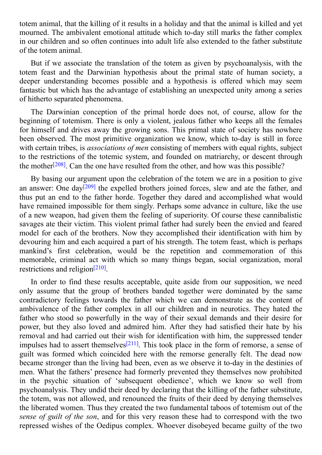totem animal, that the killing of it results in a holiday and that the animal is killed animal is killed and y mourned. The ambivalent emotional attitude which to-day still marks the father complex in our children and so often continues into adult life also extended to the father substitute of the totem animal.

But if we associate the translation of the totem as given by psychoanalysis, with the totem feast and the Darwinian hypothesis about the primal state of human society, a deeper understanding becomes possible and a hypothesis is offered which may seem fantastic but which has the advantage of establishing an unexpected unity among a series of hitherto separated phenomena.

The Darwinian conception of the primal horde does not, of course, allow for the beginning of totemism. There is only a violent, jealous father who keeps all the females for himself and drives away the growing sons. This primal state of society has nowhere been observed. The most primitive organization we know, which to-day is still in force with certain tribes, is *associations of men* consisting of members with equal rights, subject to the restrictions of the totemic system, and founded on matriarchy, or descent through the mother<sup>[208]</sup>. Can the one have resulted from the other, and how was this possible?

By basing our argument upon the celebration of the totem we are in a position to give an answer: [On](#page-111-16)e day<sup>[209]</sup> the expelled brothers joined forces, slew and ate the father, and thus put an end to the father horde. Together they dared and accomplished what would have remained impossible for them singly. Perhaps some advance in culture, like the use of a new weapon, h[ad](#page-111-17) given them the feeling of superiority. Of course these cannibalistic savages ate their victim. This violent primal father had surely been the envied and feared model for each of the brothers. Now they accomplished their identification with him by devouring him and each acquired a part of his strength. The totem feast, which is perhaps mankind's first celebration, would be the repetition and commemoration of this memorable, criminal act with which so many things began, social organization, moral restrictions and religion<sup>[210]</sup>.

In order to find these results acceptable, quite aside from our supposition, we need only assume that the [group](#page-111-18) of brothers banded together were dominated by the same contradictory feelings towards the father which we can demonstrate as the content of ambivalence of the father complex in all our children and in neurotics. They hated the father who stood so powerfully in the way of their sexual demands and their desire for power, but they also loved and admired him. After they had satisfied their hate by his removal and had carried out their wish for identification with him, the suppressed tender impulses had to assert themselves<sup>[211]</sup>. This took place in the form of remorse, a sense of guilt was formed which coincided here with the remorse generally felt. The dead now became stronger than the living had been, even as we observe it to-day in the destinies of men. What the fathers' presence [had](#page-112-0) formerly prevented they themselves now prohibited in the psychic situation of 'subsequent obedience', which we know so well from psychoanalysis. They undid their deed by declaring that the killing of the father substitute, the totem, was not allowed, and renounced the fruits of their deed by denying themselves the liberated women. Thus they created the two fundamental taboos of totemism out of the *sense of guilt of the son*, and for this very reason these had to correspond with the two repressed wishes of the Oedipus complex. Whoever disobeyed became guilty of the two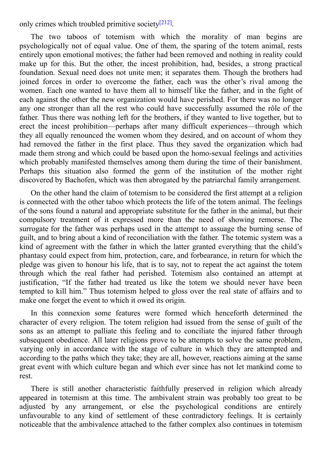The two taboos of totemism with which the morality of man begins are psychologically not of equal value. One of [them](#page-112-1), the sparing of the totem animal, rests entirely upon emotional motives; the father had been removed and nothing in reality could make up for this. But the other, the incest prohibition, had, besides, a strong practical foundation. Sexual need does not unite men; it separates them. Though the brothers had joined forces in order to overcome the father, each was the other's rival among the women. Each one wanted to have them all to himself like the father, and in the fight of each against the other the new organization would have perished. For there was no longer any one stronger than all the rest who could have successfully assumed the rôle of the father. Thus there was nothing left for the brothers, if they wanted to live together, but to erect the incest prohibition—perhaps after many difficult experiences—through which they all equally renounced the women whom they desired, and on account of whom they had removed the father in the first place. Thus they saved the organization which had made them strong and which could be based upon the homo-sexual feelings and activities which probably manifested themselves among them during the time of their banishment. Perhaps this situation also formed the germ of the institution of the mother right discovered by Bachofen, which was then abrogated by the patriarchal family arrangement.

only crimes which transfer primitive society  $\mathbf{r}$ 

On the other hand the claim of totemism to be considered the first attempt at a religion is connected with the other taboo which protects the life of the totem animal. The feelings of the sons found a natural and appropriate substitute for the father in the animal, but their compulsory treatment of it expressed more than the need of showing remorse. The surrogate for the father was perhaps used in the attempt to assuage the burning sense of guilt, and to bring about a kind of reconciliation with the father. The totemic system was a kind of agreement with the father in which the latter granted everything that the child's phantasy could expect from him, protection, care, and forbearance, in return for which the pledge was given to honour his life, that is to say, not to repeat the act against the totem through which the real father had perished. Totemism also contained an attempt at justification, "If the father had treated us like the totem we should never have been tempted to kill him." Thus totemism helped to gloss over the real state of affairs and to make one forget the event to which it owed its origin.

In this connexion some features were formed which henceforth determined the character of every religion. The totem religion had issued from the sense of guilt of the sons as an attempt to palliate this feeling and to conciliate the injured father through subsequent obedience. All later religions prove to be attempts to solve the same problem, varying only in accordance with the stage of culture in which they are attempted and according to the paths which they take; they are all, however, reactions aiming at the same great event with which culture began and which ever since has not let mankind come to rest.

There is still another characteristic faithfully preserved in religion which already appeared in totemism at this time. The ambivalent strain was probably too great to be adjusted by any arrangement, or else the psychological conditions are entirely unfavourable to any kind of settlement of these contradictory feelings. It is certainly noticeable that the ambivalence attached to the father complex also continues in totemism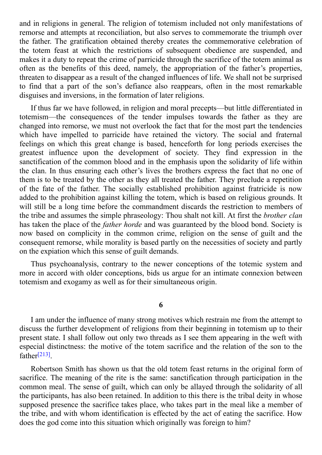and in religions in general. The religion of totemism included not only manifestations of remorse and attempts at reconciliation, but also serves to commemorate the triumph over the father. The gratification obtained thereby creates the commemorative celebration of the totem feast at which the restrictions of subsequent obedience are suspended, and makes it a duty to repeat the crime of parricide through the sacrifice of the totem animal as often as the benefits of this deed, namely, the appropriation of the father's properties, threaten to disappear as a result of the changed influences of life. We shall not be surprised to find that a part of the son's defiance also reappears, often in the most remarkable disguises and inversions, in the formation of later religions.

If thus far we have followed, in religion and moral precepts—but little differentiated in totemism—the consequences of the tender impulses towards the father as they are changed into remorse, we must not overlook the fact that for the most part the tendencies which have impelled to parricide have retained the victory. The social and fraternal feelings on which this great change is based, henceforth for long periods exercises the greatest influence upon the development of society. They find expression in the sanctification of the common blood and in the emphasis upon the solidarity of life within the clan. In thus ensuring each other's lives the brothers express the fact that no one of them is to be treated by the other as they all treated the father. They preclude a repetition of the fate of the father. The socially established prohibition against fratricide is now added to the prohibition against killing the totem, which is based on religious grounds. It will still be a long time before the commandment discards the restriction to members of the tribe and assumes the simple phraseology: Thou shalt not kill. At first the *brother clan* has taken the place of the *father horde* and was guaranteed by the blood bond. Society is now based on complicity in the common crime, religion on the sense of guilt and the consequent remorse, while morality is based partly on the necessities of society and partly on the expiation which this sense of guilt demands.

Thus psychoanalysis, contrary to the newer conceptions of the totemic system and more in accord with older conceptions, bids us argue for an intimate connexion between totemism and exogamy as well as for their simultaneous origin.

**6**

I am under the influence of many strong motives which restrain me from the attempt to discuss the further development of religions from their beginning in totemism up to their present state. I shall follow out only two threads as I see them appearing in the weft with especial distinctness: the motive of the totem sacrifice and the relation of the son to the father<sup>[213]</sup>.

Robertson Smith has shown us that the old totem feast returns in the original form of sacrif[ice.](#page-112-2) The meaning of the rite is the same: sanctification through participation in the common meal. The sense of guilt, which can only be allayed through the solidarity of all the participants, has also been retained. In addition to this there is the tribal deity in whose supposed presence the sacrifice takes place, who takes part in the meal like a member of the tribe, and with whom identification is effected by the act of eating the sacrifice. How does the god come into this situation which originally was foreign to him?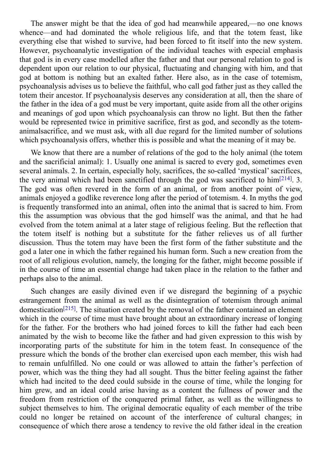The answer might be the idea of god had meanwhile appeared,—no one control  $\mathbf{u}$ whence—and had dominated the whole religious life, and that the totem feast, like everything else that wished to survive, had been forced to fit itself into the new system. However, psychoanalytic investigation of the individual teaches with especial emphasis that god is in every case modelled after the father and that our personal relation to god is dependent upon our relation to our physical, fluctuating and changing with him, and that god at bottom is nothing but an exalted father. Here also, as in the case of totemism, psychoanalysis advises us to believe the faithful, who call god father just as they called the totem their ancestor. If psychoanalysis deserves any consideration at all, then the share of the father in the idea of a god must be very important, quite aside from all the other origins and meanings of god upon which psychoanalysis can throw no light. But then the father would be represented twice in primitive sacrifice, first as god, and secondly as the totemanimalsacrifice, and we must ask, with all due regard for the limited number of solutions which psychoanalysis offers, whether this is possible and what the meaning of it may be.

We know that there are a number of relations of the god to the holy animal (the totem and the sacrificial animal): 1. Usually one animal is sacred to every god, sometimes even several animals. 2. In certain, especially holy, sacrifices, the so-called 'mystical' sacrifices, the very animal which had been sanctified through the god was sacrificed to  $\text{him}^{[214]}$ . 3. The god was often revered in the form of an animal, or from another point of view, animals enjoyed a godlike reverence long after the period of totemism. 4. In myths the god is frequently transformed into an animal, often into the animal that is sacred to him. [Fr](#page-112-3)om this the assumption was obvious that the god himself was the animal, and that he had evolved from the totem animal at a later stage of religious feeling. But the reflection that the totem itself is nothing but a substitute for the father relieves us of all further discussion. Thus the totem may have been the first form of the father substitute and the god a later one in which the father regained his human form. Such a new creation from the root of all religious evolution, namely, the longing for the father, might become possible if in the course of time an essential change had taken place in the relation to the father and perhaps also to the animal.

Such changes are easily divined even if we disregard the beginning of a psychic estrangement from the animal as well as the disintegration of totemism through animal domestication<sup>[215]</sup>. The situation created by the removal of the father contained an element which in the course of time must have brought about an extraordinary increase of longing for the father. For the brothers who had joined forces to kill the father had each been animated by t[he](#page-112-4) wish to become like the father and had given expression to this wish by incorporating parts of the substitute for him in the totem feast. In consequence of the pressure which the bonds of the brother clan exercised upon each member, this wish had to remain unfulfilled. No one could or was allowed to attain the father's perfection of power, which was the thing they had all sought. Thus the bitter feeling against the father which had incited to the deed could subside in the course of time, while the longing for him grew, and an ideal could arise having as a content the fullness of power and the freedom from restriction of the conquered primal father, as well as the willingness to subject themselves to him. The original democratic equality of each member of the tribe could no longer be retained on account of the interference of cultural changes; in consequence of which there arose a tendency to revive the old father ideal in the creation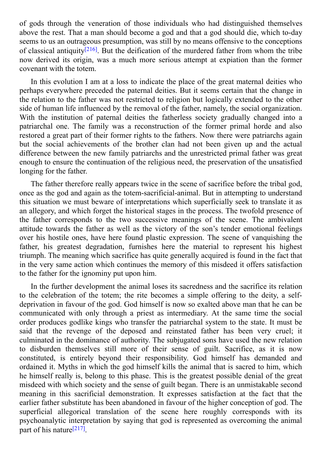of gods through the veneration of those individuals who had distinguished themselves above the rest. That a man should become a god and that a god should die, which to-day seems to us an outrageous presumption, was still by no means offensive to the conceptions of classical antiquity<sup>[216]</sup>. But the deification of the murdered father from whom the tribe now derived its origin, was a much more serious attempt at expiation than the former covenant with the totem.

In this evolution I [am](#page-112-5) at a loss to indicate the place of the great maternal deities who perhaps everywhere preceded the paternal deities. But it seems certain that the change in the relation to the father was not restricted to religion but logically extended to the other side of human life influenced by the removal of the father, namely, the social organization. With the institution of paternal deities the fatherless society gradually changed into a patriarchal one. The family was a reconstruction of the former primal horde and also restored a great part of their former rights to the fathers. Now there were patriarchs again but the social achievements of the brother clan had not been given up and the actual difference between the new family patriarchs and the unrestricted primal father was great enough to ensure the continuation of the religious need, the preservation of the unsatisfied longing for the father.

The father therefore really appears twice in the scene of sacrifice before the tribal god, once as the god and again as the totem-sacrificial-animal. But in attempting to understand this situation we must beware of interpretations which superficially seek to translate it as an allegory, and which forget the historical stages in the process. The twofold presence of the father corresponds to the two successive meanings of the scene. The ambivalent attitude towards the father as well as the victory of the son's tender emotional feelings over his hostile ones, have here found plastic expression. The scene of vanquishing the father, his greatest degradation, furnishes here the material to represent his highest triumph. The meaning which sacrifice has quite generally acquired is found in the fact that in the very same action which continues the memory of this misdeed it offers satisfaction to the father for the ignominy put upon him.

In the further development the animal loses its sacredness and the sacrifice its relation to the celebration of the totem; the rite becomes a simple offering to the deity, a selfdeprivation in favour of the god. God himself is now so exalted above man that he can be communicated with only through a priest as intermediary. At the same time the social order produces godlike kings who transfer the patriarchal system to the state. It must be said that the revenge of the deposed and reinstated father has been very cruel; it culminated in the dominance of authority. The subjugated sons have used the new relation to disburden themselves still more of their sense of guilt. Sacrifice, as it is now constituted, is entirely beyond their responsibility. God himself has demanded and ordained it. Myths in which the god himself kills the animal that is sacred to him, which he himself really is, belong to this phase. This is the greatest possible denial of the great misdeed with which society and the sense of guilt began. There is an unmistakable second meaning in this sacrificial demonstration. It expresses satisfaction at the fact that the earlier father substitute has been abandoned in favour of the higher conception of god. The superficial allegorical translation of the scene here roughly corresponds with its psychoanalytic interpretation by saying that god is represented as overcoming the animal part of his nature<sup>[217]</sup>.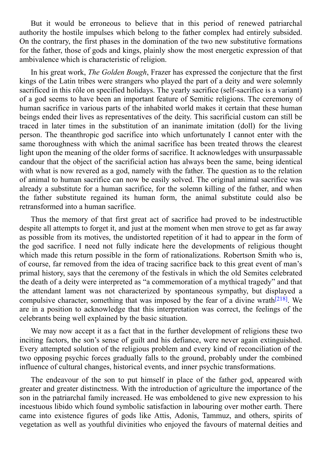$\mathbf{B}$ authority the hostile impulses which belong to the father complex had entirely subsided. On the contrary, the first phases in the domination of the two new substitutive formations for the father, those of gods and kings, plainly show the most energetic expression of that ambivalence which is characteristic of religion.

In his great work, *The Golden Bough*, Frazer has expressed the conjecture that the first kings of the Latin tribes were strangers who played the part of a deity and were solemnly sacrificed in this rôle on specified holidays. The yearly sacrifice (self-sacrifice is a variant) of a god seems to have been an important feature of Semitic religions. The ceremony of human sacrifice in various parts of the inhabited world makes it certain that these human beings ended their lives as representatives of the deity. This sacrificial custom can still be traced in later times in the substitution of an inanimate imitation (doll) for the living person. The theanthropic god sacrifice into which unfortunately I cannot enter with the same thoroughness with which the animal sacrifice has been treated throws the clearest light upon the meaning of the older forms of sacrifice. It acknowledges with unsurpassable candour that the object of the sacrificial action has always been the same, being identical with what is now revered as a god, namely with the father. The question as to the relation of animal to human sacrifice can now be easily solved. The original animal sacrifice was already a substitute for a human sacrifice, for the solemn killing of the father, and when the father substitute regained its human form, the animal substitute could also be retransformed into a human sacrifice.

Thus the memory of that first great act of sacrifice had proved to be indestructible despite all attempts to forget it, and just at the moment when men strove to get as far away as possible from its motives, the undistorted repetition of it had to appear in the form of the god sacrifice. I need not fully indicate here the developments of religious thought which made this return possible in the form of rationalizations. Robertson Smith who is, of course, far removed from the idea of tracing sacrifice back to this great event of man's primal history, says that the ceremony of the festivals in which the old Semites celebrated the death of a deity were interpreted as "a commemoration of a mythical tragedy" and that the attendant lament was not characterized by spontaneous sympathy, but displayed a compulsive character, something that was imposed by the fear of a divine wrath<sup>[218]</sup>. We are in a position to acknowledge that this interpretation was correct, the feelings of the celebrants being well explained by the basic situation.

We may now accept it as a fact that in the further development of religions t[hese](#page-112-6) two inciting factors, the son's sense of guilt and his defiance, were never again extinguished. Every attempted solution of the religious problem and every kind of reconciliation of the two opposing psychic forces gradually falls to the ground, probably under the combined influence of cultural changes, historical events, and inner psychic transformations.

The endeavour of the son to put himself in place of the father god, appeared with greater and greater distinctness. With the introduction of agriculture the importance of the son in the patriarchal family increased. He was emboldened to give new expression to his incestuous libido which found symbolic satisfaction in labouring over mother earth. There came into existence figures of gods like Attis, Adonis, Tammuz, and others, spirits of vegetation as well as youthful divinities who enjoyed the favours of maternal deities and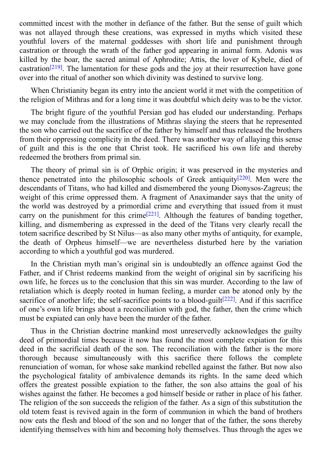$\mathbf c$  with the mother independent of the father in definition of the father. But the sense of guilt which which which which which which we have the fact of guilt which which which which we have the sense of guilt which w was not allayed through these creations, was expressed in myths which visited these youthful lovers of the maternal goddesses with short life and punishment through castration or through the wrath of the father god appearing in animal form. Adonis was killed by the boar, the sacred animal of Aphrodite; Attis, the lover of Kybele, died of castration<sup>[219]</sup>. The lamentation for these gods and the joy at their resurrection have gone over into the ritual of another son which divinity was destined to survive long.

When [Chr](#page-112-7)istianity began its entry into the ancient world it met with the competition of the religion of Mithras and for a long time it was doubtful which deity was to be the victor.

The bright figure of the youthful Persian god has eluded our understanding. Perhaps we may conclude from the illustrations of Mithras slaying the steers that he represented the son who carried out the sacrifice of the father by himself and thus released the brothers from their oppressing complicity in the deed. There was another way of allaying this sense of guilt and this is the one that Christ took. He sacrificed his own life and thereby redeemed the brothers from primal sin.

The theory of primal sin is of Orphic origin; it was preserved in the mysteries and thence penetrated into the philosophic schools of Greek antiquity  $[220]$ . Men were the descendants of Titans, who had killed and dismembered the young Dionysos-Zagreus; the weight of this crime oppressed them. A fragment of Anaximander says that the unity of the world was destroyed by a primordial crime and everything that [issu](#page-112-8)ed from it must carry on the punishment for this crime<sup>[221]</sup>. Although the features of banding together, killing, and dismembering as expressed in the deed of the Titans very clearly recall the totem sacrifice described by St Nilus—as also many other myths of antiquity, for example, the death of Orpheus himself—we a[re](#page-112-9) nevertheless disturbed here by the variation according to which a youthful god was murdered.

In the Christian myth man's original sin is undoubtedly an offence against God the Father, and if Christ redeems mankind from the weight of original sin by sacrificing his own life, he forces us to the conclusion that this sin was murder. According to the law of retaliation which is deeply rooted in human feeling, a murder can be atoned only by the sacrifice of another life; the self-sacrifice points to a blood-guilt $[222]$ . And if this sacrifice of one's own life brings about a reconciliation with god, the father, then the crime which must be expiated can only have been the murder of the father.

Thus in the Christian doctrine mankind most unreservedly [ackn](#page-112-10)owledges the guilty deed of primordial times because it now has found the most complete expiation for this deed in the sacrificial death of the son. The reconciliation with the father is the more thorough because simultaneously with this sacrifice there follows the complete renunciation of woman, for whose sake mankind rebelled against the father. But now also the psychological fatality of ambivalence demands its rights. In the same deed which offers the greatest possible expiation to the father, the son also attains the goal of his wishes against the father. He becomes a god himself beside or rather in place of his father. The religion of the son succeeds the religion of the father. As a sign of this substitution the old totem feast is revived again in the form of communion in which the band of brothers now eats the flesh and blood of the son and no longer that of the father, the sons thereby identifying themselves with him and becoming holy themselves. Thus through the ages we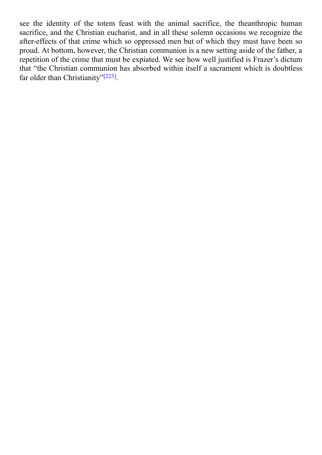see the identity of the totem feast with the animal sacrifice, the theanthropic human sacrifice, the theanthropic human sacrifice, the theanthropic human sacrifice, the theanthropic human sacrifice, the theanthropic human sacrifice, and the Christian eucharist, and in all these solemn occasions we recognize the after-effects of that crime which so oppressed men but of which they must have been so proud. At bottom, however, the Christian communion is a new setting aside of the father, a repetition of the crime that must be expiated. We see how well justified is Frazer's dictum that "the Christian communion has absorbed within itself a sacrament which is doubtless far older than Christianity"<sup>[223]</sup>.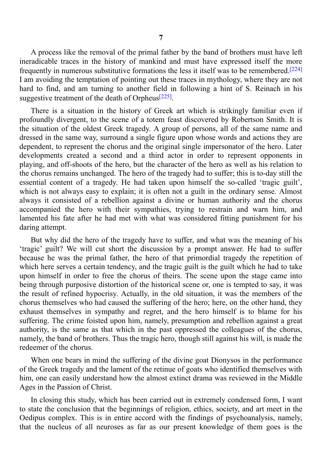A process like the removal of the primal father by the band of brothers must have left ineradicable traces in the history of mankind and must have expressed itself the more frequently in numerous substitutive formations the less it itself was to be remembered.<sup>[224]</sup> I am avoiding the temptation of pointing out these traces in mythology, where they are not hard to find, and am turning to another field in following a hint of S. Reinach in [his](#page-112-11) suggestive treatment of the death of Orpheus $[225]$ .

There is a situation in the history of Greek art which is strikingly familiar even if profoundly divergent, to the scene of a tote[m](#page-112-12) feast discovered by Robertson Smith. It is the situation of the oldest Greek tragedy. A group of persons, all of the same name and dressed in the same way, surround a single figure upon whose words and actions they are dependent, to represent the chorus and the original single impersonator of the hero. Later developments created a second and a third actor in order to represent opponents in playing, and off-shoots of the hero, but the character of the hero as well as his relation to the chorus remains unchanged. The hero of the tragedy had to suffer; this is to-day still the essential content of a tragedy. He had taken upon himself the so-called 'tragic guilt', which is not always easy to explain; it is often not a guilt in the ordinary sense. Almost always it consisted of a rebellion against a divine or human authority and the chorus accompanied the hero with their sympathies, trying to restrain and warn him, and lamented his fate after he had met with what was considered fitting punishment for his daring attempt.

But why did the hero of the tragedy have to suffer, and what was the meaning of his 'tragic' guilt? We will cut short the discussion by a prompt answer. He had to suffer because he was the primal father, the hero of that primordial tragedy the repetition of which here serves a certain tendency, and the tragic guilt is the guilt which he had to take upon himself in order to free the chorus of theirs. The scene upon the stage came into being through purposive distortion of the historical scene or, one is tempted to say, it was the result of refined hypocrisy. Actually, in the old situation, it was the members of the chorus themselves who had caused the suffering of the hero; here, on the other hand, they exhaust themselves in sympathy and regret, and the hero himself is to blame for his suffering. The crime foisted upon him, namely, presumption and rebellion against a great authority, is the same as that which in the past oppressed the colleagues of the chorus, namely, the band of brothers. Thus the tragic hero, though still against his will, is made the redeemer of the chorus.

When one bears in mind the suffering of the divine goat Dionysos in the performance of the Greek tragedy and the lament of the retinue of goats who identified themselves with him, one can easily understand how the almost extinct drama was reviewed in the Middle Ages in the Passion of Christ.

In closing this study, which has been carried out in extremely condensed form, I want to state the conclusion that the beginnings of religion, ethics, society, and art meet in the Oedipus complex. This is in entire accord with the findings of psychoanalysis, namely, that the nucleus of all neuroses as far as our present knowledge of them goes is the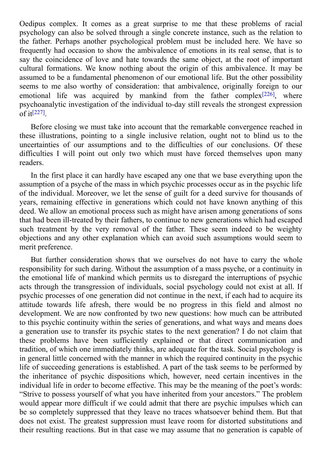$\Box$  it complex as a great surprise to me that the method  $\Box$ psychology can also be solved through a single concrete instance, such as the relation to the father. Perhaps another psychological problem must be included here. We have so frequently had occasion to show the ambivalence of emotions in its real sense, that is to say the coincidence of love and hate towards the same object, at the root of important cultural formations. We know nothing about the origin of this ambivalence. It may be assumed to be a fundamental phenomenon of our emotional life. But the other possibility seems to me also worthy of consideration: that ambivalence, originally foreign to our emotional life was acquired by mankind from the father complex<sup>[226]</sup>, where psychoanalytic investigation of the individual to-day still reveals the strongest expression of it [227] .

Before closing we must take into account that the remarkable convergence [re](#page-112-13)ached in these [ill](#page-113-0)ustrations, pointing to a single inclusive relation, ought not to blind us to the uncertainties of our assumptions and to the difficulties of our conclusions. Of these difficulties I will point out only two which must have forced themselves upon many readers.

In the first place it can hardly have escaped any one that we base everything upon the assumption of a psyche of the mass in which psychic processes occur as in the psychic life of the individual. Moreover, we let the sense of guilt for a deed survive for thousands of years, remaining effective in generations which could not have known anything of this deed. We allow an emotional process such as might have arisen among generations of sons that had been ill-treated by their fathers, to continue to new generations which had escaped such treatment by the very removal of the father. These seem indeed to be weighty objections and any other explanation which can avoid such assumptions would seem to merit preference.

But further consideration shows that we ourselves do not have to carry the whole responsibility for such daring. Without the assumption of a mass psyche, or a continuity in the emotional life of mankind which permits us to disregard the interruptions of psychic acts through the transgression of individuals, social psychology could not exist at all. If psychic processes of one generation did not continue in the next, if each had to acquire its attitude towards life afresh, there would be no progress in this field and almost no development. We are now confronted by two new questions: how much can be attributed to this psychic continuity within the series of generations, and what ways and means does a generation use to transfer its psychic states to the next generation? I do not claim that these problems have been sufficiently explained or that direct communication and tradition, of which one immediately thinks, are adequate for the task. Social psychology is in general little concerned with the manner in which the required continuity in the psychic life of succeeding generations is established. A part of the task seems to be performed by the inheritance of psychic dispositions which, however, need certain incentives in the individual life in order to become effective. This may be the meaning of the poet's words: "Strive to possess yourself of what you have inherited from your ancestors." The problem would appear more difficult if we could admit that there are psychic impulses which can be so completely suppressed that they leave no traces whatsoever behind them. But that does not exist. The greatest suppression must leave room for distorted substitutions and their resulting reactions. But in that case we may assume that no generation is capable of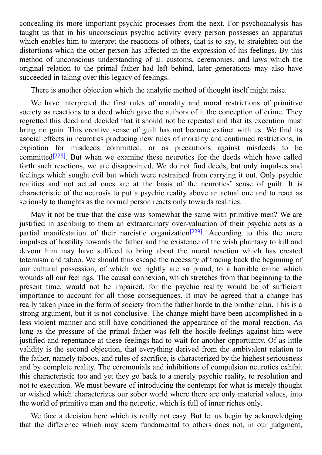concealing its more important psychic processes from the next. For psychoanalysis has taught us that in his unconscious psychic activity every person possesses an apparatus which enables him to interpret the reactions of others, that is to say, to straighten out the distortions which the other person has affected in the expression of his feelings. By this method of unconscious understanding of all customs, ceremonies, and laws which the original relation to the primal father had left behind, later generations may also have succeeded in taking over this legacy of feelings.

There is another objection which the analytic method of thought itself might raise.

We have interpreted the first rules of morality and moral restrictions of primitive society as reactions to a deed which gave the authors of it the conception of crime. They regretted this deed and decided that it should not be repeated and that its execution must bring no gain. This creative sense of guilt has not become extinct with us. We find its asocial effects in neurotics producing new rules of morality and continued restrictions, in expiation for misdeeds committed, or as precautions against misdeeds to be committed<sup>[228]</sup>. But when we examine these neurotics for the deeds which have called forth such reactions, we are disappointed. We do not find deeds, but only impulses and feelings which sought evil but which were restrained from carrying it out. Only psychic realities a[nd](#page-113-1) not actual ones are at the basis of the neurotics' sense of guilt. It is characteristic of the neurosis to put a psychic reality above an actual one and to react as seriously to thoughts as the normal person reacts only towards realities.

May it not be true that the case was somewhat the same with primitive men? We are justified in ascribing to them an extraordinary over-valuation of their psychic acts as a partial manifestation of their narcistic organization<sup>[229]</sup>. According to this the mere impulses of hostility towards the father and the existence of the wish phantasy to kill and devour him may have sufficed to bring about the moral reaction which has created totemism and taboo. We should thus escape the neces[sity](#page-113-2) of tracing back the beginning of our cultural possession, of which we rightly are so proud, to a horrible crime which wounds all our feelings. The causal connexion, which stretches from that beginning to the present time, would not be impaired, for the psychic reality would be of sufficient importance to account for all those consequences. It may be agreed that a change has really taken place in the form of society from the father horde to the brother clan. This is a strong argument, but it is not conclusive. The change might have been accomplished in a less violent manner and still have conditioned the appearance of the moral reaction. As long as the pressure of the primal father was felt the hostile feelings against him were justified and repentance at these feelings had to wait for another opportunity. Of as little validity is the second objection, that everything derived from the ambivalent relation to the father, namely taboos, and rules of sacrifice, is characterized by the highest seriousness and by complete reality. The ceremonials and inhibitions of compulsion neurotics exhibit this characteristic too and yet they go back to a merely psychic reality, to resolution and not to execution. We must beware of introducing the contempt for what is merely thought or wished which characterizes our sober world where there are only material values, into the world of primitive man and the neurotic, which is full of inner riches only.

We face a decision here which is really not easy. But let us begin by acknowledging that the difference which may seem fundamental to others does not, in our judgment,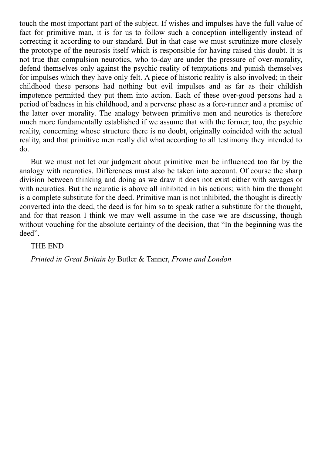touch the most important part of the subject. If wishes and impulses have the full value of fact for primitive man, it is for us to follow such a conception intelligently instead of correcting it according to our standard. But in that case we must scrutinize more closely the prototype of the neurosis itself which is responsible for having raised this doubt. It is not true that compulsion neurotics, who to-day are under the pressure of over-morality, defend themselves only against the psychic reality of temptations and punish themselves for impulses which they have only felt. A piece of historic reality is also involved; in their childhood these persons had nothing but evil impulses and as far as their childish impotence permitted they put them into action. Each of these over-good persons had a period of badness in his childhood, and a perverse phase as a fore-runner and a premise of the latter over morality. The analogy between primitive men and neurotics is therefore much more fundamentally established if we assume that with the former, too, the psychic reality, concerning whose structure there is no doubt, originally coincided with the actual reality, and that primitive men really did what according to all testimony they intended to do.

But we must not let our judgment about primitive men be influenced too far by the analogy with neurotics. Differences must also be taken into account. Of course the sharp division between thinking and doing as we draw it does not exist either with savages or with neurotics. But the neurotic is above all inhibited in his actions; with him the thought is a complete substitute for the deed. Primitive man is not inhibited, the thought is directly converted into the deed, the deed is for him so to speak rather a substitute for the thought, and for that reason I think we may well assume in the case we are discussing, though without vouching for the absolute certainty of the decision, that "In the beginning was the deed".

## THE END

*Printed in Great Britain by* Butler & Tanner, *Frome and London*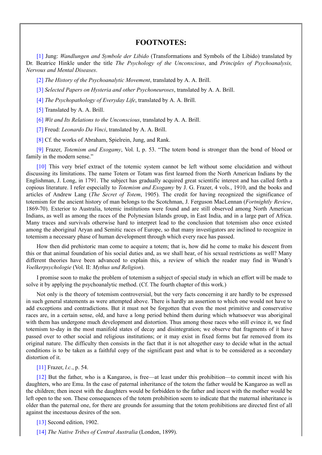#### **FOOTNOTES:**

[1] Jung: *Wandlungen and Symbole der Libido* (Transformations and Symbols of the Libido) translated by Dr. Beatrice Hinkle under the title *The Psychology of the Unconscious*, and *Principles of Psychoanalysis, Nervous and Mental Diseases*.

[\[2\]](#page-3-0) *The History of the Psychoanalytic Movement*, translated by A. A. Brill.

[3] *Selected Papers on Hysteria and other Psychoneuroses*, translated by A. A. Brill.

[4] *The Psychopathology of Everyday Life*, translated by A. A. Brill.

[\[5\]](#page-5-0) Translated by A. A. Brill.

[\[6\]](#page-5-1) *Wit and Its Relations to the Unconscious*, translated by A. A. Brill.

[\[7\]](#page-5-2) Freud: *Leonardo Da Vinci*, translated by A. A. Brill.

[\[8\]](#page-5-3) Cf. the works of Abraham, Spielrein, Jung, and Rank.

[\[9\]](#page-5-4) Frazer, *Totemism and Exogamy*, Vol. I, p. 53. "The totem bond is stronger than the bond of blood or fam[ily](#page-6-0) in the modern sense."

[\[10](#page-6-1)] This very brief extract of the totemic system cannot be left without some elucidation and without disc[ussi](#page-9-0)ng its limitations. The name Totem or Totam was first learned from the North American Indians by the Englishman, J. Long, in 1791. The subject has gradually acquired great scientific interest and has called forth a copious literature. I refer especially to *Totemism and Exogamy* by J. G. Frazer, 4 vols., 1910, and the books and artic[les](#page-9-1) of Andrew Lang (*The Secret of Totem*, 1905). The credit for having recognized the significance of totemism for the ancient history of man belongs to the Scotchman, J. Ferguson MacLennan (*Fortnightly Review*, 1869-70). Exterior to Australia, totemic institutions were found and are still observed among North American Indians, as well as among the races of the Polynesian Islands group, in East India, and in a large part of Africa. Many traces and survivals otherwise hard to interpret lead to the conclusion that totemism also once existed among the aboriginal Aryan and Semitic races of Europe, so that many investigators are inclined to recognize in totemism a necessary phase of human development through which every race has passed.

How then did prehistoric man come to acquire a totem; that is, how did he come to make his descent from this or that animal foundation of his social duties and, as we shall hear, of his sexual restrictions as well? Many different theories have been advanced to explain this, a review of which the reader may find in Wundt's *Voelkerpsychologie* (Vol. II: *Mythus und Religion*).

I promise soon to make the problem of totemism a subject of special study in which an effort will be made to solve it by applying the psychoanalytic method. (Cf. The fourth chapter of this work.)

Not only is the theory of totemism controversial, but the very facts concerning it are hardly to be expressed in such general statements as were attempted above. There is hardly an assertion to which one would not have to add exceptions and contradictions. But it must not be forgotten that even the most primitive and conservative races are, in a certain sense, old, and have a long period behind them during which whatsoever was aboriginal with them has undergone much development and distortion. Thus among those races who still evince it, we find totemism to-day in the most manifold states of decay and disintegration; we observe that fragments of it have passed over to other social and religious institutions; or it may exist in fixed forms but far removed from its original nature. The difficulty then consists in the fact that it is not altogether easy to decide what in the actual conditions is to be taken as a faithful copy of the significant past and what is to be considered as a secondary distortion of it.

#### [11] Frazer, *l.c.*, p. 54.

[12] But the father, who is a Kangaroo, is free—at least under this prohibition—to commit incest with his daughters, who are Emu. In the case of paternal inheritance of the totem the father would be Kangaroo as well as the [childr](#page-9-2)en; then incest with the daughters would be forbidden to the father and incest with the mother would be left open to the son. These consequences of the totem prohibition seem to indicate that the maternal inheritance is older [tha](#page-10-0)n the paternal one, for there are grounds for assuming that the totem prohibitions are directed first of all against the incestuous desires of the son.

[13] Second edition, 1902.

[14] *The Native Tribes of Central Australia* (London, 1899).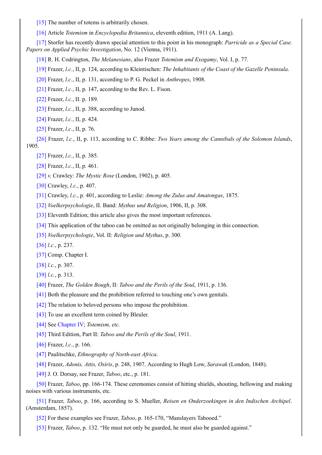[16] Article *Totemism* in *Encyclopedia Britannica*, eleventh edition, 1911 (A. Lang).

[17] Storfer has recently drawn special attention to this point in his monograph: *Parricide as a Special Case. Pap[ers](#page-12-0) on Applied Psychic Investigation*, No. 12 (Vienna, 1911).

[\[18\]](#page-12-1) R. H. Codrington, *The Melanesians*, also Frazer *Totemism and Exogamy*, Vol. I, p. 77.

[\[19\]](#page-12-2) Frazer, *l.c.*, II, p. 124, according to Kleintischen: *The Inhabitants of the Coast of the Gazelle Peninsula*.

[20] Frazer, *l.c.*, II, p. 131, according to P. G. Peckel in *Anthropes*, 1908.

[\[21\]](#page-13-0) Frazer, *l.c.*, II, p. 147, according to the Rev. L. Fison.

[\[22\]](#page-13-1) Frazer, *l.c.*, II. p. 189.

[\[23\]](#page-13-2) Frazer, *l.c.*, II, p. 388, according to Junod.

[\[24\]](#page-13-3) Frazer, *l.c.*, II, p. 424.

[\[25\]](#page-14-0) Frazer, *l.c.*, II, p. 76.

[\[26\]](#page-14-1) Frazer, *l.c.*, II, p. 113, according to C. Ribbe: *Two Years among the Cannibals of the Solomon Islands*, 190[5.](#page-14-2)

[\[27\]](#page-14-3) Frazer, *l.c.*, II, p. 385.

[\[28\]](#page-14-4) Frazer, *l.c.*, II, p. 461.

[29] *v.* Crawley: *The Mystic Rose* (London, 1902), p. 405.

[\[30\]](#page-15-0) Crawley, *l.c.*, p. 407.

[\[31\]](#page-15-1) Crawley, *l.c.*, p. 401, according to Leslie: *Among the Zulus and Amatongas*, 1875.

[\[32\]](#page-15-2) *Voelkerpsychologie*, II. Band: *Mythus und Religion*, 1906, II, p. 308.

[\[33\]](#page-15-3) Eleventh Edition; this article also gives the most important references.

[\[34\]](#page-15-4) This application of the taboo can be omitted as not originally belonging in this connection.

[\[35\]](#page-19-0) *Voelkerpsychologie*, Vol. II: *Religion und Mythus*, p. 300.

[\[36\]](#page-19-1) *l.c.*, p. 237.

[\[37\]](#page-20-0) Comp. Chapter I.

[\[38\]](#page-22-0) *l.c.*, p. 307.

[\[39\]](#page-22-1) *l.c.*, p. 313.

[\[40\]](#page-22-2) Frazer, *The Golden Bough*, II: *Taboo and the Perils of the Soul*, 1911, p. 136.

[\[41\]](#page-22-3) Both the pleasure and the prohibition referred to touching one's own genitals.

[\[42\]](#page-23-0) The relation to beloved persons who impose the prohibition.

[\[43\]](#page-25-0) To use an excellent term coined by Bleuler.

[\[44\]](#page-25-1) See Chapter IV; *Totemism, etc.*

[\[45\]](#page-25-2) Third Edition, Part II: *Taboo and the Perils of the Soul*, 1911.

[\[46\]](#page-26-0) Frazer, *l.c.*, p. 166.

[\[47\]](#page-27-0) Pau[litschke,](#page-68-0) *Ethnography of North-east Africa*.

[\[48\]](#page-30-0) Frazer, *Adonis, Attis, Osiris*, p. 248, 1907. According to Hugh Low, *Sarawak* (London, 1848).

[\[49\]](#page-30-1) J. O. Dorsay, see Frazer, *Taboo*, etc., p. 181.

[\[50\]](#page-30-2) Frazer, *Taboo*, pp. 166-174. These ceremonies consist of hitting shields, shouting, bellowing and making noises [wi](#page-31-0)th various instruments, etc.

[\[51\]](#page-31-1) Frazer, *Taboo*, p. 166, according to S. Mueller, *Reisen en Onderzoekingen in den Indischen Archipel*. (A[msterd](#page-31-2)am, 1857).

[52] For these examples see Frazer, *Taboo*, p. 165-170, "Manslayers Tabooed."

[\[53\]](#page-31-3) Frazer, *Taboo*, p. 132. "He must not only be guarded, he must also be guarded against."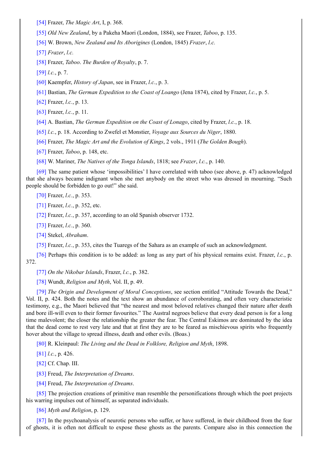[55] *Old New Zealand*, by a Pakeha Maori (London, 1884), see Frazer, *Taboo*, p. 135.

[56] W. Brown, *New Zealand and Its Aborigines* (London, 1845) *Frazer*, *l.c.*

[\[57\]](#page-33-0) *Frazer*, *l.c.*

[\[58\]](#page-34-0) Frazer, *Taboo*. *The Burden of Royalty*, p. 7.

[\[59\]](#page-34-1) *l.c.*, p. 7.

[\[60\]](#page-34-2) Kaempfer, *History of Japan*, see in Frazer, *l.c.*, p. 3.

[\[61\]](#page-34-3) Bastian, *The German Expedition to the Coast of Loango* (Jena 1874), cited by Frazer, *l.c.*, p. 5.

[\[62\]](#page-34-4) Frazer, *l.c.*, p. 13.

[\[63\]](#page-35-0) Frazer, *l.c.*, p. 11.

[\[64\]](#page-35-1) A. Bastian, *The German Expedition on the Coast of Lonago*, cited by Frazer, *l.c.*, p. 18.

[\[65\]](#page-36-0) *l.c.*, p. 18. According to Zwefel et Monstier, *Voyage aux Sources du Niger*, 1880.

[\[66\]](#page-36-1) Frazer, *The Magic Art and the Evolution of Kings*, 2 vols., 1911 (*The Golden Bough*).

[\[67\]](#page-36-2) Frazer, *Taboo*, p. 148, etc.

[\[68\]](#page-38-0) W. Mariner, *The Natives of the Tonga Islands*, 1818; see *Frazer*, *l.c.*, p. 140.

[\[69\]](#page-39-0) The same patient whose 'impossibilities' I have correlated with taboo (see above, p. 47) acknowledged that [she](#page-39-1) always became indignant when she met anybody on the street who was dressed in mourning. "Such peo[ple](#page-40-0) should be forbidden to go out!" she said.

[\[70\]](#page-40-1) Frazer, *l.c.*, p. 353.

[71] Frazer, *l.c.*, p. 352, etc.

[72] Frazer, *l.c.*, p. 357, according to an old Spanish observer 1732.

[\[73\]](#page-41-0) Frazer, *l.c.*, p. 360.

[\[74\]](#page-41-1) Stekel, *Abraham*.

[\[75\]](#page-41-2) Frazer, *l.c.*, p. 353, cites the Tuaregs of the Sahara as an example of such an acknowledgment.

[\[76\]](#page-41-3) Perhaps this condition is to be added: as long as any part of his physical remains exist. Frazer, *l.c.*, p. 372.

[\[77\]](#page-42-0) *On the Nikobar Islands*, Frazer, *l.c.*, p. 382.

[\[78\]](#page-42-1) Wundt, *Religion and Myth*, Vol. II, p. 49.

[79] *The Origin and Development of Moral Conceptions*, see section entitled "Attitude Towards the Dead," Vol. [II,](#page-42-2) p. 424. Both the notes and the text show an abundance of corroborating, and often very characteristic testi[mony](#page-42-3), e.g., the Maori believed that "the nearest and most beloved relatives changed their nature after death and bore ill-will even to their former favourites." The Austral negroes believe that every dead person is for a long time [mal](#page-43-0)evolent; the closer the relationship the greater the fear. The Central Eskimos are dominated by the idea that the dead come to rest very late and that at first they are to be feared as mischievous spirits who frequently hover about the village to spread illness, death and other evils. (Boas.)

[80] R. Kleinpaul: *The Living and the Dead in Folklore, Religion and Myth*, 1898.

[81] *l.c.*, p. 426.

[82] Cf. Chap. III.

[\[83\]](#page-43-1) Freud, *The Interpretation of Dreams*.

[\[84\]](#page-43-2) Freud, *The Interpretation of Dreams*.

[\[85\]](#page-45-0) The projection creations of primitive man resemble the personifications through which the poet projects his [warri](#page-45-1)ng impulses out of himself, as separated individuals.

[\[86\]](#page-46-0) *Myth and Religion*, p. 129.

[\[87\]](#page-46-1) In the psychoanalysis of neurotic persons who suffer, or have suffered, in their childhood from the fear of ghosts, it is often not difficult to expose these ghosts as the parents. Compare also in this connection the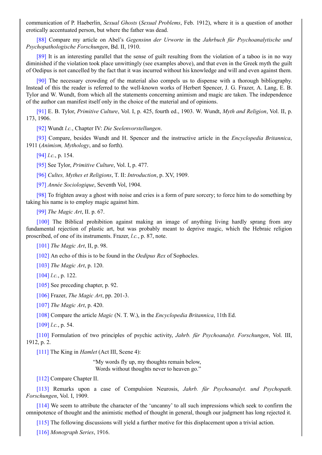erotically accentuated person, but where the father was dead.

[88] Compare my article on Abel's *Gegensinn der Urworte* in the *Jahrbuch für Psychoanalytische und Psychopathologische Forschungen*, Bd. II, 1910.

[89] It is an interesting parallel that the sense of guilt resulting from the violation of a taboo is in no way dim[inishe](#page-48-0)d if the violation took place unwittingly (see examples above), and that even in the Greek myth the guilt of Oedipus is not cancelled by the fact that it was incurred without his knowledge and will and even against them.

[\[90\]](#page-48-1) The necessary crowding of the material also compels us to dispense with a thorough bibliography. Instead of this the reader is referred to the well-known works of Herbert Spencer, J. G. Frazer, A. Lang, E. B. Tylor and W. Wundt, from which all the statements concerning animism and magic are taken. The independence of the author can manifest itself only in the choice of the material and of opinions.

[\[91\]](#page-53-0) E. B. Tylor, *Primitive Culture*, Vol. I, p. 425, fourth ed., 1903. W. Wundt, *Myth and Religion*, Vol. II, p. 173, 1906.

[92] Wundt *l.c.*, Chapter IV: *Die Seelenvorstellungen*.

[\[93\]](#page-53-1) Compare, besides Wundt and H. Spencer and the instructive article in the *Encyclopedia Britannica*, 1911 (*Animism, Mythology*, and so forth).

[\[94\]](#page-53-2) *l.c.*, p. 154.

[\[95\]](#page-54-0) See Tylor, *Primitive Culture*, Vol. I, p. 477.

[96] *Cultes, Mythes et Religions*, T. II: *Introduction*, p. XV, 1909.

[\[97\]](#page-54-1) *Année Sociologique*, Seventh Vol, 1904.

[\[98\]](#page-54-2) To frighten away a ghost with noise and cries is a form of pure sorcery; to force him to do something by taking [hi](#page-54-3)s name is to employ magic against him.

[\[99\]](#page-54-4) *The Magic Art*, II. p. 67.

[\[100](#page-55-0)] The Biblical prohibition against making an image of anything living hardly sprang from any fundamental rejection of plastic art, but was probably meant to deprive magic, which the Hebraic religion pros[cribe](#page-55-1)d, of one of its instruments. Frazer, *l.c.*, p. 87, note.

[\[101\]](#page-55-2) *The Magic Art*, II, p. 98.

[102] An echo of this is to be found in the *Oedipus Rex* of Sophocles.

[103] *The Magic Art*, p. 120.

[\[104\]](#page-56-0) *l.c.*, p. 122.

[\[105\]](#page-56-1) See preceding chapter, p. 92.

[\[106\]](#page-56-2) Frazer, *The Magic Art*, pp. 201-3.

[\[107\]](#page-56-3) *The Magic Art*, p. 420.

[\[108\]](#page-56-4) Compare the article *Magic* (N. T. W.), in the *Encyclopedia Britannica*, 11th Ed.

[\[109\]](#page-57-0) *l.c.*, p. 54.

[\[110\]](#page-57-1) Formulation of two principles of psychic activity, *Jahrb. für Psychoanalyt. Forschungen*, Vol. III, 1912, [p.](#page-57-2) 2.

[\[111\]](#page-57-3) The King in *Hamlet* (Act III, Scene 4):

"My words fly up, my thoughts remain below, Words without thoughts never to heaven go."

[\[112\]](#page-58-0) Compare Chapter II.

[113] Remarks upon a case of Compulsion Neurosis, *Jahrb. für Psychoanalyt. und Psychopath. Forschungen*, Vol. I, 1909.

[\[114\]](#page-59-0) We seem to attribute the character of the 'uncanny' to all such impressions which seek to confirm the omn[ipoten](#page-59-1)ce of thought and the animistic method of thought in general, though our judgment has long rejected it.

[115] The following discussions will yield a further motive for this displacement upon a trivial action.

[\[116\]](#page-59-2) *Monograph Series*, 1916.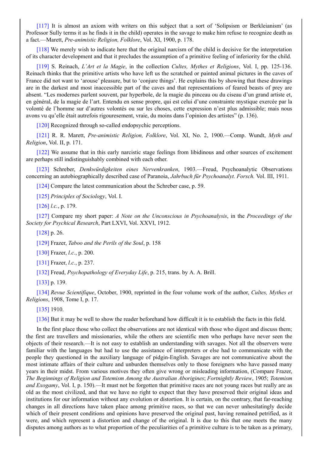[117] It is almost an axiom with writers on this subject that a sort of 'Solipsism or Berkleianism' (as Professor Sully terms it as he finds it in the child) operates in the savage to make him refuse to recognize death as a fact.—Marett, *Pre-animistic Religion, Folklore*, Vol. XI, 1900, p. 178.

[\[118\]](#page-61-0) We merely wish to indicate here that the original narcism of the child is decisive for the interpretation of its character development and that it precludes the assumption of a primitive feeling of inferiority for the child.

[119] S. Reinach, *L'Art et la Magie*, in the collection *Cultes, Mythes et Religions*, Vol. I, pp. 125-136. Rei[nach](#page-61-1) thinks that the primitive artists who have left us the scratched or painted animal pictures in the caves of France did not want to 'arouse' pleasure, but to 'conjure things'. He explains this by showing that these drawings are in the darkest and most inaccessible part of the caves and that representations of feared beasts of prey are abse[nt.](#page-61-2) "Les modernes parlent souvent, par hyperbole, de la magie du pinceau ou du ciseau d'un grand artiste et, en général, de la magie de l'art. Entendu en sense propre, qui est celui d'une constrainte mystique exercée par la volonté de l'homme sur d'autres volontés ou sur les choses, cette expression n'est plus admissible; mais nous avons vu qu'elle était autrefois rigouresement, vraie, du moins dans l'opinion des artistes" (p. 136).

[120] Recognized through so-called endopsychic perceptions.

[121] R. R. Marett, *Pre-animistic Religion, Folklore*, Vol. XI, No. 2, 1900.—Comp. Wundt, *Myth and Religion*, Vol. II, p. 171.

[\[122\]](#page-62-0) We assume that in this early narcistic stage feelings from libidinous and other sources of excitement are [perhap](#page-62-1)s still indistinguishably combined with each other.

[123] Schreber, *Denkwürdigkeiten eines Nervenkranken*, 1903.—Freud, Psychoanalytic Observations con[cerning](#page-62-2) an autobiographically described case of Paranoia, *Jahrbuch für Psychoanalyt. Forsch.* Vol. III, 1911.

[124] Compare the latest communication about the Schreber case, p. 59.

[\[125\]](#page-62-3) *Principles of Sociology*, Vol. I.

[126] *l.c.*, p. 179.

[\[127\]](#page-62-4) Compare my short paper: *A Note on the Unconscious in Psychoanalysis*, in the *Proceedings of the Soci[ety](#page-63-0) for Psychical Research*, Part LXVI, Vol. XXVI, 1912.

[\[128\]](#page-63-1) p. 26.

[\[129\]](#page-63-2) Frazer, *Taboo and the Perils of the Soul*, p. 158

[130] Frazer, *l.c.*, p. 200.

[\[131\]](#page-64-0) Frazer, *l.c.*, p. 237.

[\[132\]](#page-65-0) Freud, *Psychopathology of Everyday Life*, p. 215, trans. by A. A. Brill.

[\[133\]](#page-65-1) p. 139.

[\[134\]](#page-66-0) *Revue Scientifique*, October, 1900, reprinted in the four volume work of the author, *Cultes, Mythes et Reli[gions](#page-66-1)*, 1908, Tome I, p. 17.

[\[135\]](#page-68-0) 1910.

[\[136\]](#page-68-1) But it may be well to show the reader beforehand how difficult it is to establish the facts in this field.

In the first place those who collect the observations are not identical with those who digest and discuss them; the [first](#page-69-0) are travellers and missionaries, while the others are scientific men who perhaps have never seen the obje[cts](#page-69-1) of their research.—It is not easy to establish an understanding with savages. Not all the observers were familiar with the languages but had to use the assistance of interpreters or else had to communicate with the people they questioned in the auxiliary language of pidgin-English. Savages are not communicative about the most intimate affairs of their culture and unburden themselves only to those foreigners who have passed many years in their midst. From various motives they often give wrong or misleading information, (Compare Frazer, *The Beginnings of Religion and Totemism Among the Australian Aborigines*; *Fortnightly Review*, 1905; *Totemism and Exogamy*, Vol. I, p. 150).—It must not be forgotten that primitive races are not young races but really are as old as the most civilized, and that we have no right to expect that they have preserved their original ideas and institutions for our information without any evolution or distortion. It is certain, on the contrary, that far-reaching changes in all directions have taken place among primitive races, so that we can never unhesitatingly decide which of their present conditions and opinions have preserved the original past, having remained petrified, as it were, and which represent a distortion and change of the original. It is due to this that one meets the many disputes among authors as to what proportion of the peculiarities of a primitive culture is to be taken as a primary,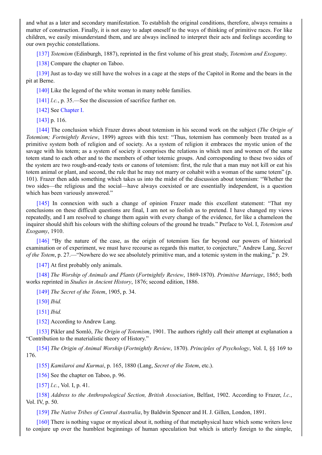matter of construction. Finally, it is not easy to adapt oneself to the ways of thinking of primitive races. For like children, we easily misunderstand them, and are always inclined to interpret their acts and feelings according to our own psychic constellations.

[137] *Totemism* (Edinburgh, 1887), reprinted in the first volume of his great study, *Totemism and Exogamy*.

[138] Compare the chapter on Taboo.

[139] Just as to-day we still have the wolves in a cage at the steps of the Capitol in Rome and the bears in the pit at [Bern](#page-69-2)e.

[\[140\]](#page-70-0) Like the legend of the white woman in many noble families.

[\[141\]](#page-70-1) *l.c.*, p. 35.—See the discussion of sacrifice further on.

[142] See Chapter I.

[\[143\]](#page-70-2) p. 116.

[\[144\]](#page-71-0) The conclusion which Frazer draws about totemism in his second work on the subject (*The Origin of Tote[mism;](#page-71-1) Fo[rtnightly](#page-8-0) Review*, 1899) agrees with this text: "Thus, totemism has commonly been treated as a pri[mitive](#page-71-2) system both of religion and of society. As a system of religion it embraces the mystic union of the savage with his totem; as a system of society it comprises the relations in which men and women of the same totem [stan](#page-72-0)d to each other and to the members of other totemic groups. And corresponding to these two sides of the system are two rough-and-ready tests or canons of totemism: first, the rule that a man may not kill or eat his totem animal or plant, and second, the rule that he may not marry or cohabit with a woman of the same totem" (p. 101). Frazer then adds something which takes us into the midst of the discussion about totemism: "Whether the two sides—the religious and the social—have always coexisted or are essentially independent, is a question which has been variously answered."

[145] In connexion with such a change of opinion Frazer made this excellent statement: "That my conclusions on these difficult questions are final, I am not so foolish as to pretend. I have changed my views repeatedly, and I am resolved to change them again with every change of the evidence, for like a chameleon the inquirer should shift his colours with the shifting colours of the ground he treads." Preface to Vol. I, *Totemism and Exo[gamy](#page-72-1)*, 1910.

[146] "By the nature of the case, as the origin of totemism lies far beyond our powers of historical examination or of experiment, we must have recourse as regards this matter, to conjecture," Andrew Lang, *Secret of the Totem*, p. 27.—"Nowhere do we see absolutely primitive man, and a totemic system in the making," p. 29.

[\[147\]](#page-72-2) At first probably only animals.

[148] *The Worship of Animals and Plants* (*Fortnightly Review*, 1869-1870). *Primitive Marriage*, 1865; both works reprinted in *Studies in Ancient History*, 1876; second edition, 1886.

[\[149\]](#page-73-0) *The Secret of the Totem*, 1905, p. 34.

[\[150\]](#page-73-1) *Ibid.* 

[151] *Ibid.*

[\[152\]](#page-73-2) According to Andrew Lang.

[\[153\]](#page-73-3) Pikler and Somló, *The Origin of Totemism*, 1901. The authors rightly call their attempt at explanation a "Co[ntribu](#page-73-4)tion to the materialistic theory of History."

[\[154\]](#page-73-5) *The Origin of Animal Worship* (*Fortnightly Review*, 1870). *Principles of Psychology*, Vol. I, §§ 169 to 176.

[155] *Kamilaroi and Kurmai*, p. 165, 1880 (Lang, *Secret of the Totem*, etc.).

[\[156\]](#page-73-6) See the chapter on Taboo, p. 96.

[157] *l.c.*, Vol. I, p. 41.

[\[158\]](#page-74-0) *Address to the Anthropological Section, British Association*, Belfast, 1902. According to Frazer, *l.c.*, Vol. [IV,](#page-74-1) p. 50.

[\[159\]](#page-75-0) *The Native Tribes of Central Australia*, by Baldwin Spencer and H. J. Gillen, London, 1891.

[\[160\]](#page-75-1) There is nothing vague or mystical about it, nothing of that metaphysical haze which some writers love to conjure up over the humblest beginnings of human speculation but which is utterly foreign to the simple,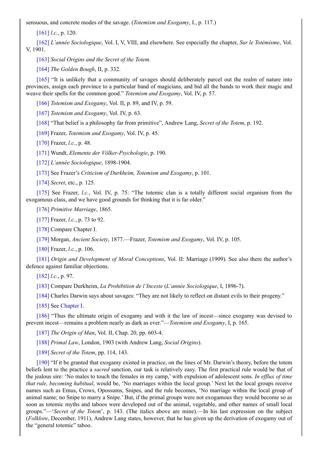[161] *l.c.*, p. 120.

[162] *L'année Sociologique*, Vol. I, V, VIII, and elsewhere. See especially the chapter, *Sur le Totémisme*, Vol. V, 1901.

[\[163\]](#page-77-0) *Social Origins and the Secret of the Totem.*

[\[164\]](#page-77-1) *The Golden Bough*, II, p. 332.

[165] "It is unlikely that a community of savages should deliberately parcel out the realm of nature into pro[vinces,](#page-77-2) assign each province to a particular band of magicians, and bid all the bands to work their magic and weave [the](#page-77-3)ir spells for the common good." *Totemism and Exogamy*, Vol. IV, p. 57.

[\[166\]](#page-77-4) *Totemism and Exogamy*, Vol. II, p. 89, and IV, p. 59.

[167] *Totemism and Exogamy*, Vol. IV, p. 63.

[168] "That belief is a philosophy far from primitive", Andrew Lang, *Secret of the Totem*, p. 192.

[\[169\]](#page-78-0) Frazer, *Totemism and Exogamy*, Vol. IV, p. 45.

[\[170\]](#page-78-1) Frazer, *l.c.*, p. 48.

[\[171\]](#page-78-2) Wundt, *Elemente der Völker-Psychologie*, p. 190.

[\[172\]](#page-78-3) *L'année Sociologique*, 1898-1904.

[\[173\]](#page-78-4) See Frazer's *Criticism of Durkheim, Totemism and Exogamy*, p. 101.

[\[174\]](#page-78-5) *Secret*, etc., p. 125.

[\[175\]](#page-79-0) See Frazer, *l.c.*, Vol. IV, p. 75: "The totemic clan is a totally different social organism from the exo[gamou](#page-79-1)s class, and we have good grounds for thinking that it is far older."

[\[176\]](#page-79-2) *Primitive Marriage*, 1865.

[\[177\]](#page-79-3) Frazer, *l.c.*, p. 73 to 92.

[178] Compare Chapter I.

[\[179\]](#page-79-4) Morgan, *Ancient Society*, 1877.—Frazer, *Totemism and Exogamy*, Vol. IV, p. 105.

[\[180\]](#page-80-0) Frazer, *l.c.*, p. 106.

[\[181\]](#page-80-1) *Origin and Development of Moral Conceptions*, Vol. II: Marriage (1909). See also there the author's defe[nce](#page-80-2) against familiar objections.

[\[182\]](#page-80-3) *l.c.*, p. 97.

[\[183\]](#page-80-4) Compare Durkheim, *La Prohibition de l'Inceste* (*L'année Sociologique*, I, 1896-7).

[184] Charles Darwin says about savages: "They are not likely to reflect on distant evils to their progeny."

[\[185\]](#page-82-0) See Chapter I.

[\[186\]](#page-82-1) "Thus the ultimate origin of exogamy and with it the law of incest—since exogamy was devised to prev[ent](#page-82-2) incest—remains a problem nearly as dark as ever."—*Totemism and Exogamy*, I, p. 165.

[\[187\]](#page-82-3) *The [Origin](#page-8-0) of Man*, Vol. II, Chap. 20, pp. 603-4.

[\[188\]](#page-83-0) *Primal Law*, London, 1903 (with Andrew Lang, *Social Origins*).

[189] *Secret of the Totem*, pp. 114, 143.

[\[190\]](#page-83-1) "If it be granted that exogamy existed in practice, on the lines of Mr. Darwin's theory, before the totem beliefs [len](#page-83-2)t to the practice a *sacred* sanction, our task is relatively easy. The first practical rule would be that of the j[ealous](#page-83-3) sire: 'No males to touch the females in my camp,' with expulsion of adolescent sons. *In ef lux of time that rule, becoming habitual*, would be, 'No marriages within the local group.' Next let the local groups receive names [suc](#page-83-4)h as Emus, Crows, Opossums, Snipes, and the rule becomes, 'No marriage within the local group of animal name; no Snipe to marry a Snipe.' But, if the primal groups were not exogamous they would become so as soon as totemic myths and taboos were developed out of the animal, vegetable, and other names of small local groups."—'*Secret of the Totem*', p. 143. (The italics above are mine).—In his last expression on the subject (*Folklore*, December, 1911), Andrew Lang states, however, that he has given up the derivation of exogamy out of the "general totemic" taboo.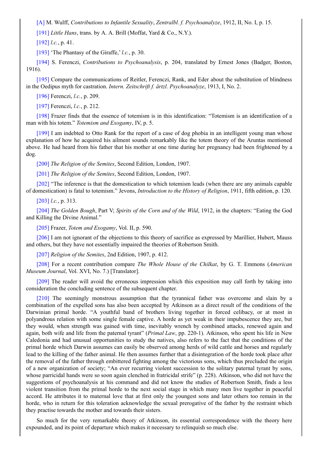[191] *Little Hans*, trans. by A. A. Brill (Moffat, Yard & Co., N.Y.).

[192] *l.c.*, p. 41.

[\[193](#page-84-0)] 'The Phantasy of the Giraffe,' *l.c.*, p. 30.

[\[194\]](#page-84-1) S. Ferenczi, *Contributions to Psychoanalysis*, p. 204, translated by Ernest Jones (Badger, Boston, 191[6\).](#page-85-0)

[\[195\]](#page-85-1) Compare the communications of Reitler, Ferenczi, Rank, and Eder about the substitution of blindness in the [Oed](#page-85-2)ipus myth for castration. *Intern. Zeitschrift f. ärtzl. Psychoanalyze*, 1913, I, No. 2.

[196] Ferenczi, *l.c.*, p. 209.

[\[197\]](#page-85-3) Ferenczi, *l.c.*, p. 212.

[198] Frazer finds that the essence of totemism is in this identification: "Totemism is an identification of a man [with](#page-86-0) his totem." *Totemism and Exogamy*, IV, p. 5.

[\[199\]](#page-86-1) I am indebted to Otto Rank for the report of a case of dog phobia in an intelligent young man whose expl[anatio](#page-86-2)n of how he acquired his ailment sounds remarkably like the totem theory of the Aruntas mentioned above. He had heard from his father that his mother at one time during her pregnancy had been frightened by a dog.

[\[200\]](#page-86-3) *The Religion of the Semites*, Second Edition, London, 1907.

[201] *The Religion of the Semites*, Second Edition, London, 1907.

[202] "The inference is that the domestication to which totemism leads (when there are any animals capable of d[omest](#page-87-0)ication) is fatal to totemism." Jevons, *Introduction to the History of Religion*, 1911, fifth edition, p. 120.

[\[203\]](#page-87-1) *l.c.*, p. 313.

[\[204\]](#page-89-0) *The Golden Bough*, Part V; *Spirits of the Corn and of the Wild*, 1912, in the chapters: "Eating the God and Killing the Divine Animal."

[\[205\]](#page-90-0) Frazer, *Totem and Exogamy*, Vol. II, p. 590.

[\[206\]](#page-90-1) I am not ignorant of the objections to this theory of sacrifice as expressed by Marillier, Hubert, Mauss and others, but they have not essentially impaired the theories of Robertson Smith.

[\[207\]](#page-91-0) *Religion of the Semites*, 2nd Edition, 1907, p. 412.

[\[208\]](#page-91-1) For a recent contribution compare *The Whole House of the Chilkat*, by G. T. Emmons (*American Museum Journal*, Vol. XVI, No. 7.) [Translator].

[\[209\]](#page-91-2) The reader will avoid the erroneous impression which this exposition may call forth by taking into con[siderat](#page-92-0)ion the concluding sentence of the subsequent chapter.

[210] The seemingly monstrous assumption that the tyrannical father was overcome and slain by a com[binati](#page-92-1)on of the expelled sons has also been accepted by Atkinson as a direct result of the conditions of the Darwinian primal horde. "A youthful band of brothers living together in forced celibacy, or at most in polyandrous relation with some single female captive. A horde as yet weak in their impubescence they are, but they [woul](#page-92-2)d, when strength was gained with time, inevitably wrench by combined attacks, renewed again and again, both wife and life from the paternal tyrant" (*Primal Law*, pp. 220-1). Atkinson, who spent his life in New Caledonia and had unusual opportunities to study the natives, also refers to the fact that the conditions of the primal horde which Darwin assumes can easily be observed among herds of wild cattle and horses and regularly lead to the killing of the father animal. He then assumes further that a disintegration of the horde took place after the removal of the father through embittered fighting among the victorious sons, which thus precluded the origin of a new organization of society; "An ever recurring violent succession to the solitary paternal tyrant by sons, whose parricidal hands were so soon again clenched in fratricidal strife" (p. 228). Atkinson, who did not have the suggestions of psychoanalysis at his command and did not know the studies of Robertson Smith, finds a less violent transition from the primal horde to the next social stage in which many men live together in peaceful accord. He attributes it to maternal love that at first only the youngest sons and later others too remain in the horde, who in return for this toleration acknowledge the sexual prerogative of the father by the restraint which they practise towards the mother and towards their sisters.

So much for the very remarkable theory of Atkinson, its essential correspondence with the theory here expounded, and its point of departure which makes it necessary to relinquish so much else.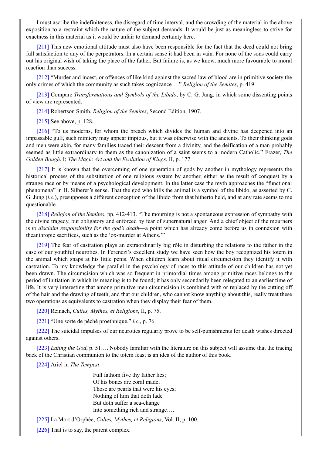exposition to a restraint which the nature of the subject demands. It would be just as meaningless to strive for exactness in this material as it would be unfair to demand certainty here.

[211] This new emotional attitude must also have been responsible for the fact that the deed could not bring full satisfaction to any of the perpetrators. In a certain sense it had been in vain. For none of the sons could carry out his original wish of taking the place of the father. But failure is, as we know, much more favourable to moral reaction than success.

[\[212\]](#page-92-3) "Murder and incest, or offences of like kind against the sacred law of blood are in primitive society the only crimes of which the community as such takes cognizance …" *Religion of the Semites*, p. 419.

[213] Compare *Transformations and Symbols of the Libido*, by C. G. Jung, in which some dissenting points of v[iew](#page-93-0) are represented.

[214] Robertson Smith, *Religion of the Semites*, Second Edition, 1907.

[\[215\]](#page-94-0) See above, p. 128.

[216] "To us moderns, for whom the breach which divides the human and divine has deepened into an imp[assabl](#page-95-0)e gulf, such mimicry may appear impious, but it was otherwise with the ancients. To their thinking gods and [men](#page-95-1) were akin, for many families traced their descent from a divinity, and the deification of a man probably seemed as little extraordinary to them as the canonization of a saint seems to a modern Catholic." Frazer, *The Gol[den](#page-96-0) Bough*, I; *The Magic Art and the Evolution of Kings*, II, p. 177.

[217] It is known that the overcoming of one generation of gods by another in mythology represents the historical process of the substitution of one religious system by another, either as the result of conquest by a strange race or by means of a psychological development. In the latter case the myth approaches the "functional phenomena" in H. Silberer's sense. That the god who kills the animal is a symbol of the libido, as asserted by C. G. J[ung](#page-96-1) (*l.c.*), presupposes a different conception of the libido from that hitherto held, and at any rate seems to me questionable.

[218] *Religion of the Semites*, pp. 412-413. "The mourning is not a spontaneous expression of sympathy with the divine tragedy, but obligatory and enforced by fear of supernatural anger. And a chief object of the mourners is *to disclaim responsibility for the god's death*—a point which has already come before us in connexion with theanthropic sacrifices, such as the 'ox-murder at Athens.'"

[\[219\]](#page-97-0) The fear of castration plays an extraordinarily big rôle in disturbing the relations to the father in the case of our youthful neurotics. In Ferenczi's excellent study we have seen how the boy recognized his totem in the animal which snaps at his little penis. When children learn about ritual circumcision they identify it with castration. To my knowledge the parallel in the psychology of races to this attitude of our children has not yet been [draw](#page-98-0)n. The circumcision which was so frequent in primordial times among primitive races belongs to the period of initiation in which its meaning is to be found; it has only secondarily been relegated to an earlier time of life. It is very interesting that among primitive men circumcision is combined with or replaced by the cutting off of the hair and the drawing of teeth, and that our children, who cannot know anything about this, really treat these two operations as equivalents to castration when they display their fear of them.

[220] Reinach, *Cultes, Mythes, et Religions*, II, p. 75.

[221] "Une sorte de péché proethnique," *l.c.*, p. 76.

[222] The suicidal impulses of our neurotics regularly prove to be self-punishments for death wishes directed agai[nst](#page-98-1) others.

[\[223\]](#page-98-2) *Eating the God*, p. 51…. Nobody familiar with the literature on this subject will assume that the tracing back [of](#page-98-3) the Christian communion to the totem feast is an idea of the author of this book.

[224] Ariel in *The Tempest*:

Full fathom five thy father lies; Of his bones are coral made; Those are pearls that were his eyes; Nothing of him that doth fade But doth suffer a sea-change Into something rich and strange….

[225] La Mort d'Orphée, *Cultes, Mythes, et Religions*, Vol. II, p. 100.

[226] That is to say, the parent complex.